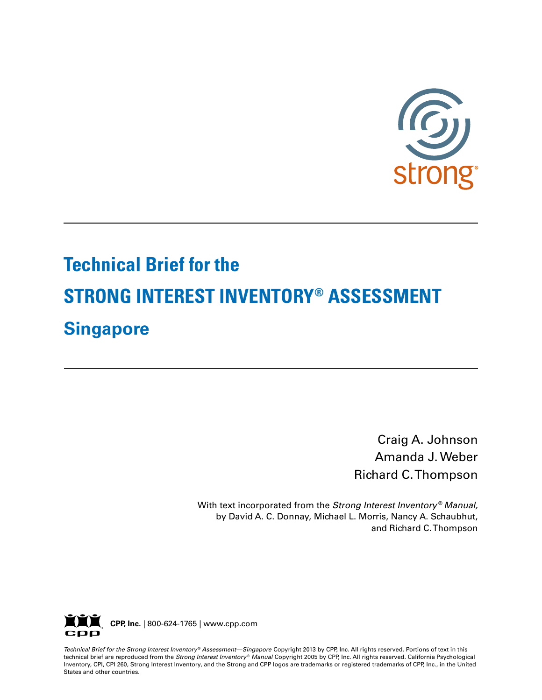

# **Technical Brief for the STRONG INTEREST INVENTORY® ASSESSMENT Singapore**

Craig A. Johnson Amanda J. Weber Richard C. Thompson

With text incorporated from the *Strong Interest Inventory* ® *Manual,* by David A. C. Donnay, Michael L. Morris, Nancy A. Schaubhut, and Richard C. Thompson



*Technical Brief for the Strong Interest Inventory* ® *Assessment—Singapore* Copyright 2013 by CPP, Inc. All rights reserved. Portions of text in this technical brief are reproduced from the *Strong Interest Inventory* ® *Manual* Copyright 2005 by CPP, Inc. All rights reserved. California Psychological Inventory, CPI, CPI 260, Strong Interest Inventory, and the Strong and CPP logos are trademarks or registered trademarks of CPP, Inc., in the United States and other countries.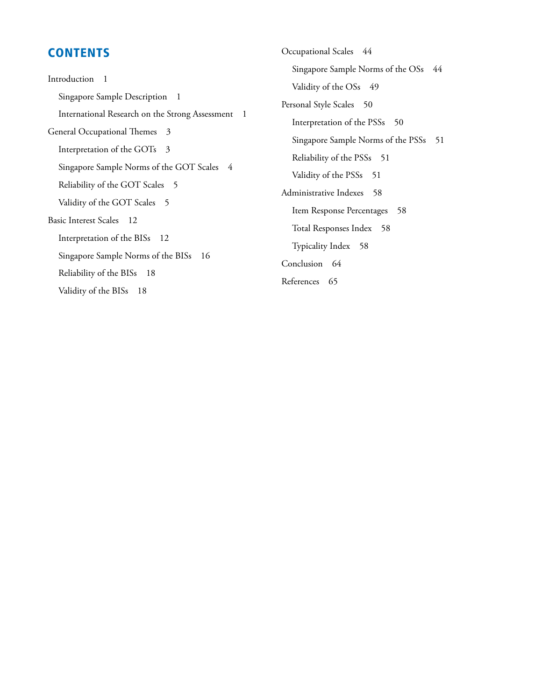### **CONTENTS**

Introduction 1 Singapore Sample Description 1 International Research on the Strong Assessment 1 General Occupational Themes 3 Interpretation of the GOTs 3 Singapore Sample Norms of the GOT Scales 4 Reliability of the GOT Scales 5 Validity of the GOT Scales 5 Basic Interest Scales 12 Interpretation of the BISs 12 Singapore Sample Norms of the BISs 16 Reliability of the BISs 18 Validity of the BISs 18

Occupational Scales 44 Singapore Sample Norms of the OSs 44 Validity of the OSs 49 Personal Style Scales 50 Interpretation of the PSSs 50 Singapore Sample Norms of the PSSs 51 Reliability of the PSSs 51 Validity of the PSSs 51 Administrative Indexes 58 Item Response Percentages 58 Total Responses Index 58 Typicality Index 58 Conclusion 64 References 65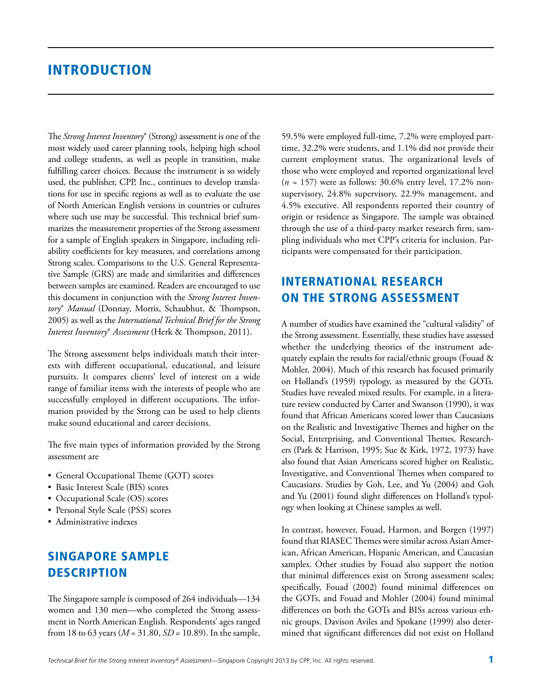### **INTRODUCTION**

The *Strong Interest Inventory*® (Strong) assessment is one of the most widely used career planning tools, helping high school and college students, as well as people in transition, make fulfilling career choices. Because the instrument is so widely used, the publisher, CPP, Inc., continues to develop translations for use in specific regions as well as to evaluate the use of North American English versions in countries or cultures where such use may be successful. This technical brief summarizes the measurement properties of the Strong assessment for a sample of English speakers in Singapore, including reliability coefficients for key measures, and correlations among Strong scales. Comparisons to the U.S. General Representative Sample (GRS) are made and similarities and differences between samples are examined. Readers are encouraged to use this document in conjunction with the *Strong Interest Inventory*® *Manual* (Donnay, Morris, Schaubhut, & Thompson, 2005) as well as the *International Technical Brief for the Strong Interest Inventory*® *Assessment* (Herk & Thompson, 2011).

The Strong assessment helps individuals match their interests with different occupational, educational, and leisure pursuits. It compares clients' level of interest on a wide range of familiar items with the interests of people who are successfully employed in different occupations. The information provided by the Strong can be used to help clients make sound educational and career decisions.

The five main types of information provided by the Strong assessment are

- General Occupational Theme (GOT) scores
- Basic Interest Scale (BIS) scores
- Occupational Scale (OS) scores
- Personal Style Scale (PSS) scores
- Administrative indexes

### Singapore Sample **DESCRIPTION**

The Singapore sample is composed of 264 individuals—134 women and 130 men—who completed the Strong assessment in North American English. Respondents' ages ranged from 18 to 63 years (*M* = 31.80, *SD* = 10.89). In the sample, 59.5% were employed full-time, 7.2% were employed parttime, 32.2% were students, and 1.1% did not provide their current employment status. The organizational levels of those who were employed and reported organizational level (*n =* 157) were as follows: 30.6% entry level, 17.2% nonsupervisory, 24.8% supervisory, 22.9% management, and 4.5% executive. All respondents reported their country of origin or residence as Singapore. The sample was obtained through the use of a third-party market research firm, sampling individuals who met CPP's criteria for inclusion. Participants were compensated for their participation.

### International Research on the Strong Assessment

A number of studies have examined the "cultural validity" of the Strong assessment. Essentially, these studies have assessed whether the underlying theories of the instrument adequately explain the results for racial/ethnic groups (Fouad & Mohler, 2004). Much of this research has focused primarily on Holland's (1959) typology, as measured by the GOTs. Studies have revealed mixed results. For example, in a literature review conducted by Carter and Swanson (1990), it was found that African Americans scored lower than Caucasians on the Realistic and Investigative Themes and higher on the Social, Enterprising, and Conventional Themes. Researchers (Park & Harrison, 1995; Sue & Kirk, 1972, 1973) have also found that Asian Americans scored higher on Realistic, Investigative, and Conventional Themes when compared to Caucasians. Studies by Goh, Lee, and Yu (2004) and Goh and Yu (2001) found slight differences on Holland's typology when looking at Chinese samples as well.

In contrast, however, Fouad, Harmon, and Borgen (1997) found that RIASEC Themes were similar across Asian American, African American, Hispanic American, and Caucasian samples. Other studies by Fouad also support the notion that minimal differences exist on Strong assessment scales; specifically, Fouad (2002) found minimal differences on the GOTs, and Fouad and Mohler (2004) found minimal differences on both the GOTs and BISs across various ethnic groups. Davison Aviles and Spokane (1999) also determined that significant differences did not exist on Holland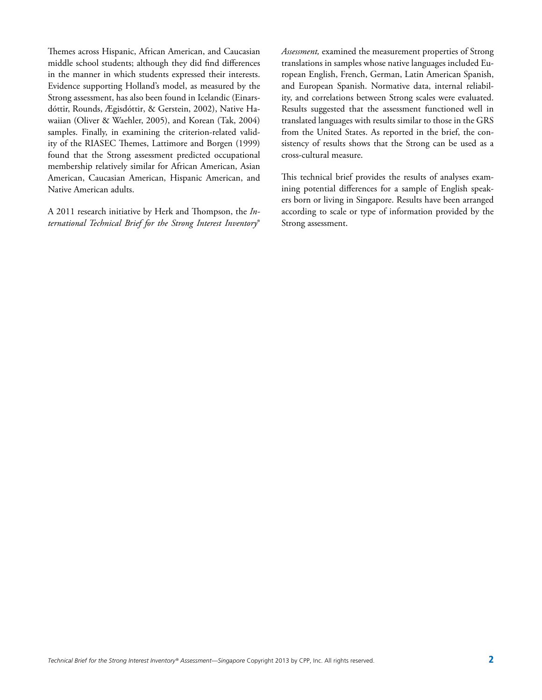Themes across Hispanic, African American, and Caucasian middle school students; although they did find differences in the manner in which students expressed their interests. Evidence supporting Holland's model, as measured by the Strong assessment, has also been found in Icelandic (Einarsdóttir, Rounds, Ægisdóttir, & Gerstein, 2002), Native Hawaiian (Oliver & Waehler, 2005), and Korean (Tak, 2004) samples. Finally, in examining the criterion-related validity of the RIASEC Themes, Lattimore and Borgen (1999) found that the Strong assessment predicted occupational membership relatively similar for African American, Asian American, Caucasian American, Hispanic American, and Native American adults.

A 2011 research initiative by Herk and Thompson, the *International Technical Brief for the Strong Interest Inventory*® *Assessment,* examined the measurement properties of Strong translations in samples whose native languages included European English, French, German, Latin American Spanish, and European Spanish. Normative data, internal reliability, and correlations between Strong scales were evaluated. Results suggested that the assessment functioned well in translated languages with results similar to those in the GRS from the United States. As reported in the brief, the consistency of results shows that the Strong can be used as a cross-cultural measure.

This technical brief provides the results of analyses examining potential differences for a sample of English speakers born or living in Singapore. Results have been arranged according to scale or type of information provided by the Strong assessment.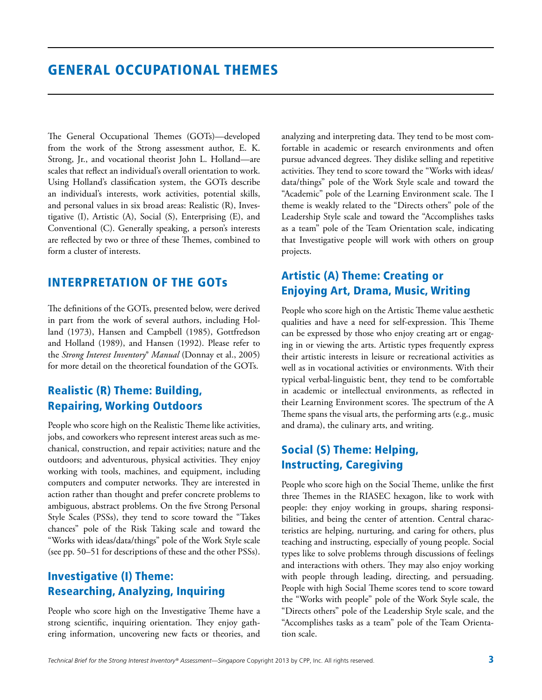The General Occupational Themes (GOTs)—developed from the work of the Strong assessment author, E. K. Strong, Jr., and vocational theorist John L. Holland—are scales that reflect an individual's overall orientation to work. Using Holland's classification system, the GOTs describe an individual's interests, work activities, potential skills, and personal values in six broad areas: Realistic (R), Investigative (I), Artistic (A), Social (S), Enterprising (E), and Conventional (C). Generally speaking, a person's interests are reflected by two or three of these Themes, combined to form a cluster of interests.

### Interpretation of the GOTs

The definitions of the GOTs, presented below, were derived in part from the work of several authors, including Holland (1973), Hansen and Campbell (1985), Gottfredson and Holland (1989), and Hansen (1992). Please refer to the *Strong Interest Inventory*® *Manual* (Donnay et al., 2005) for more detail on the theoretical foundation of the GOTs.

### Realistic (R) Theme: Building, Repairing, Working Outdoors

People who score high on the Realistic Theme like activities, jobs, and coworkers who represent interest areas such as mechanical, construction, and repair activities; nature and the outdoors; and adventurous, physical activities. They enjoy working with tools, machines, and equipment, including computers and computer networks. They are interested in action rather than thought and prefer concrete problems to ambiguous, abstract problems. On the five Strong Personal Style Scales (PSSs), they tend to score toward the "Takes chances" pole of the Risk Taking scale and toward the "Works with ideas/data/things" pole of the Work Style scale (see pp. 50–51 for descriptions of these and the other PSSs).

### Investigative (I) Theme: Researching, Analyzing, Inquiring

People who score high on the Investigative Theme have a strong scientific, inquiring orientation. They enjoy gathering information, uncovering new facts or theories, and analyzing and interpreting data. They tend to be most comfortable in academic or research environments and often pursue advanced degrees. They dislike selling and repetitive activities. They tend to score toward the "Works with ideas/ data/things" pole of the Work Style scale and toward the "Academic" pole of the Learning Environment scale. The I theme is weakly related to the "Directs others" pole of the Leadership Style scale and toward the "Accomplishes tasks as a team" pole of the Team Orientation scale, indicating that Investigative people will work with others on group projects.

### Artistic (A) Theme: Creating or Enjoying Art, Drama, Music, Writing

People who score high on the Artistic Theme value aesthetic qualities and have a need for self-expression. This Theme can be expressed by those who enjoy creating art or engaging in or viewing the arts. Artistic types frequently express their artistic interests in leisure or recreational activities as well as in vocational activities or environments. With their typical verbal-linguistic bent, they tend to be comfortable in academic or intellectual environments, as reflected in their Learning Environment scores. The spectrum of the A Theme spans the visual arts, the performing arts (e.g., music and drama), the culinary arts, and writing.

### Social (S) Theme: Helping, Instructing, Caregiving

People who score high on the Social Theme, unlike the first three Themes in the RIASEC hexagon, like to work with people: they enjoy working in groups, sharing responsibilities, and being the center of attention. Central characteristics are helping, nurturing, and caring for others, plus teaching and instructing, especially of young people. Social types like to solve problems through discussions of feelings and interactions with others. They may also enjoy working with people through leading, directing, and persuading. People with high Social Theme scores tend to score toward the "Works with people" pole of the Work Style scale, the "Directs others" pole of the Leadership Style scale, and the "Accomplishes tasks as a team" pole of the Team Orientation scale.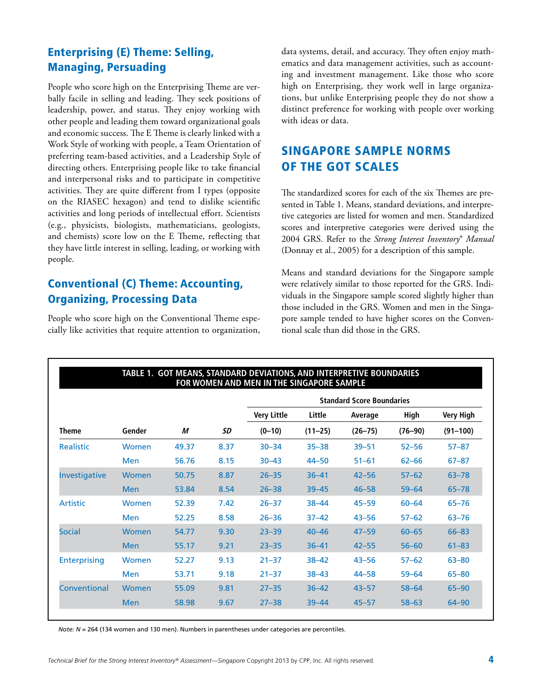### Enterprising (E) Theme: Selling, Managing, Persuading

People who score high on the Enterprising Theme are verbally facile in selling and leading. They seek positions of leadership, power, and status. They enjoy working with other people and leading them toward organizational goals and economic success. The E Theme is clearly linked with a Work Style of working with people, a Team Orientation of preferring team-based activities, and a Leadership Style of directing others. Enterprising people like to take financial and interpersonal risks and to participate in competitive activities. They are quite different from I types (opposite on the RIASEC hexagon) and tend to dislike scientific activities and long periods of intellectual effort. Scientists (e.g., physicists, biologists, mathematicians, geologists, and chemists) score low on the E Theme, reflecting that they have little interest in selling, leading, or working with people.

### Conventional (C) Theme: Accounting, Organizing, Processing Data

People who score high on the Conventional Theme especially like activities that require attention to organization, data systems, detail, and accuracy. They often enjoy mathematics and data management activities, such as accounting and investment management. Like those who score high on Enterprising, they work well in large organizations, but unlike Enterprising people they do not show a distinct preference for working with people over working with ideas or data.

### Singapore Sample Norms of the GOT Scales

The standardized scores for each of the six Themes are presented in Table 1. Means, standard deviations, and interpretive categories are listed for women and men. Standardized scores and interpretive categories were derived using the 2004 GRS. Refer to the *Strong Interest Inventory*® *Manual* (Donnay et al., 2005) for a description of this sample.

Means and standard deviations for the Singapore sample were relatively similar to those reported for the GRS. Individuals in the Singapore sample scored slightly higher than those included in the GRS. Women and men in the Singapore sample tended to have higher scores on the Conventional scale than did those in the GRS.

|                     | TABLE 1. GOT MEANS, STANDARD DEVIATIONS, AND INTERPRETIVE BOUNDARIES<br>FOR WOMEN AND MEN IN THE SINGAPORE SAMPLE |       |      |                                  |             |             |             |                  |
|---------------------|-------------------------------------------------------------------------------------------------------------------|-------|------|----------------------------------|-------------|-------------|-------------|------------------|
|                     |                                                                                                                   |       |      | <b>Standard Score Boundaries</b> |             |             |             |                  |
|                     |                                                                                                                   |       |      | <b>Very Little</b>               | Little      | Average     | High        | <b>Very High</b> |
| <b>Theme</b>        | Gender                                                                                                            | М     | SD   | $(0-10)$                         | $(11 - 25)$ | $(26 - 75)$ | $(76 - 90)$ | $(91 - 100)$     |
| <b>Realistic</b>    | Women                                                                                                             | 49.37 | 8.37 | $30 - 34$                        | $35 - 38$   | $39 - 51$   | $52 - 56$   | $57 - 87$        |
|                     | Men                                                                                                               | 56.76 | 8.15 | $30 - 43$                        | $44 - 50$   | $51 - 61$   | $62 - 66$   | $67 - 87$        |
| Investigative       | Women                                                                                                             | 50.75 | 8.87 | $26 - 35$                        | $36 - 41$   | $42 - 56$   | $57 - 62$   | $63 - 78$        |
|                     | <b>Men</b>                                                                                                        | 53.84 | 8.54 | $26 - 38$                        | $39 - 45$   | $46 - 58$   | $59 - 64$   | $65 - 78$        |
| Artistic            | Women                                                                                                             | 52.39 | 7.42 | $26 - 37$                        | $38 - 44$   | $45 - 59$   | $60 - 64$   | $65 - 76$        |
|                     | Men                                                                                                               | 52.25 | 8.58 | $26 - 36$                        | $37 - 42$   | $43 - 56$   | $57 - 62$   | $63 - 76$        |
| <b>Social</b>       | Women                                                                                                             | 54.77 | 9.30 | $23 - 39$                        | $40 - 46$   | $47 - 59$   | $60 - 65$   | $66 - 83$        |
|                     | <b>Men</b>                                                                                                        | 55.17 | 9.21 | $23 - 35$                        | $36 - 41$   | $42 - 55$   | $56 - 60$   | $61 - 83$        |
| <b>Enterprising</b> | Women                                                                                                             | 52.27 | 9.13 | $21 - 37$                        | $38 - 42$   | $43 - 56$   | $57 - 62$   | $63 - 80$        |
|                     | <b>Men</b>                                                                                                        | 53.71 | 9.18 | $21 - 37$                        | $38 - 43$   | $44 - 58$   | $59 - 64$   | $65 - 80$        |
| Conventional        | Women                                                                                                             | 55.09 | 9.81 | $27 - 35$                        | $36 - 42$   | $43 - 57$   | $58 - 64$   | $65 - 90$        |
|                     | <b>Men</b>                                                                                                        | 58.98 | 9.67 | $27 - 38$                        | $39 - 44$   | $45 - 57$   | $58 - 63$   | $64 - 90$        |
|                     |                                                                                                                   |       |      |                                  |             |             |             |                  |

*Note: N* = 264 (134 women and 130 men). Numbers in parentheses under categories are percentiles.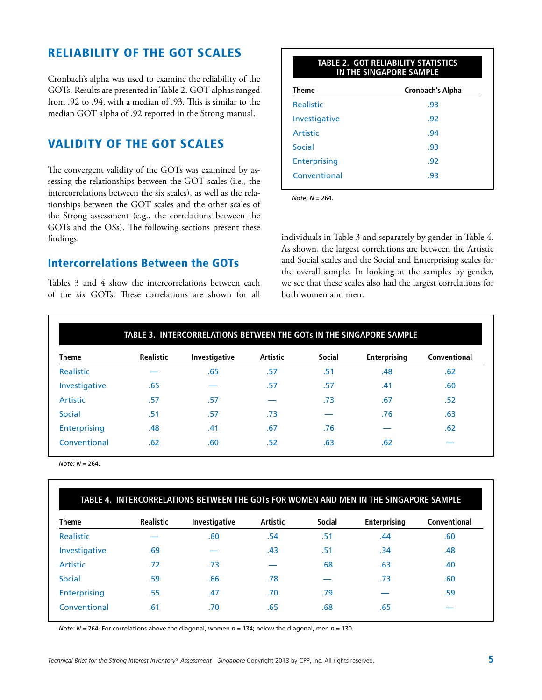### Reliability of the GOT Scales

Cronbach's alpha was used to examine the reliability of the GOTs. Results are presented in Table 2. GOT alphas ranged from .92 to .94, with a median of .93. This is similar to the median GOT alpha of .92 reported in the Strong manual.

### Validity of the GOT Scales

The convergent validity of the GOTs was examined by assessing the relationships between the GOT scales (i.e., the intercorrelations between the six scales), as well as the relationships between the GOT scales and the other scales of the Strong assessment (e.g., the correlations between the GOTs and the OSs). The following sections present these findings.

### Intercorrelations Between the GOTs

Tables 3 and 4 show the intercorrelations between each of the six GOTs. These correlations are shown for all

| <b>TABLE 2. GOT RELIABILITY STATISTICS</b><br>IN THE SINGAPORE SAMPLE |                  |  |  |  |
|-----------------------------------------------------------------------|------------------|--|--|--|
| <b>Theme</b>                                                          | Cronbach's Alpha |  |  |  |
| <b>Realistic</b>                                                      | .93              |  |  |  |
| Investigative                                                         | .92              |  |  |  |
| Artistic                                                              | .94              |  |  |  |
| Social                                                                | -93              |  |  |  |
| <b>Enterprising</b>                                                   | .92              |  |  |  |
| Conventional                                                          | .93              |  |  |  |
|                                                                       |                  |  |  |  |

*Note: N* = 264.

individuals in Table 3 and separately by gender in Table 4. As shown, the largest correlations are between the Artistic and Social scales and the Social and Enterprising scales for the overall sample. In looking at the samples by gender, we see that these scales also had the largest correlations for both women and men.

|                  |                  | TABLE 3. INTERCORRELATIONS BETWEEN THE GOTS IN THE SINGAPORE SAMPLE |                 |               |                     |              |
|------------------|------------------|---------------------------------------------------------------------|-----------------|---------------|---------------------|--------------|
| <b>Theme</b>     | <b>Realistic</b> | Investigative                                                       | <b>Artistic</b> | <b>Social</b> | <b>Enterprising</b> | Conventional |
| <b>Realistic</b> |                  | .65                                                                 | .57             | .51           | .48                 | .62          |
| Investigative    | .65              |                                                                     | .57             | .57           | .41                 | .60          |
| Artistic         | .57              | .57                                                                 |                 | .73           | .67                 | .52          |
| Social           | .51              | .57                                                                 | .73             |               | .76                 | .63          |
| Enterprising     | .48              | .41                                                                 | .67             | .76           |                     | .62          |
| Conventional     | .62              | .60                                                                 | .52             | .63           | .62                 |              |

*Note: N* = 264.

| <b>Theme</b>        | <b>Realistic</b> | Investigative | <b>Artistic</b> | <b>Social</b> | Enterprising | Conventional |
|---------------------|------------------|---------------|-----------------|---------------|--------------|--------------|
| Realistic           |                  | .60           | .54             | .51           | .44          | .60          |
| Investigative       | .69              |               | .43             | .51           | .34          | .48          |
| <b>Artistic</b>     | .72              | .73           |                 | .68           | .63          | .40          |
| Social              | .59              | .66           | .78             |               | .73          | .60          |
| <b>Enterprising</b> | .55              | .47           | .70             | .79           |              | .59          |
| Conventional        | .61              | .70           | .65             | .68           | .65          |              |

*Note: N* = 264. For correlations above the diagonal, women *n* = 134; below the diagonal, men *n* = 130.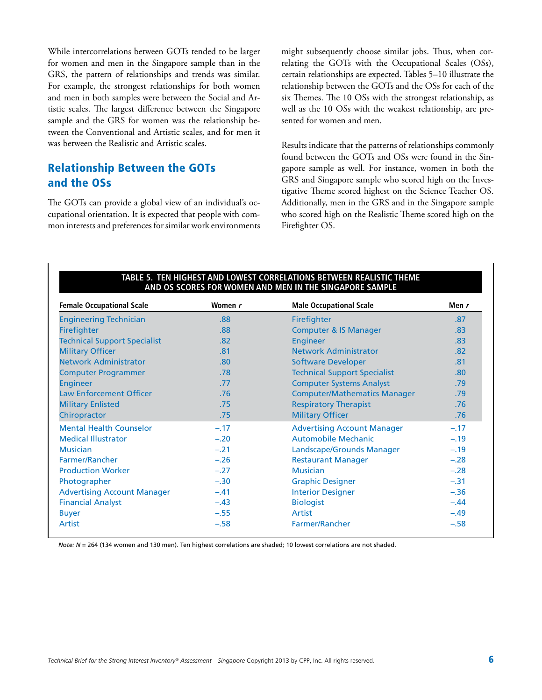While intercorrelations between GOTs tended to be larger for women and men in the Singapore sample than in the GRS, the pattern of relationships and trends was similar. For example, the strongest relationships for both women and men in both samples were between the Social and Artistic scales. The largest difference between the Singapore sample and the GRS for women was the relationship between the Conventional and Artistic scales, and for men it was between the Realistic and Artistic scales.

### Relationship Between the GOTs and the OSs

The GOTs can provide a global view of an individual's occupational orientation. It is expected that people with common interests and preferences for similar work environments might subsequently choose similar jobs. Thus, when correlating the GOTs with the Occupational Scales (OSs), certain relationships are expected. Tables 5–10 illustrate the relationship between the GOTs and the OSs for each of the six Themes. The 10 OSs with the strongest relationship, as well as the 10 OSs with the weakest relationship, are presented for women and men.

Results indicate that the patterns of relationships commonly found between the GOTs and OSs were found in the Singapore sample as well. For instance, women in both the GRS and Singapore sample who scored high on the Investigative Theme scored highest on the Science Teacher OS. Additionally, men in the GRS and in the Singapore sample who scored high on the Realistic Theme scored high on the Firefighter OS.

| <b>Female Occupational Scale</b>    | Women r | <b>Male Occupational Scale</b>      | Men r  |
|-------------------------------------|---------|-------------------------------------|--------|
| <b>Engineering Technician</b>       | .88     | Firefighter                         | .87    |
| Firefighter                         | .88     | <b>Computer &amp; IS Manager</b>    | .83    |
| <b>Technical Support Specialist</b> | .82     | <b>Engineer</b>                     | .83    |
| <b>Military Officer</b>             | .81     | <b>Network Administrator</b>        | .82    |
| <b>Network Administrator</b>        | .80     | <b>Software Developer</b>           | .81    |
| <b>Computer Programmer</b>          | .78     | <b>Technical Support Specialist</b> | .80    |
| <b>Engineer</b>                     | .77     | <b>Computer Systems Analyst</b>     | .79    |
| <b>Law Enforcement Officer</b>      | .76     | <b>Computer/Mathematics Manager</b> | .79    |
| <b>Military Enlisted</b>            | .75     | <b>Respiratory Therapist</b>        | .76    |
| Chiropractor                        | .75     | <b>Military Officer</b>             | .76    |
| <b>Mental Health Counselor</b>      | $-.17$  | <b>Advertising Account Manager</b>  | $-.17$ |
| <b>Medical Illustrator</b>          | $-.20$  | <b>Automobile Mechanic</b>          | $-.19$ |
| <b>Musician</b>                     | $-.21$  | Landscape/Grounds Manager           | $-.19$ |
| Farmer/Rancher                      | $-.26$  | <b>Restaurant Manager</b>           | $-.28$ |
| <b>Production Worker</b>            | $-.27$  | <b>Musician</b>                     | $-.28$ |
| Photographer                        | $-.30$  | <b>Graphic Designer</b>             | $-.31$ |
| <b>Advertising Account Manager</b>  | $-.41$  | <b>Interior Designer</b>            | $-.36$ |
| <b>Financial Analyst</b>            | $-.43$  | <b>Biologist</b>                    | $-.44$ |
| <b>Buyer</b>                        | $-.55$  | <b>Artist</b>                       | $-.49$ |
| <b>Artist</b>                       | $-.58$  | Farmer/Rancher                      | $-.58$ |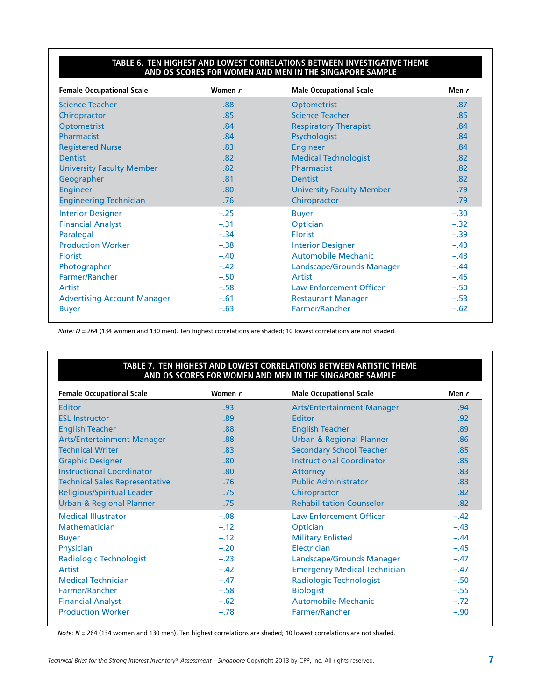#### **Table 6. Ten Highest and Lowest Correlations Between Investigative Theme and OS Scores for Women and Men in the Singapore Sample**

| <b>Female Occupational Scale</b>   | Women r | <b>Male Occupational Scale</b>   | Men r  |
|------------------------------------|---------|----------------------------------|--------|
| <b>Science Teacher</b>             | .88     | Optometrist                      | .87    |
| Chiropractor                       | .85     | <b>Science Teacher</b>           | .85    |
| <b>Optometrist</b>                 | .84     | <b>Respiratory Therapist</b>     | .84    |
| Pharmacist                         | .84     | Psychologist                     | .84    |
| <b>Registered Nurse</b>            | .83     | <b>Engineer</b>                  | .84    |
| <b>Dentist</b>                     | .82     | <b>Medical Technologist</b>      | .82    |
| <b>University Faculty Member</b>   | .82     | Pharmacist                       | .82    |
| Geographer                         | .81     | <b>Dentist</b>                   | .82    |
| <b>Engineer</b>                    | .80     | <b>University Faculty Member</b> | .79    |
| <b>Engineering Technician</b>      | .76     | Chiropractor                     | .79    |
| <b>Interior Designer</b>           | $-.25$  | <b>Buyer</b>                     | $-.30$ |
| <b>Financial Analyst</b>           | $-.31$  | Optician                         | $-.32$ |
| Paralegal                          | $-.34$  | <b>Florist</b>                   | $-.39$ |
| <b>Production Worker</b>           | $-.38$  | <b>Interior Designer</b>         | $-.43$ |
| <b>Florist</b>                     | $-.40$  | <b>Automobile Mechanic</b>       | $-.43$ |
| Photographer                       | $-.42$  | Landscape/Grounds Manager        | $-.44$ |
| Farmer/Rancher                     | $-.50$  | Artist                           | $-.45$ |
| Artist                             | $-.58$  | <b>Law Enforcement Officer</b>   | $-.50$ |
| <b>Advertising Account Manager</b> | $-.61$  | <b>Restaurant Manager</b>        | $-.53$ |
| <b>Buyer</b>                       | $-.63$  | Farmer/Rancher                   | $-.62$ |

*Note: N* = 264 (134 women and 130 men). Ten highest correlations are shaded; 10 lowest correlations are not shaded.

#### **Table 7. Ten Highest and Lowest Correlations Between Artistic Theme and OS Scores for Women and Men in the Singapore Sample**

| <b>Female Occupational Scale</b>      | Women r          | <b>Male Occupational Scale</b>      | Men r            |
|---------------------------------------|------------------|-------------------------------------|------------------|
| <b>Editor</b>                         | .93              | <b>Arts/Entertainment Manager</b>   | .94              |
| <b>ESL Instructor</b>                 | .89              | Editor                              | .92 <sub>0</sub> |
| <b>English Teacher</b>                | .88              | <b>English Teacher</b>              | .89              |
| <b>Arts/Entertainment Manager</b>     | .88              | <b>Urban &amp; Regional Planner</b> | .86              |
| <b>Technical Writer</b>               | .83              | <b>Secondary School Teacher</b>     | .85              |
| <b>Graphic Designer</b>               | .80              | <b>Instructional Coordinator</b>    | .85              |
| <b>Instructional Coordinator</b>      | .80 <sub>1</sub> | Attorney                            | .83              |
| <b>Technical Sales Representative</b> | .76              | <b>Public Administrator</b>         | .83              |
| <b>Religious/Spiritual Leader</b>     | .75              | Chiropractor                        | .82              |
| <b>Urban &amp; Regional Planner</b>   | .75              | <b>Rehabilitation Counselor</b>     | .82              |
| <b>Medical Illustrator</b>            | $-.08$           | <b>Law Enforcement Officer</b>      | $-.42$           |
| Mathematician                         | $-.12$           | Optician                            | $-.43$           |
| <b>Buyer</b>                          | $-.12$           | <b>Military Enlisted</b>            | $-.44$           |
| Physician                             | $-.20$           | Electrician                         | $-.45$           |
| <b>Radiologic Technologist</b>        | $-.23$           | Landscape/Grounds Manager           | $-.47$           |
| Artist                                | $-.42$           | <b>Emergency Medical Technician</b> | $-.47$           |
| <b>Medical Technician</b>             | $-.47$           | Radiologic Technologist             | $-.50$           |
| Farmer/Rancher                        | $-.58$           | <b>Biologist</b>                    | $-.55$           |
| <b>Financial Analyst</b>              | $-.62$           | <b>Automobile Mechanic</b>          | $-.72$           |
| <b>Production Worker</b>              | $-.78$           | Farmer/Rancher                      | $-.90$           |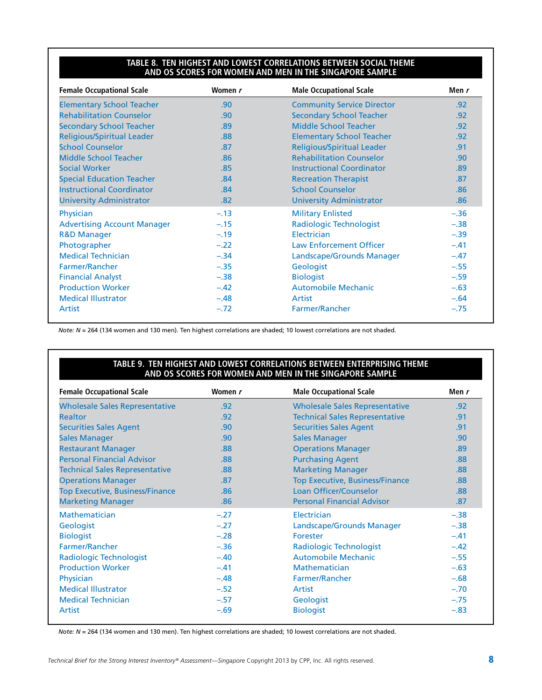#### **Table 8. Ten Highest and Lowest Correlations Between Social Theme and OS Scores for Women and Men in the Singapore Sample**

| <b>Female Occupational Scale</b>   | Women r | <b>Male Occupational Scale</b>    | Men $r$ |
|------------------------------------|---------|-----------------------------------|---------|
| <b>Elementary School Teacher</b>   | .90     | <b>Community Service Director</b> | .92     |
| <b>Rehabilitation Counselor</b>    | .90     | <b>Secondary School Teacher</b>   | .92     |
| <b>Secondary School Teacher</b>    | .89     | Middle School Teacher             | .92     |
| <b>Religious/Spiritual Leader</b>  | .88     | <b>Elementary School Teacher</b>  | .92     |
| <b>School Counselor</b>            | .87     | <b>Religious/Spiritual Leader</b> | .91     |
| Middle School Teacher              | .86     | <b>Rehabilitation Counselor</b>   | .90     |
| <b>Social Worker</b>               | .85     | <b>Instructional Coordinator</b>  | .89     |
| <b>Special Education Teacher</b>   | .84     | <b>Recreation Therapist</b>       | .87     |
| <b>Instructional Coordinator</b>   | .84     | <b>School Counselor</b>           | .86     |
| <b>University Administrator</b>    | .82     | <b>University Administrator</b>   | .86     |
| Physician                          | $-.13$  | <b>Military Enlisted</b>          | $-.36$  |
| <b>Advertising Account Manager</b> | $-.15$  | <b>Radiologic Technologist</b>    | $-.38$  |
| <b>R&amp;D Manager</b>             | $-.19$  | Electrician                       | $-.39$  |
| Photographer                       | $-.22$  | <b>Law Enforcement Officer</b>    | $-.41$  |
| <b>Medical Technician</b>          | $-.34$  | Landscape/Grounds Manager         | $-.47$  |
| Farmer/Rancher                     | $-.35$  | Geologist                         | $-.55$  |
| <b>Financial Analyst</b>           | $-.38$  | <b>Biologist</b>                  | $-.59$  |
| <b>Production Worker</b>           | $-.42$  | Automobile Mechanic               | $-.63$  |
| <b>Medical Illustrator</b>         | $-.48$  | Artist                            | $-.64$  |
| Artist                             | $-.72$  | <b>Farmer/Rancher</b>             | $-.75$  |

*Note: N* = 264 (134 women and 130 men). Ten highest correlations are shaded; 10 lowest correlations are not shaded.

#### **Table 9. Ten Highest and Lowest Correlations Between Enterprising Theme and OS Scores for Women and Men in the Singapore Sample**

| <b>Female Occupational Scale</b>       | Women r | <b>Male Occupational Scale</b>         | Men r            |
|----------------------------------------|---------|----------------------------------------|------------------|
| <b>Wholesale Sales Representative</b>  | .92     | <b>Wholesale Sales Representative</b>  | .92 <sub>0</sub> |
| <b>Realtor</b>                         | .92     | <b>Technical Sales Representative</b>  | .91              |
| <b>Securities Sales Agent</b>          | .90     | <b>Securities Sales Agent</b>          | .91              |
| <b>Sales Manager</b>                   | .90     | <b>Sales Manager</b>                   | .90 <sub>1</sub> |
| <b>Restaurant Manager</b>              | .88     | <b>Operations Manager</b>              | .89              |
| <b>Personal Financial Advisor</b>      | .88     | <b>Purchasing Agent</b>                | .88              |
| <b>Technical Sales Representative</b>  | .88     | <b>Marketing Manager</b>               | .88              |
| <b>Operations Manager</b>              | .87     | <b>Top Executive, Business/Finance</b> | .88              |
| <b>Top Executive, Business/Finance</b> | .86     | Loan Officer/Counselor                 | .88 <sub>1</sub> |
| <b>Marketing Manager</b>               | .86     | <b>Personal Financial Advisor</b>      | .87              |
| Mathematician                          | $-.27$  | Electrician                            | $-.38$           |
| Geologist                              | $-.27$  | Landscape/Grounds Manager              | $-.38$           |
| <b>Biologist</b>                       | $-.28$  | Forester                               | $-.41$           |
| Farmer/Rancher                         | $-.36$  | <b>Radiologic Technologist</b>         | $-.42$           |
| <b>Radiologic Technologist</b>         | $-.40$  | <b>Automobile Mechanic</b>             | $-.55$           |
| <b>Production Worker</b>               | $-.41$  | <b>Mathematician</b>                   | $-.63$           |
| Physician                              | $-.48$  | <b>Farmer/Rancher</b>                  | $-.68$           |
| <b>Medical Illustrator</b>             | $-.52$  | Artist                                 | $-.70$           |
| <b>Medical Technician</b>              | $-.57$  | Geologist                              | $-.75$           |
| Artist                                 | $-.69$  | <b>Biologist</b>                       | $-.83$           |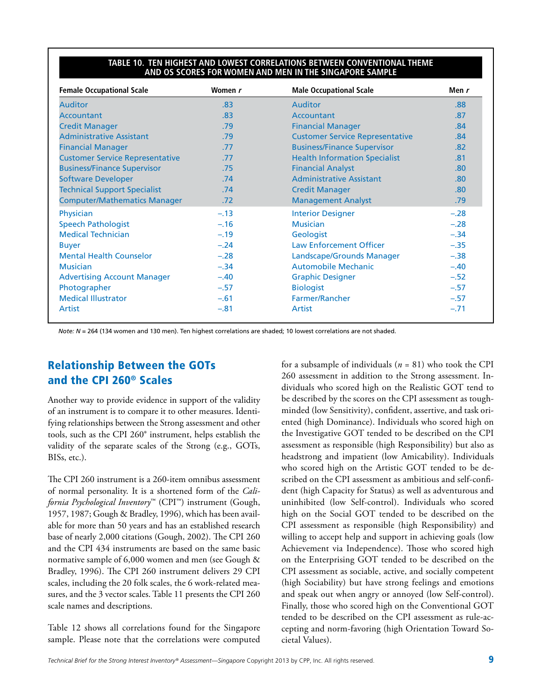#### **Table 10. Ten Highest and Lowest Correlations Between Conventional Theme and OS Scores for Women and Men in the Singapore Sample**

| <b>Female Occupational Scale</b>       | Women r | <b>Male Occupational Scale</b>         | Men r  |
|----------------------------------------|---------|----------------------------------------|--------|
| <b>Auditor</b>                         | .83     | <b>Auditor</b>                         | .88    |
| Accountant                             | .83     | Accountant                             | .87    |
| <b>Credit Manager</b>                  | .79     | <b>Financial Manager</b>               | .84    |
| <b>Administrative Assistant</b>        | .79     | <b>Customer Service Representative</b> | .84    |
| <b>Financial Manager</b>               | .77     | <b>Business/Finance Supervisor</b>     | .82    |
| <b>Customer Service Representative</b> | .77     | <b>Health Information Specialist</b>   | .81    |
| <b>Business/Finance Supervisor</b>     | .75     | <b>Financial Analyst</b>               | .80    |
| <b>Software Developer</b>              | .74     | <b>Administrative Assistant</b>        | .80    |
| <b>Technical Support Specialist</b>    | .74     | <b>Credit Manager</b>                  | .80    |
| <b>Computer/Mathematics Manager</b>    | .72     | <b>Management Analyst</b>              | .79    |
| Physician                              | $-.13$  | <b>Interior Designer</b>               | $-.28$ |
| <b>Speech Pathologist</b>              | $-.16$  | <b>Musician</b>                        | $-.28$ |
| <b>Medical Technician</b>              | $-.19$  | Geologist                              | $-.34$ |
| <b>Buyer</b>                           | $-.24$  | <b>Law Enforcement Officer</b>         | $-.35$ |
| <b>Mental Health Counselor</b>         | $-.28$  | Landscape/Grounds Manager              | $-.38$ |
| <b>Musician</b>                        | $-.34$  | <b>Automobile Mechanic</b>             | $-.40$ |
| <b>Advertising Account Manager</b>     | $-.40$  | <b>Graphic Designer</b>                | $-.52$ |
| Photographer                           | $-.57$  | <b>Biologist</b>                       | $-.57$ |
| <b>Medical Illustrator</b>             | $-.61$  | Farmer/Rancher                         | $-.57$ |
| Artist                                 | $-.81$  | Artist                                 | $-.71$ |

*Note: N* = 264 (134 women and 130 men). Ten highest correlations are shaded; 10 lowest correlations are not shaded.

### Relationship Between the GOTs and the CPI 260® Scales

Another way to provide evidence in support of the validity of an instrument is to compare it to other measures. Identifying relationships between the Strong assessment and other tools, such as the CPI 260® instrument, helps establish the validity of the separate scales of the Strong (e.g., GOTs, BISs, etc.).

The CPI 260 instrument is a 260-item omnibus assessment of normal personality. It is a shortened form of the *California Psychological Inventory*™ (CPI™) instrument (Gough, 1957, 1987; Gough & Bradley, 1996), which has been available for more than 50 years and has an established research base of nearly 2,000 citations (Gough, 2002). The CPI 260 and the CPI 434 instruments are based on the same basic normative sample of 6,000 women and men (see Gough & Bradley, 1996). The CPI 260 instrument delivers 29 CPI scales, including the 20 folk scales, the 6 work-related measures, and the 3 vector scales. Table 11 presents the CPI 260 scale names and descriptions.

Table 12 shows all correlations found for the Singapore sample. Please note that the correlations were computed for a subsample of individuals (*n* = 81) who took the CPI 260 assessment in addition to the Strong assessment. Individuals who scored high on the Realistic GOT tend to be described by the scores on the CPI assessment as toughminded (low Sensitivity), confident, assertive, and task oriented (high Dominance). Individuals who scored high on the Investigative GOT tended to be described on the CPI assessment as responsible (high Responsibility) but also as headstrong and impatient (low Amicability). Individuals who scored high on the Artistic GOT tended to be described on the CPI assessment as ambitious and self-confident (high Capacity for Status) as well as adventurous and uninhibited (low Self-control). Individuals who scored high on the Social GOT tended to be described on the CPI assessment as responsible (high Responsibility) and willing to accept help and support in achieving goals (low Achievement via Independence). Those who scored high on the Enterprising GOT tended to be described on the CPI assessment as sociable, active, and socially competent (high Sociability) but have strong feelings and emotions and speak out when angry or annoyed (low Self-control). Finally, those who scored high on the Conventional GOT tended to be described on the CPI assessment as rule-accepting and norm-favoring (high Orientation Toward Societal Values).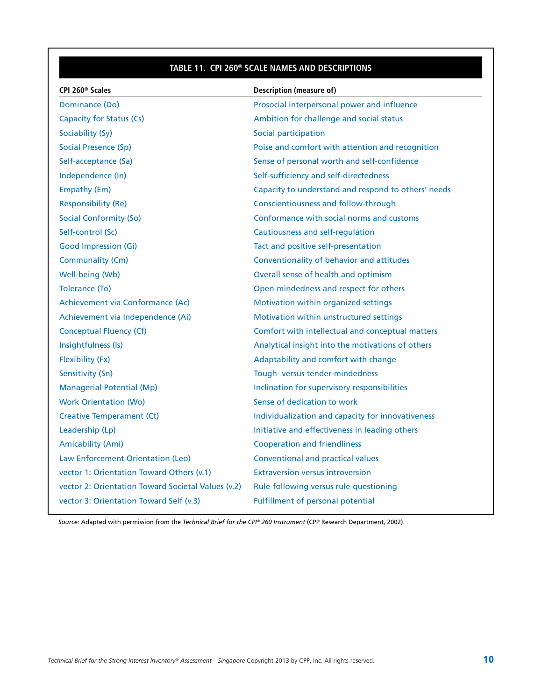### **Table 11. CPI 260® Scale Names and Descriptions**

| CPI 260 <sup>®</sup> Scales                        | Description (measure of)                            |
|----------------------------------------------------|-----------------------------------------------------|
| Dominance (Do)                                     | Prosocial interpersonal power and influence         |
| <b>Capacity for Status (Cs)</b>                    | Ambition for challenge and social status            |
| Sociability (Sy)                                   | Social participation                                |
| <b>Social Presence (Sp)</b>                        | Poise and comfort with attention and recognition    |
| Self-acceptance (Sa)                               | Sense of personal worth and self-confidence         |
| Independence (In)                                  | Self-sufficiency and self-directedness              |
| Empathy (Em)                                       | Capacity to understand and respond to others' needs |
| <b>Responsibility (Re)</b>                         | Conscientiousness and follow-through                |
| <b>Social Conformity (So)</b>                      | Conformance with social norms and customs           |
| Self-control (Sc)                                  | Cautiousness and self-regulation                    |
| <b>Good Impression (Gi)</b>                        | Tact and positive self-presentation                 |
| Communality (Cm)                                   | Conventionality of behavior and attitudes           |
| Well-being (Wb)                                    | Overall sense of health and optimism                |
| Tolerance (To)                                     | Open-mindedness and respect for others              |
| Achievement via Conformance (Ac)                   | Motivation within organized settings                |
| Achievement via Independence (Ai)                  | Motivation within unstructured settings             |
| Conceptual Fluency (Cf)                            | Comfort with intellectual and conceptual matters    |
| Insightfulness (Is)                                | Analytical insight into the motivations of others   |
| Flexibility (Fx)                                   | Adaptability and comfort with change                |
| Sensitivity (Sn)                                   | Tough-versus tender-mindedness                      |
| <b>Managerial Potential (Mp)</b>                   | Inclination for supervisory responsibilities        |
| <b>Work Orientation (Wo)</b>                       | Sense of dedication to work                         |
| <b>Creative Temperament (Ct)</b>                   | Individualization and capacity for innovativeness   |
| Leadership (Lp)                                    | Initiative and effectiveness in leading others      |
| <b>Amicability (Ami)</b>                           | <b>Cooperation and friendliness</b>                 |
| Law Enforcement Orientation (Leo)                  | <b>Conventional and practical values</b>            |
| vector 1: Orientation Toward Others (v.1)          | <b>Extraversion versus introversion</b>             |
| vector 2: Orientation Toward Societal Values (v.2) | Rule-following versus rule-questioning              |
| vector 3: Orientation Toward Self (v.3)            | <b>Fulfillment of personal potential</b>            |

*Source:* Adapted with permission from the *Technical Brief for the CPI® 260 Instrument* (CPP Research Department, 2002).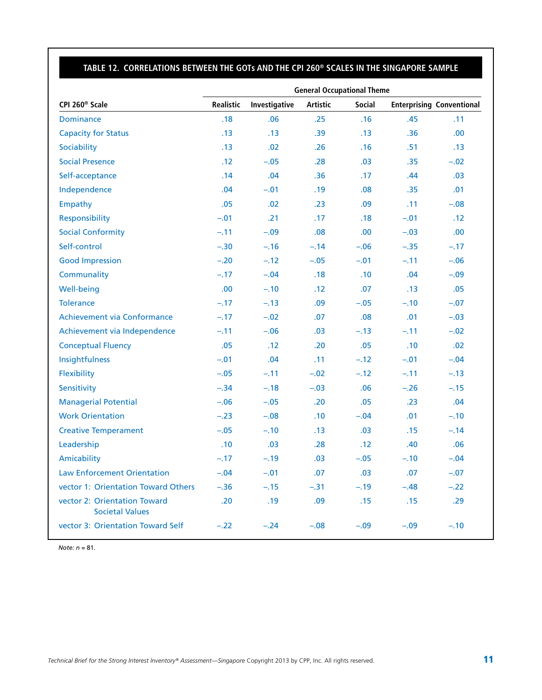### **Table 12. Correlations Between the GOTs and the CPI 260® Scales in the Singapore Sample**

|                                                        | <b>General Occupational Theme</b> |               |                 |               |        |                                  |  |
|--------------------------------------------------------|-----------------------------------|---------------|-----------------|---------------|--------|----------------------------------|--|
| CPI 260 <sup>®</sup> Scale                             | <b>Realistic</b>                  | Investigative | <b>Artistic</b> | <b>Social</b> |        | <b>Enterprising Conventional</b> |  |
| <b>Dominance</b>                                       | .18                               | .06           | .25             | .16           | .45    | .11                              |  |
| <b>Capacity for Status</b>                             | .13                               | .13           | .39             | .13           | .36    | .00                              |  |
| Sociability                                            | .13                               | .02           | .26             | .16           | .51    | .13                              |  |
| <b>Social Presence</b>                                 | .12                               | $-.05$        | .28             | .03           | .35    | $-.02$                           |  |
| Self-acceptance                                        | .14                               | .04           | .36             | .17           | .44    | .03                              |  |
| Independence                                           | .04                               | $-.01$        | .19             | .08           | .35    | .01                              |  |
| Empathy                                                | .05                               | .02           | .23             | .09           | .11    | $-.08$                           |  |
| Responsibility                                         | $-.01$                            | .21           | .17             | .18           | $-.01$ | .12                              |  |
| <b>Social Conformity</b>                               | $-.11$                            | $-.09$        | .08             | .00           | $-.03$ | .00                              |  |
| Self-control                                           | $-.30$                            | $-.16$        | $-.14$          | $-.06$        | $-.35$ | $-.17$                           |  |
| <b>Good Impression</b>                                 | $-.20$                            | $-.12$        | $-.05$          | $-.01$        | $-.11$ | $-.06$                           |  |
| Communality                                            | $-.17$                            | $-.04$        | .18             | .10           | .04    | $-.09$                           |  |
| Well-being                                             | .00.                              | $-.10$        | .12             | .07           | .13    | .05                              |  |
| <b>Tolerance</b>                                       | $-.17$                            | $-.13$        | .09             | $-.05$        | $-.10$ | $-.07$                           |  |
| Achievement via Conformance                            | $-.17$                            | $-.02$        | .07             | .08           | .01    | $-.03$                           |  |
| Achievement via Independence                           | $-.11$                            | $-.06$        | .03             | $-.13$        | $-.11$ | $-.02$                           |  |
| <b>Conceptual Fluency</b>                              | .05                               | .12           | .20             | .05           | .10    | .02                              |  |
| Insightfulness                                         | $-.01$                            | .04           | .11             | $-.12$        | $-.01$ | $-.04$                           |  |
| Flexibility                                            | $-.05$                            | $-.11$        | $-.02$          | $-.12$        | $-.11$ | $-.13$                           |  |
| Sensitivity                                            | $-.34$                            | $-.18$        | $-.03$          | .06           | $-.26$ | $-.15$                           |  |
| <b>Managerial Potential</b>                            | $-.06$                            | $-.05$        | .20             | .05           | .23    | .04                              |  |
| <b>Work Orientation</b>                                | $-.23$                            | $-.08$        | .10             | $-.04$        | .01    | $-.10$                           |  |
| <b>Creative Temperament</b>                            | $-.05$                            | $-.10$        | .13             | .03           | .15    | $-.14$                           |  |
| Leadership                                             | .10                               | .03           | .28             | .12           | .40    | .06                              |  |
| Amicability                                            | $-.17$                            | $-.19$        | .03             | $-.05$        | $-.10$ | $-.04$                           |  |
| <b>Law Enforcement Orientation</b>                     | $-.04$                            | $-.01$        | .07             | .03           | .07    | $-.07$                           |  |
| vector 1: Orientation Toward Others                    | $-.36$                            | $-.15$        | $-.31$          | $-.19$        | $-.48$ | $-.22$                           |  |
| vector 2: Orientation Toward<br><b>Societal Values</b> | .20                               | .19           | .09             | .15           | .15    | .29                              |  |
| vector 3: Orientation Toward Self                      | $-.22$                            | $-.24$        | $-.08$          | $-.09$        | $-.09$ | $-.10$                           |  |

*Note: n* = 81.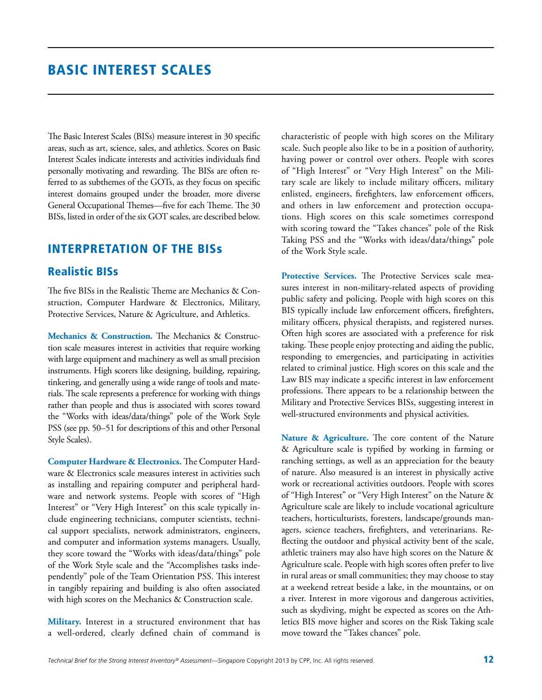### Basic Interest Scales

The Basic Interest Scales (BISs) measure interest in 30 specific areas, such as art, science, sales, and athletics. Scores on Basic Interest Scales indicate interests and activities individuals find personally motivating and rewarding. The BISs are often referred to as subthemes of the GOTs, as they focus on specific interest domains grouped under the broader, more diverse General Occupational Themes—five for each Theme. The 30 BISs, listed in order of the six GOT scales, are described below.

### Interpretation of the BISs

### Realistic BISs

The five BISs in the Realistic Theme are Mechanics & Construction, Computer Hardware & Electronics, Military, Protective Services, Nature & Agriculture, and Athletics.

**Mechanics & Construction.** The Mechanics & Construction scale measures interest in activities that require working with large equipment and machinery as well as small precision instruments. High scorers like designing, building, repairing, tinkering, and generally using a wide range of tools and materials. The scale represents a preference for working with things rather than people and thus is associated with scores toward the "Works with ideas/data/things" pole of the Work Style PSS (see pp. 50–51 for descriptions of this and other Personal Style Scales).

**Computer Hardware & Electronics.** The Computer Hardware & Electronics scale measures interest in activities such as installing and repairing computer and peripheral hardware and network systems. People with scores of "High Interest" or "Very High Interest" on this scale typically include engineering technicians, computer scientists, technical support specialists, network administrators, engineers, and computer and information systems managers. Usually, they score toward the "Works with ideas/data/things" pole of the Work Style scale and the "Accomplishes tasks independently" pole of the Team Orientation PSS. This interest in tangibly repairing and building is also often associated with high scores on the Mechanics & Construction scale.

**Military.** Interest in a structured environment that has a well-ordered, clearly defined chain of command is

characteristic of people with high scores on the Military scale. Such people also like to be in a position of authority, having power or control over others. People with scores of "High Interest" or "Very High Interest" on the Military scale are likely to include military officers, military enlisted, engineers, firefighters, law enforcement officers, and others in law enforcement and protection occupations. High scores on this scale sometimes correspond with scoring toward the "Takes chances" pole of the Risk Taking PSS and the "Works with ideas/data/things" pole of the Work Style scale.

**Protective Services.** The Protective Services scale measures interest in non-military-related aspects of providing public safety and policing. People with high scores on this BIS typically include law enforcement officers, firefighters, military officers, physical therapists, and registered nurses. Often high scores are associated with a preference for risk taking. These people enjoy protecting and aiding the public, responding to emergencies, and participating in activities related to criminal justice. High scores on this scale and the Law BIS may indicate a specific interest in law enforcement professions. There appears to be a relationship between the Military and Protective Services BISs, suggesting interest in well-structured environments and physical activities.

**Nature & Agriculture.** The core content of the Nature & Agriculture scale is typified by working in farming or ranching settings, as well as an appreciation for the beauty of nature. Also measured is an interest in physically active work or recreational activities outdoors. People with scores of "High Interest" or "Very High Interest" on the Nature & Agriculture scale are likely to include vocational agriculture teachers, horticulturists, foresters, landscape/grounds managers, science teachers, firefighters, and veterinarians. Reflecting the outdoor and physical activity bent of the scale, athletic trainers may also have high scores on the Nature & Agriculture scale. People with high scores often prefer to live in rural areas or small communities; they may choose to stay at a weekend retreat beside a lake, in the mountains, or on a river. Interest in more vigorous and dangerous activities, such as skydiving, might be expected as scores on the Athletics BIS move higher and scores on the Risk Taking scale move toward the "Takes chances" pole.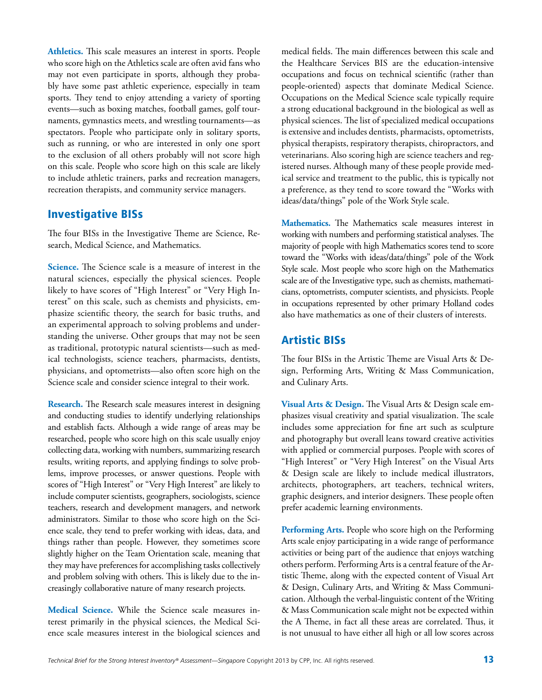**Athletics.** This scale measures an interest in sports. People who score high on the Athletics scale are often avid fans who may not even participate in sports, although they probably have some past athletic experience, especially in team sports. They tend to enjoy attending a variety of sporting events—such as boxing matches, football games, golf tournaments, gymnastics meets, and wrestling tournaments—as spectators. People who participate only in solitary sports, such as running, or who are interested in only one sport to the exclusion of all others probably will not score high on this scale. People who score high on this scale are likely to include athletic trainers, parks and recreation managers, recreation therapists, and community service managers.

#### Investigative BISs

The four BISs in the Investigative Theme are Science, Research, Medical Science, and Mathematics.

**Science.** The Science scale is a measure of interest in the natural sciences, especially the physical sciences. People likely to have scores of "High Interest" or "Very High Interest" on this scale, such as chemists and physicists, emphasize scientific theory, the search for basic truths, and an experimental approach to solving problems and understanding the universe. Other groups that may not be seen as traditional, prototypic natural scientists—such as medical technologists, science teachers, pharmacists, dentists, physicians, and optometrists—also often score high on the Science scale and consider science integral to their work.

**Research.** The Research scale measures interest in designing and conducting studies to identify underlying relationships and establish facts. Although a wide range of areas may be researched, people who score high on this scale usually enjoy collecting data, working with numbers, summarizing research results, writing reports, and applying findings to solve problems, improve processes, or answer questions. People with scores of "High Interest" or "Very High Interest" are likely to include computer scientists, geographers, sociologists, science teachers, research and development managers, and network administrators. Similar to those who score high on the Science scale, they tend to prefer working with ideas, data, and things rather than people. However, they sometimes score slightly higher on the Team Orientation scale, meaning that they may have preferences for accomplishing tasks collectively and problem solving with others. This is likely due to the increasingly collaborative nature of many research projects.

**Medical Science.** While the Science scale measures interest primarily in the physical sciences, the Medical Science scale measures interest in the biological sciences and medical fields. The main differences between this scale and the Healthcare Services BIS are the education-intensive occupations and focus on technical scientific (rather than people-oriented) aspects that dominate Medical Science. Occupations on the Medical Science scale typically require a strong educational background in the biological as well as physical sciences. The list of specialized medical occupations is extensive and includes dentists, pharmacists, optometrists, physical therapists, respiratory therapists, chiropractors, and veterinarians. Also scoring high are science teachers and registered nurses. Although many of these people provide medical service and treatment to the public, this is typically not a preference, as they tend to score toward the "Works with ideas/data/things" pole of the Work Style scale.

**Mathematics.** The Mathematics scale measures interest in working with numbers and performing statistical analyses. The majority of people with high Mathematics scores tend to score toward the "Works with ideas/data/things" pole of the Work Style scale. Most people who score high on the Mathematics scale are of the Investigative type, such as chemists, mathematicians, optometrists, computer scientists, and physicists. People in occupations represented by other primary Holland codes also have mathematics as one of their clusters of interests.

### Artistic BISs

The four BISs in the Artistic Theme are Visual Arts & Design, Performing Arts, Writing & Mass Communication, and Culinary Arts.

**Visual Arts & Design.** The Visual Arts & Design scale emphasizes visual creativity and spatial visualization. The scale includes some appreciation for fine art such as sculpture and photography but overall leans toward creative activities with applied or commercial purposes. People with scores of "High Interest" or "Very High Interest" on the Visual Arts & Design scale are likely to include medical illustrators, architects, photographers, art teachers, technical writers, graphic designers, and interior designers. These people often prefer academic learning environments.

**Performing Arts.** People who score high on the Performing Arts scale enjoy participating in a wide range of performance activities or being part of the audience that enjoys watching others perform. Performing Arts is a central feature of the Artistic Theme, along with the expected content of Visual Art & Design, Culinary Arts, and Writing & Mass Communication. Although the verbal-linguistic content of the Writing & Mass Communication scale might not be expected within the A Theme, in fact all these areas are correlated. Thus, it is not unusual to have either all high or all low scores across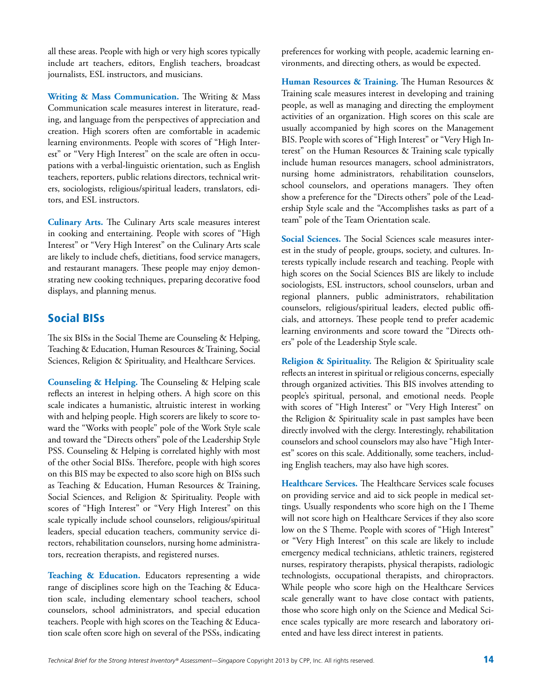all these areas. People with high or very high scores typically include art teachers, editors, English teachers, broadcast journalists, ESL instructors, and musicians.

**Writing & Mass Communication.** The Writing & Mass Communication scale measures interest in literature, reading, and language from the perspectives of appreciation and creation. High scorers often are comfortable in academic learning environments. People with scores of "High Interest" or "Very High Interest" on the scale are often in occupations with a verbal-linguistic orientation, such as English teachers, reporters, public relations directors, technical writers, sociologists, religious/spiritual leaders, translators, editors, and ESL instructors.

**Culinary Arts.** The Culinary Arts scale measures interest in cooking and entertaining. People with scores of "High Interest" or "Very High Interest" on the Culinary Arts scale are likely to include chefs, dietitians, food service managers, and restaurant managers. These people may enjoy demonstrating new cooking techniques, preparing decorative food displays, and planning menus.

### Social BISs

The six BISs in the Social Theme are Counseling & Helping, Teaching & Education, Human Resources & Training, Social Sciences, Religion & Spirituality, and Healthcare Services.

**Counseling & Helping.** The Counseling & Helping scale reflects an interest in helping others. A high score on this scale indicates a humanistic, altruistic interest in working with and helping people. High scorers are likely to score toward the "Works with people" pole of the Work Style scale and toward the "Directs others" pole of the Leadership Style PSS. Counseling & Helping is correlated highly with most of the other Social BISs. Therefore, people with high scores on this BIS may be expected to also score high on BISs such as Teaching & Education, Human Resources & Training, Social Sciences, and Religion & Spirituality. People with scores of "High Interest" or "Very High Interest" on this scale typically include school counselors, religious/spiritual leaders, special education teachers, community service directors, rehabilitation counselors, nursing home administrators, recreation therapists, and registered nurses.

**Teaching & Education.** Educators representing a wide range of disciplines score high on the Teaching & Education scale, including elementary school teachers, school counselors, school administrators, and special education teachers. People with high scores on the Teaching & Education scale often score high on several of the PSSs, indicating preferences for working with people, academic learning environments, and directing others, as would be expected.

**Human Resources & Training.** The Human Resources & Training scale measures interest in developing and training people, as well as managing and directing the employment activities of an organization. High scores on this scale are usually accompanied by high scores on the Management BIS. People with scores of "High Interest" or "Very High Interest" on the Human Resources & Training scale typically include human resources managers, school administrators, nursing home administrators, rehabilitation counselors, school counselors, and operations managers. They often show a preference for the "Directs others" pole of the Leadership Style scale and the "Accomplishes tasks as part of a team" pole of the Team Orientation scale.

**Social Sciences.** The Social Sciences scale measures interest in the study of people, groups, society, and cultures. Interests typically include research and teaching. People with high scores on the Social Sciences BIS are likely to include sociologists, ESL instructors, school counselors, urban and regional planners, public administrators, rehabilitation counselors, religious/spiritual leaders, elected public officials, and attorneys. These people tend to prefer academic learning environments and score toward the "Directs others" pole of the Leadership Style scale.

**Religion & Spirituality.** The Religion & Spirituality scale reflects an interest in spiritual or religious concerns, especially through organized activities. This BIS involves attending to people's spiritual, personal, and emotional needs. People with scores of "High Interest" or "Very High Interest" on the Religion & Spirituality scale in past samples have been directly involved with the clergy. Interestingly, rehabilitation counselors and school counselors may also have "High Interest" scores on this scale. Additionally, some teachers, including English teachers, may also have high scores.

**Healthcare Services.** The Healthcare Services scale focuses on providing service and aid to sick people in medical settings. Usually respondents who score high on the I Theme will not score high on Healthcare Services if they also score low on the S Theme. People with scores of "High Interest" or "Very High Interest" on this scale are likely to include emergency medical technicians, athletic trainers, registered nurses, respiratory therapists, physical therapists, radiologic technologists, occupational therapists, and chiropractors. While people who score high on the Healthcare Services scale generally want to have close contact with patients, those who score high only on the Science and Medical Science scales typically are more research and laboratory oriented and have less direct interest in patients.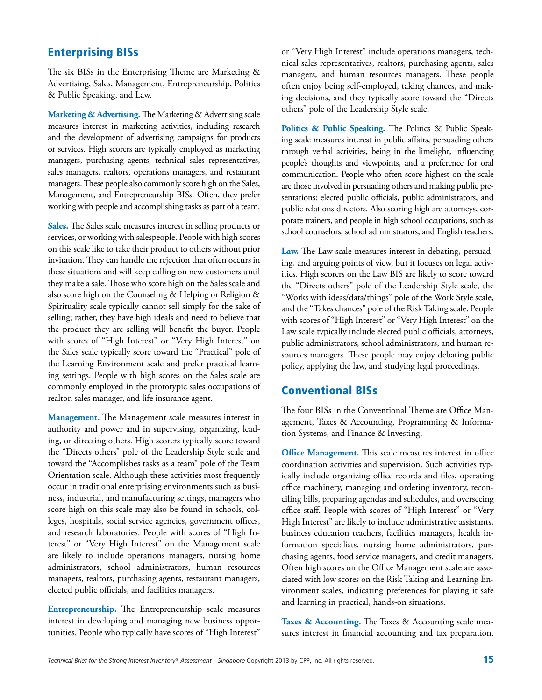### Enterprising BISs

The six BISs in the Enterprising Theme are Marketing & Advertising, Sales, Management, Entrepreneurship, Politics & Public Speaking, and Law.

**Marketing & Advertising.** The Marketing & Advertising scale measures interest in marketing activities, including research and the development of advertising campaigns for products or services. High scorers are typically employed as marketing managers, purchasing agents, technical sales representatives, sales managers, realtors, operations managers, and restaurant managers. These people also commonly score high on the Sales, Management, and Entrepreneurship BISs. Often, they prefer working with people and accomplishing tasks as part of a team.

**Sales.** The Sales scale measures interest in selling products or services, or working with salespeople. People with high scores on this scale like to take their product to others without prior invitation. They can handle the rejection that often occurs in these situations and will keep calling on new customers until they make a sale. Those who score high on the Sales scale and also score high on the Counseling & Helping or Religion & Spirituality scale typically cannot sell simply for the sake of selling; rather, they have high ideals and need to believe that the product they are selling will benefit the buyer. People with scores of "High Interest" or "Very High Interest" on the Sales scale typically score toward the "Practical" pole of the Learning Environment scale and prefer practical learning settings. People with high scores on the Sales scale are commonly employed in the prototypic sales occupations of realtor, sales manager, and life insurance agent.

**Management.** The Management scale measures interest in authority and power and in supervising, organizing, leading, or directing others. High scorers typically score toward the "Directs others" pole of the Leadership Style scale and toward the "Accomplishes tasks as a team" pole of the Team Orientation scale. Although these activities most frequently occur in traditional enterprising environments such as business, industrial, and manufacturing settings, managers who score high on this scale may also be found in schools, colleges, hospitals, social service agencies, government offices, and research laboratories. People with scores of "High Interest" or "Very High Interest" on the Management scale are likely to include operations managers, nursing home administrators, school administrators, human resources managers, realtors, purchasing agents, restaurant managers, elected public officials, and facilities managers.

**Entrepreneurship.** The Entrepreneurship scale measures interest in developing and managing new business opportunities. People who typically have scores of "High Interest" or "Very High Interest" include operations managers, technical sales representatives, realtors, purchasing agents, sales managers, and human resources managers. These people often enjoy being self-employed, taking chances, and making decisions, and they typically score toward the "Directs others" pole of the Leadership Style scale.

**Politics & Public Speaking.** The Politics & Public Speaking scale measures interest in public affairs, persuading others through verbal activities, being in the limelight, influencing people's thoughts and viewpoints, and a preference for oral communication. People who often score highest on the scale are those involved in persuading others and making public presentations: elected public officials, public administrators, and public relations directors. Also scoring high are attorneys, corporate trainers, and people in high school occupations, such as school counselors, school administrators, and English teachers.

**Law.** The Law scale measures interest in debating, persuading, and arguing points of view, but it focuses on legal activities. High scorers on the Law BIS are likely to score toward the "Directs others" pole of the Leadership Style scale, the "Works with ideas/data/things" pole of the Work Style scale, and the "Takes chances" pole of the Risk Taking scale. People with scores of "High Interest" or "Very High Interest" on the Law scale typically include elected public officials, attorneys, public administrators, school administrators, and human resources managers. These people may enjoy debating public policy, applying the law, and studying legal proceedings.

### Conventional BISs

The four BISs in the Conventional Theme are Office Management, Taxes & Accounting, Programming & Information Systems, and Finance & Investing.

**Office Management.** This scale measures interest in office coordination activities and supervision. Such activities typically include organizing office records and files, operating office machinery, managing and ordering inventory, reconciling bills, preparing agendas and schedules, and overseeing office staff. People with scores of "High Interest" or "Very High Interest" are likely to include administrative assistants, business education teachers, facilities managers, health information specialists, nursing home administrators, purchasing agents, food service managers, and credit managers. Often high scores on the Office Management scale are associated with low scores on the Risk Taking and Learning Environment scales, indicating preferences for playing it safe and learning in practical, hands-on situations.

Taxes & Accounting. The Taxes & Accounting scale measures interest in financial accounting and tax preparation.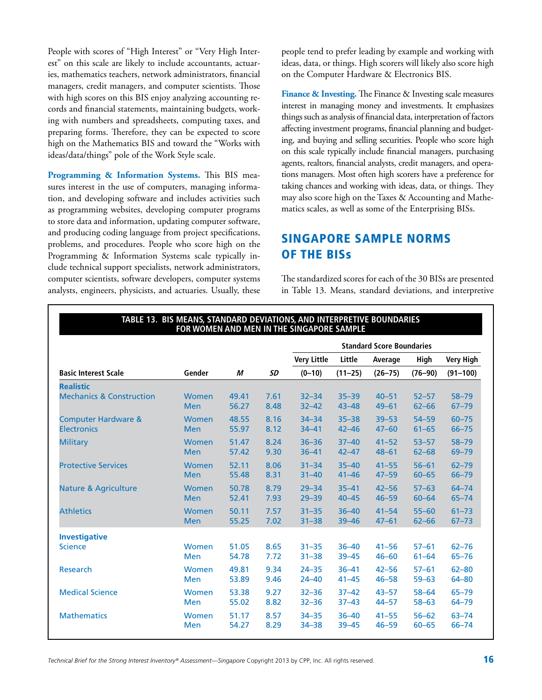People with scores of "High Interest" or "Very High Interest" on this scale are likely to include accountants, actuaries, mathematics teachers, network administrators, financial managers, credit managers, and computer scientists. Those with high scores on this BIS enjoy analyzing accounting records and financial statements, maintaining budgets, working with numbers and spreadsheets, computing taxes, and preparing forms. Therefore, they can be expected to score high on the Mathematics BIS and toward the "Works with ideas/data/things" pole of the Work Style scale.

**Programming & Information Systems.** This BIS measures interest in the use of computers, managing information, and developing software and includes activities such as programming websites, developing computer programs to store data and information, updating computer software, and producing coding language from project specifications, problems, and procedures. People who score high on the Programming & Information Systems scale typically include technical support specialists, network administrators, computer scientists, software developers, computer systems analysts, engineers, physicists, and actuaries. Usually, these people tend to prefer leading by example and working with ideas, data, or things. High scorers will likely also score high on the Computer Hardware & Electronics BIS.

**Finance & Investing.** The Finance & Investing scale measures interest in managing money and investments. It emphasizes things such as analysis of financial data, interpretation of factors affecting investment programs, financial planning and budgeting, and buying and selling securities. People who score high on this scale typically include financial managers, purchasing agents, realtors, financial analysts, credit managers, and operations managers. Most often high scorers have a preference for taking chances and working with ideas, data, or things. They may also score high on the Taxes & Accounting and Mathematics scales, as well as some of the Enterprising BISs.

### Singapore Sample Norms of the BISs

The standardized scores for each of the 30 BISs are presented in Table 13. Means, standard deviations, and interpretive

|                                     | FOR WOMEN AND MEN IN THE SINGAPORE SAMPLE |       |      |                    |             |                                  |             |                  |
|-------------------------------------|-------------------------------------------|-------|------|--------------------|-------------|----------------------------------|-------------|------------------|
|                                     |                                           |       |      |                    |             | <b>Standard Score Boundaries</b> |             |                  |
|                                     |                                           |       |      | <b>Very Little</b> | Little      | Average                          | High        | <b>Very High</b> |
| <b>Basic Interest Scale</b>         | Gender                                    | М     | SD   | $(0-10)$           | $(11 - 25)$ | $(26 - 75)$                      | $(76 - 90)$ | $(91 - 100)$     |
| <b>Realistic</b>                    |                                           |       |      |                    |             |                                  |             |                  |
| <b>Mechanics &amp; Construction</b> | <b>Women</b>                              | 49.41 | 7.61 | $32 - 34$          | $35 - 39$   | $40 - 51$                        | $52 - 57$   | $58 - 79$        |
|                                     | <b>Men</b>                                | 56.27 | 8.48 | $32 - 42$          | $43 - 48$   | $49 - 61$                        | $62 - 66$   | $67 - 79$        |
| <b>Computer Hardware &amp;</b>      | <b>Women</b>                              | 48.55 | 8.16 | $34 - 34$          | $35 - 38$   | $39 - 53$                        | $54 - 59$   | $60 - 75$        |
| <b>Electronics</b>                  | <b>Men</b>                                | 55.97 | 8.12 | $34 - 41$          | $42 - 46$   | $47 - 60$                        | $61 - 65$   | $66 - 75$        |
| <b>Military</b>                     | <b>Women</b>                              | 51.47 | 8.24 | $36 - 36$          | $37 - 40$   | $41 - 52$                        | $53 - 57$   | $58 - 79$        |
|                                     | <b>Men</b>                                | 57.42 | 9.30 | $36 - 41$          | $42 - 47$   | $48 - 61$                        | $62 - 68$   | 69-79            |
| <b>Protective Services</b>          | <b>Women</b>                              | 52.11 | 8.06 | $31 - 34$          | $35 - 40$   | $41 - 55$                        | $56 - 61$   | $62 - 79$        |
|                                     | <b>Men</b>                                | 55.48 | 8.31 | $31 - 40$          | $41 - 46$   | $47 - 59$                        | $60 - 65$   | $66 - 79$        |
| <b>Nature &amp; Agriculture</b>     | <b>Women</b>                              | 50.78 | 8.79 | $29 - 34$          | $35 - 41$   | $42 - 56$                        | $57 - 63$   | $64 - 74$        |
|                                     | <b>Men</b>                                | 52.41 | 7.93 | $29 - 39$          | $40 - 45$   | $46 - 59$                        | $60 - 64$   | $65 - 74$        |
| <b>Athletics</b>                    | <b>Women</b>                              | 50.11 | 7.57 | $31 - 35$          | $36 - 40$   | $41 - 54$                        | $55 - 60$   | $61 - 73$        |
|                                     | <b>Men</b>                                | 55.25 | 7.02 | $31 - 38$          | $39 - 46$   | $47 - 61$                        | $62 - 66$   | $67 - 73$        |
| <b>Investigative</b>                |                                           |       |      |                    |             |                                  |             |                  |
| <b>Science</b>                      | Women                                     | 51.05 | 8.65 | $31 - 35$          | $36 - 40$   | $41 - 56$                        | $57 - 61$   | $62 - 76$        |
|                                     | Men                                       | 54.78 | 7.72 | $31 - 38$          | $39 - 45$   | $46 - 60$                        | $61 - 64$   | $65 - 76$        |
| Research                            | <b>Women</b>                              | 49.81 | 9.34 | $24 - 35$          | $36 - 41$   | $42 - 56$                        | $57 - 61$   | $62 - 80$        |
|                                     | <b>Men</b>                                | 53.89 | 9.46 | $24 - 40$          | $41 - 45$   | $46 - 58$                        | $59 - 63$   | $64 - 80$        |
| <b>Medical Science</b>              | <b>Women</b>                              | 53.38 | 9.27 | $32 - 36$          | $37 - 42$   | $43 - 57$                        | $58 - 64$   | $65 - 79$        |
|                                     | Men                                       | 55.02 | 8.82 | $32 - 36$          | $37 - 43$   | $44 - 57$                        | $58 - 63$   | 64-79            |
| <b>Mathematics</b>                  | <b>Women</b>                              | 51.17 | 8.57 | $34 - 35$          | $36 - 40$   | $41 - 55$                        | $56 - 62$   | $63 - 74$        |
|                                     | <b>Men</b>                                | 54.27 | 8.29 | $34 - 38$          | $39 - 45$   | $46 - 59$                        | $60 - 65$   | $66 - 74$        |

**Table 13. BIS Means, Standard Deviations, and Interpretive boundaries for Women and Men in the Singapore Sample**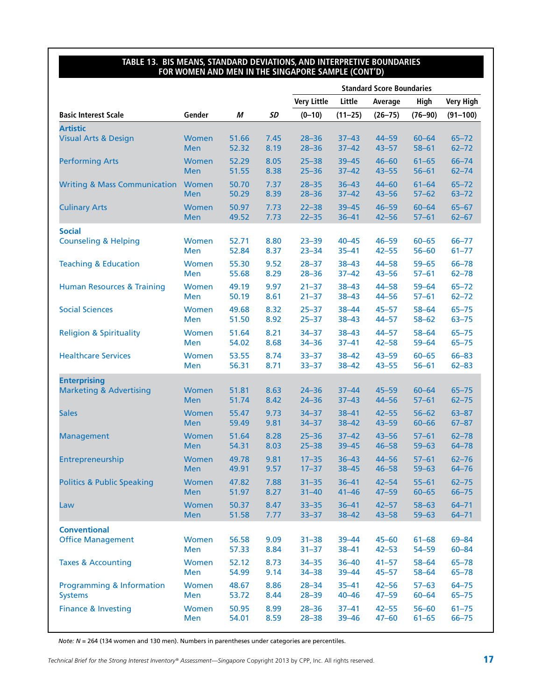#### **Table 13. BIS Means, Standard Deviations, and Interpretive boundaries for Women and Men in the Singapore Sample (cont'd)**

|                                         |              |       |      |                    |             | <b>Standard Score Boundaries</b> |             |                  |
|-----------------------------------------|--------------|-------|------|--------------------|-------------|----------------------------------|-------------|------------------|
|                                         |              |       |      | <b>Very Little</b> | Little      | Average                          | High        | <b>Very High</b> |
| <b>Basic Interest Scale</b>             | Gender       | М     | SD   | $(0-10)$           | $(11 - 25)$ | $(26 - 75)$                      | $(76 - 90)$ | $(91 - 100)$     |
| <b>Artistic</b>                         |              |       |      |                    |             |                                  |             |                  |
| <b>Visual Arts &amp; Design</b>         | <b>Women</b> | 51.66 | 7.45 | $28 - 36$          | $37 - 43$   | $44 - 59$                        | $60 - 64$   | $65 - 72$        |
|                                         | <b>Men</b>   | 52.32 | 8.19 | $28 - 36$          | $37 - 42$   | $43 - 57$                        | $58 - 61$   | $62 - 72$        |
| <b>Performing Arts</b>                  | Women        | 52.29 | 8.05 | $25 - 38$          | $39 - 45$   | $46 - 60$                        | $61 - 65$   | $66 - 74$        |
|                                         | <b>Men</b>   | 51.55 | 8.38 | $25 - 36$          | $37 - 42$   | $43 - 55$                        | $56 - 61$   | $62 - 74$        |
| <b>Writing &amp; Mass Communication</b> | Women        | 50.70 | 7.37 | $28 - 35$          | $36 - 43$   | $44 - 60$                        | $61 - 64$   | $65 - 72$        |
|                                         | <b>Men</b>   | 50.29 | 8.39 | $28 - 36$          | $37 - 42$   | $43 - 56$                        | $57 - 62$   | $63 - 72$        |
| <b>Culinary Arts</b>                    | Women        | 50.97 | 7.73 | $22 - 38$          | $39 - 45$   | $46 - 59$                        | $60 - 64$   | $65 - 67$        |
|                                         | <b>Men</b>   | 49.52 | 7.73 | $22 - 35$          | $36 - 41$   | $42 - 56$                        | $57 - 61$   | $62 - 67$        |
| <b>Social</b>                           |              |       |      |                    |             |                                  |             |                  |
| <b>Counseling &amp; Helping</b>         | Women        | 52.71 | 8.80 | $23 - 39$          | $40 - 45$   | $46 - 59$                        | $60 - 65$   | $66 - 77$        |
|                                         | Men          | 52.84 | 8.37 | $23 - 34$          | $35 - 41$   | $42 - 55$                        | $56 - 60$   | $61 - 77$        |
| <b>Teaching &amp; Education</b>         | <b>Women</b> | 55.30 | 9.52 | $28 - 37$          | $38 - 43$   | $44 - 58$                        | $59 - 65$   | $66 - 78$        |
|                                         | Men          | 55.68 | 8.29 | $28 - 36$          | $37 - 42$   | $43 - 56$                        | $57 - 61$   | $62 - 78$        |
| <b>Human Resources &amp; Training</b>   | <b>Women</b> | 49.19 | 9.97 | $21 - 37$          | $38 - 43$   | $44 - 58$                        | $59 - 64$   | $65 - 72$        |
|                                         | Men          | 50.19 | 8.61 | $21 - 37$          | $38 - 43$   | $44 - 56$                        | $57 - 61$   | $62 - 72$        |
| <b>Social Sciences</b>                  | Women        | 49.68 | 8.32 | $25 - 37$          | $38 - 44$   | $45 - 57$                        | $58 - 64$   | $65 - 75$        |
|                                         | Men          | 51.50 | 8.92 | $25 - 37$          | $38 - 43$   | $44 - 57$                        | $58 - 62$   | $63 - 75$        |
| <b>Religion &amp; Spirituality</b>      | Women        | 51.64 | 8.21 | $34 - 37$          | $38 - 43$   | $44 - 57$                        | $58 - 64$   | $65 - 75$        |
|                                         | Men          | 54.02 | 8.68 | $34 - 36$          | $37 - 41$   | $42 - 58$                        | $59 - 64$   | $65 - 75$        |
| <b>Healthcare Services</b>              | <b>Women</b> | 53.55 | 8.74 | $33 - 37$          | $38 - 42$   | $43 - 59$                        | $60 - 65$   | $66 - 83$        |
|                                         | Men          | 56.31 | 8.71 | $33 - 37$          | $38 - 42$   | $43 - 55$                        | $56 - 61$   | $62 - 83$        |
| <b>Enterprising</b>                     |              |       |      |                    |             |                                  |             |                  |
| <b>Marketing &amp; Advertising</b>      | Women        | 51.81 | 8.63 | $24 - 36$          | $37 - 44$   | $45 - 59$                        | $60 - 64$   | $65 - 75$        |
|                                         | <b>Men</b>   | 51.74 | 8.42 | $24 - 36$          | $37 - 43$   | $44 - 56$                        | $57 - 61$   | $62 - 75$        |
| <b>Sales</b>                            | Women        | 55.47 | 9.73 | $34 - 37$          | $38 - 41$   | $42 - 55$                        | $56 - 62$   | $63 - 87$        |
|                                         | <b>Men</b>   | 59.49 | 9.81 | $34 - 37$          | $38 - 42$   | $43 - 59$                        | $60 - 66$   | $67 - 87$        |
| <b>Management</b>                       | Women        | 51.64 | 8.28 | $25 - 36$          | $37 - 42$   | $43 - 56$                        | $57 - 61$   | $62 - 78$        |
|                                         | <b>Men</b>   | 54.31 | 8.03 | $25 - 38$          | $39 - 45$   | $46 - 58$                        | $59 - 63$   | $64 - 78$        |
| Entrepreneurship                        | Women        | 49.78 | 9.81 | $17 - 35$          | $36 - 43$   | $44 - 56$                        | $57 - 61$   | $62 - 76$        |
|                                         | <b>Men</b>   | 49.91 | 9.57 | $17 - 37$          | $38 - 45$   | $46 - 58$                        | $59 - 63$   | $64 - 76$        |
| <b>Politics &amp; Public Speaking</b>   | Women        | 47.82 | 7.88 | $31 - 35$          | $36 - 41$   | $42 - 54$                        | $55 - 61$   | $62 - 75$        |
|                                         | <b>Men</b>   | 51.97 | 8.27 | $31 - 40$          | $41 - 46$   | $47 - 59$                        | $60 - 65$   | $66 - 75$        |
| Law                                     | Women        | 50.37 | 8.47 | $33 - 35$          | $36 - 41$   | $42 - 57$                        | $58 - 63$   | $64 - 71$        |
|                                         | Men          | 51.58 | 7.77 | $33 - 37$          | $38 - 42$   | $43 - 58$                        | $59 - 63$   | $64 - 71$        |
| <b>Conventional</b>                     |              |       |      |                    |             |                                  |             |                  |
| <b>Office Management</b>                | Women        | 56.58 | 9.09 | $31 - 38$          | $39 - 44$   | $45 - 60$                        | $61 - 68$   | 69-84            |
|                                         | Men          | 57.33 | 8.84 | $31 - 37$          | $38 - 41$   | $42 - 53$                        | $54 - 59$   | $60 - 84$        |
| <b>Taxes &amp; Accounting</b>           | Women        | 52.12 | 8.73 | $34 - 35$          | $36 - 40$   | $41 - 57$                        | $58 - 64$   | $65 - 78$        |
|                                         | Men          | 54.99 | 9.14 | $34 - 38$          | 39-44       | $45 - 57$                        | $58 - 64$   | $65 - 78$        |
| Programming & Information               | Women        | 48.67 | 8.86 | $28 - 34$          | $35 - 41$   | $42 - 56$                        | $57 - 63$   | $64 - 75$        |
| <b>Systems</b>                          | Men          | 53.72 | 8.44 | $28 - 39$          | $40 - 46$   | $47 - 59$                        | $60 - 64$   | $65 - 75$        |
| <b>Finance &amp; Investing</b>          | Women        | 50.95 | 8.99 | $28 - 36$          | $37 - 41$   | $42 - 55$                        | $56 - 60$   | $61 - 75$        |
|                                         | Men          | 54.01 | 8.59 | $28 - 38$          | $39 - 46$   | $47 - 60$                        | $61 - 65$   | $66 - 75$        |

*Note: N* = 264 (134 women and 130 men). Numbers in parentheses under categories are percentiles.

*Technical Brief for the Strong Interest Inventory® Assessment—Singapore Copyright 2013 by CPP, Inc. All rights reserved. 17*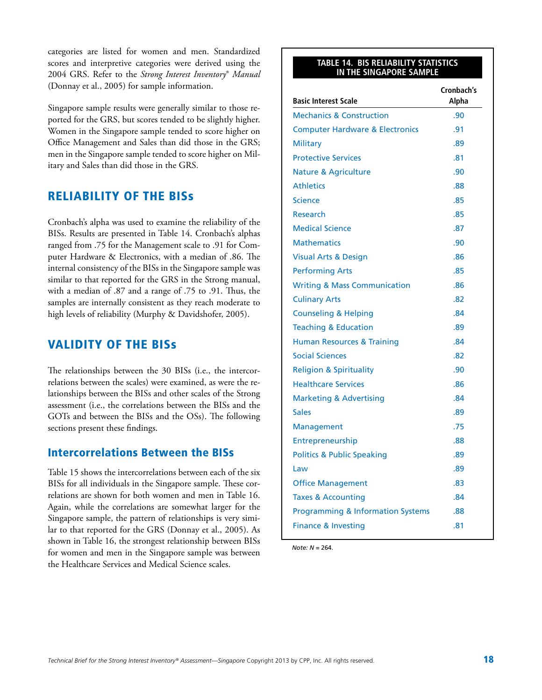categories are listed for women and men. Standardized scores and interpretive categories were derived using the 2004 GRS. Refer to the *Strong Interest Inventory*® *Manual*  (Donnay et al., 2005) for sample information.

Singapore sample results were generally similar to those reported for the GRS, but scores tended to be slightly higher. Women in the Singapore sample tended to score higher on Office Management and Sales than did those in the GRS; men in the Singapore sample tended to score higher on Military and Sales than did those in the GRS.

### Reliability of the BISs

Cronbach's alpha was used to examine the reliability of the BISs. Results are presented in Table 14. Cronbach's alphas ranged from .75 for the Management scale to .91 for Computer Hardware & Electronics, with a median of .86. The internal consistency of the BISs in the Singapore sample was similar to that reported for the GRS in the Strong manual, with a median of .87 and a range of .75 to .91. Thus, the samples are internally consistent as they reach moderate to high levels of reliability (Murphy & Davidshofer, 2005).

### Validity of the BISs

The relationships between the 30 BISs (i.e., the intercorrelations between the scales) were examined, as were the relationships between the BISs and other scales of the Strong assessment (i.e., the correlations between the BISs and the GOTs and between the BISs and the OSs). The following sections present these findings.

### Intercorrelations Between the BISs

Table 15 shows the intercorrelations between each of the six BISs for all individuals in the Singapore sample. These correlations are shown for both women and men in Table 16. Again, while the correlations are somewhat larger for the Singapore sample, the pattern of relationships is very similar to that reported for the GRS (Donnay et al., 2005). As shown in Table 16, the strongest relationship between BISs for women and men in the Singapore sample was between the Healthcare Services and Medical Science scales.

#### **Table 14. BIS Reliability Statistics in the Singapore Sample**

| <b>Basic Interest Scale</b>                  | Cronbach's<br>Alpha |
|----------------------------------------------|---------------------|
| <b>Mechanics &amp; Construction</b>          | .90                 |
| <b>Computer Hardware &amp; Electronics</b>   | .91                 |
| <b>Military</b>                              | .89                 |
| <b>Protective Services</b>                   | .81                 |
| <b>Nature &amp; Agriculture</b>              | .90                 |
| <b>Athletics</b>                             | .88                 |
| Science                                      | .85                 |
| Research                                     | .85                 |
| <b>Medical Science</b>                       | .87                 |
| <b>Mathematics</b>                           | .90                 |
| Visual Arts & Design                         | .86                 |
| <b>Performing Arts</b>                       | .85                 |
| <b>Writing &amp; Mass Communication</b>      | .86                 |
| <b>Culinary Arts</b>                         | .82                 |
| <b>Counseling &amp; Helping</b>              | .84                 |
| <b>Teaching &amp; Education</b>              | .89                 |
| <b>Human Resources &amp; Training</b>        | .84                 |
| <b>Social Sciences</b>                       | .82                 |
| <b>Religion &amp; Spirituality</b>           | .90                 |
| <b>Healthcare Services</b>                   | .86                 |
| <b>Marketing &amp; Advertising</b>           | .84                 |
| <b>Sales</b>                                 | .89                 |
| <b>Management</b>                            | .75                 |
| Entrepreneurship                             | .88                 |
| <b>Politics &amp; Public Speaking</b>        | .89                 |
| Law                                          | .89                 |
| <b>Office Management</b>                     | .83                 |
| <b>Taxes &amp; Accounting</b>                | .84                 |
| <b>Programming &amp; Information Systems</b> | .88                 |
| <b>Finance &amp; Investing</b>               | .81                 |

*Note: N* = 264.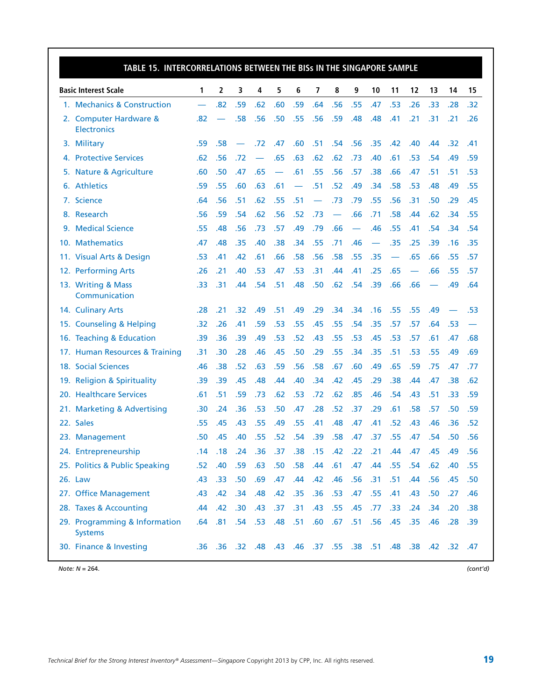| TABLE 15. INTERCORRELATIONS BETWEEN THE BISS IN THE SINGAPORE SAMPLE |     |                  |     |     |                                                                 |                          |                 |     |                          |     |     |           |     |     |     |
|----------------------------------------------------------------------|-----|------------------|-----|-----|-----------------------------------------------------------------|--------------------------|-----------------|-----|--------------------------|-----|-----|-----------|-----|-----|-----|
| <b>Basic Interest Scale</b>                                          | 1   | 2                | 3   | 4   | 5                                                               | 6                        | 7               | 8   | 9                        | 10  | 11  | 12        | 13  | 14  | 15  |
| 1. Mechanics & Construction                                          |     | .82              | .59 | .62 | .60                                                             | .59                      | .64             | .56 | .55                      | .47 | .53 | .26       | .33 | .28 | .32 |
| 2. Computer Hardware &<br><b>Electronics</b>                         | .82 | —                | .58 | .56 | .50                                                             | .55                      | .56             | .59 | .48                      | .48 | .41 | .21       | .31 | .21 | .26 |
| 3. Military                                                          | .59 | .58              |     | .72 | .47                                                             | .60                      | .51             | .54 | .56                      | .35 | .42 | .40       | .44 | .32 | .41 |
| 4. Protective Services                                               | .62 | .56              | .72 |     | .65                                                             | .63                      | .62             | .62 | .73                      | .40 | .61 | .53       | .54 | .49 | .59 |
| 5. Nature & Agriculture                                              | .60 | .50              | .47 | .65 | $\overline{\phantom{0}}$                                        | .61                      | .55             | .56 | .57                      | .38 | .66 | .47       | .51 | .51 | .53 |
| 6. Athletics                                                         | .59 | .55              | .60 | .63 | .61                                                             | $\overline{\phantom{0}}$ | .51             | .52 | .49                      | .34 | .58 | .53       | .48 | .49 | .55 |
| 7. Science                                                           | .64 | .56              | .51 | .62 | .55                                                             | .51                      |                 | .73 | .79                      | .55 | .56 | .31       | .50 | .29 | .45 |
| 8. Research                                                          | .56 | .59              | .54 | .62 | .56                                                             | .52                      | .73             |     | .66                      | .71 | .58 | .44       | .62 | .34 | .55 |
| 9. Medical Science                                                   | .55 | .48              | .56 | .73 | .57                                                             | .49                      | .79             | .66 | $\overline{\phantom{m}}$ | .46 | .55 | .41       | .54 | .34 | .54 |
| 10. Mathematics                                                      | .47 | .48              | .35 | .40 | .38                                                             | .34                      | .55             | .71 | .46                      |     | .35 | .25       | .39 | .16 | .35 |
| 11. Visual Arts & Design                                             | .53 | .41              | .42 | .61 | .66                                                             | .58                      | .56             | .58 | .55                      | .35 |     | .65       | .66 | .55 | .57 |
| 12. Performing Arts                                                  | .26 | .21              | .40 | .53 | .47                                                             | .53                      | .31             | .44 | .41                      | .25 | .65 |           | .66 | .55 | .57 |
| 13. Writing & Mass<br>Communication                                  | .33 | .31              | .44 | .54 | .51                                                             | .48                      | .50             | .62 | .54                      | .39 | .66 | .66       |     | .49 | .64 |
| 14. Culinary Arts                                                    | .28 | .21              | .32 | .49 | .51                                                             | .49                      | .29             | .34 | .34                      | .16 | .55 | .55       | .49 |     | .53 |
| 15. Counseling & Helping                                             | .32 | .26              | .41 | .59 | .53                                                             | .55                      | .45             | .55 | .54                      | .35 | .57 | .57       | .64 | .53 |     |
| 16. Teaching & Education                                             | .39 | .36              | .39 | .49 | .53                                                             | .52                      | .43             | .55 | .53                      | .45 | .53 | .57       | .61 | .47 | .68 |
| 17. Human Resources & Training                                       | .31 | .30              | .28 | .46 | .45                                                             | .50                      | .29             | .55 | .34                      | .35 | .51 | .53       | .55 | .49 | .69 |
| 18. Social Sciences                                                  | .46 | .38              | .52 | .63 | .59                                                             | .56                      | .58             | .67 | .60                      | .49 | .65 | .59       | .75 | .47 | .77 |
| 19. Religion & Spirituality                                          | .39 | .39              | .45 | .48 | .44                                                             | .40                      | .34             | .42 | .45                      | .29 | .38 | .44       | .47 | .38 | .62 |
| 20. Healthcare Services                                              | .61 | .51              | .59 | .73 | .62                                                             | .53                      | .72             | .62 | .85                      | .46 | .54 | .43       | .51 | .33 | .59 |
| 21. Marketing & Advertising                                          | .30 | .24              | .36 | .53 | .50                                                             | .47                      | .28             | .52 | .37                      | .29 | .61 | .58       | .57 | .50 | .59 |
| 22. Sales                                                            | .55 | .45              | .43 | .55 | .49                                                             | .55                      | .41             | .48 | .47                      | .41 | .52 | .43       | .46 | .36 | .52 |
| 23. Management                                                       | .50 | .45              | .40 | .55 | .52                                                             | .54                      | .39             | .58 | .47                      | .37 | .55 | .47       | .54 | .50 | .56 |
| 24. Entrepreneurship                                                 | .14 | .18              | .24 | .36 |                                                                 | $.37-.38$                | .15 .42 .22 .21 |     |                          |     | .44 | .47       | .45 | .49 | .56 |
| 25. Politics & Public Speaking                                       | .52 | .40              | .59 | .63 | .50 <sub>1</sub>                                                | .58                      | .44             | .61 | .47                      | .44 |     | $.55$ .54 | .62 | .40 | .55 |
| 26. Law                                                              | .43 | .33 <sub>1</sub> | .50 | .69 | .47                                                             | .44                      | .42             | .46 | .56                      | .31 | .51 | .44       | .56 | .45 | .50 |
| 27. Office Management                                                | .43 | .42              | .34 | .48 | .42                                                             | .35                      | .36             | .53 | .47                      | .55 | .41 | .43       | .50 | .27 | .46 |
| 28. Taxes & Accounting                                               | .44 | .42              | .30 | .43 | .37                                                             | .31                      | .43             | .55 | .45                      | .77 | .33 | .24       | .34 | .20 | .38 |
| 29. Programming & Information<br><b>Systems</b>                      | .64 | .81 .54 .53      |     |     | .48 .51                                                         |                          | .60             |     | .67 .51 .56              |     | .45 | .35       | .46 | .28 | .39 |
| 30. Finance & Investing                                              |     |                  |     |     | 47. 32. 42. 38. 48. 48. 51. 38. 55. 37. 48. 48. 48. 38. 36. 36. |                          |                 |     |                          |     |     |           |     |     |     |

*Note: N* = 264. *(cont'd)*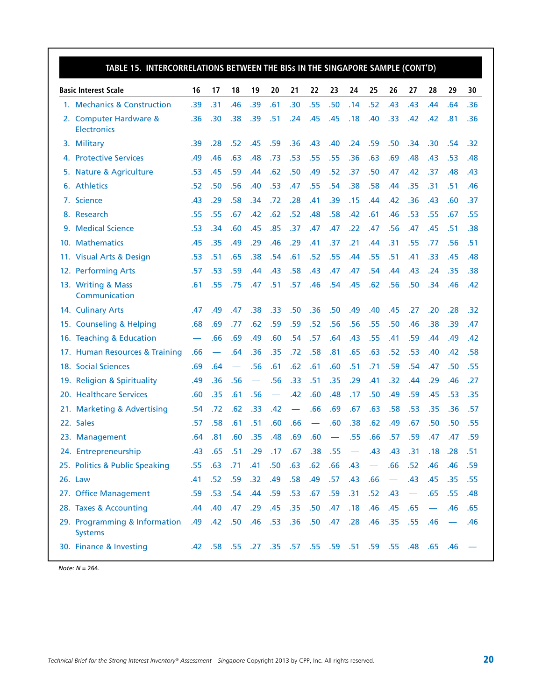| TABLE 15. INTERCORRELATIONS BETWEEN THE BISs IN THE SINGAPORE SAMPLE (CONT'D) |     |     |     |                          |                  |             |                  |     |                                                     |                          |                               |                               |     |     |     |
|-------------------------------------------------------------------------------|-----|-----|-----|--------------------------|------------------|-------------|------------------|-----|-----------------------------------------------------|--------------------------|-------------------------------|-------------------------------|-----|-----|-----|
| <b>Basic Interest Scale</b>                                                   | 16  | 17  | 18  | 19                       | 20               | 21          | 22               | 23  | 24                                                  | 25                       | 26                            | 27                            | 28  | 29  | 30  |
| 1. Mechanics & Construction                                                   | .39 | .31 | .46 | .39                      | .61              | .30         | .55              | .50 | .14                                                 | .52                      | .43                           | .43                           | .44 | .64 | .36 |
| 2. Computer Hardware &<br><b>Electronics</b>                                  | .36 | .30 | .38 | .39                      | .51              | .24         | .45              | .45 | .18                                                 | .40                      | .33                           | .42                           | .42 | .81 | .36 |
| 3. Military                                                                   | .39 | .28 | .52 | .45                      | .59              | .36         | .43              | .40 | .24                                                 | .59                      | .50                           | .34                           | .30 | .54 | .32 |
| 4. Protective Services                                                        | .49 | .46 | .63 | .48                      | .73              | .53         | .55              | .55 | .36                                                 | .63                      | .69                           | .48                           | .43 | .53 | .48 |
| 5. Nature & Agriculture                                                       | .53 | .45 | .59 | .44                      | .62              | .50         | .49              | .52 | .37                                                 | .50                      | .47                           | .42                           | .37 | .48 | .43 |
| 6. Athletics                                                                  | .52 | .50 | .56 | .40                      | .53              | .47         | .55              | .54 | .38                                                 | .58                      | .44                           | .35                           | .31 | .51 | .46 |
| 7. Science                                                                    | .43 | .29 | .58 | .34                      | .72              | .28         | .41              | .39 | .15                                                 | .44                      | .42                           | .36                           | .43 | .60 | .37 |
| 8. Research                                                                   | .55 | .55 | .67 | .42                      | .62              | .52         | .48              | .58 | .42                                                 | .61                      | .46                           | .53                           | .55 | .67 | .55 |
| 9. Medical Science                                                            | .53 | .34 | .60 | .45                      | .85              | .37         | .47              | .47 | .22                                                 | .47                      | .56                           | .47                           | .45 | .51 | .38 |
| 10. Mathematics                                                               | .45 | .35 | .49 | .29                      | .46              | .29         | .41              | .37 | .21                                                 | .44                      | .31                           | .55                           | .77 | .56 | .51 |
| 11. Visual Arts & Design                                                      | .53 | .51 | .65 | .38                      | .54              | .61         | .52              | .55 | .44                                                 | .55                      | .51                           | .41                           | .33 | .45 | .48 |
| 12. Performing Arts                                                           | .57 | .53 | .59 | .44                      | .43              | .58         | .43              | .47 | .47                                                 | .54                      | .44                           | .43                           | .24 | .35 | .38 |
| 13. Writing & Mass<br>Communication                                           | .61 | .55 | .75 | .47                      | .51              | .57         | .46              | .54 | .45                                                 | .62                      | .56                           | .50                           | .34 | .46 | .42 |
| 14. Culinary Arts                                                             | .47 | .49 | .47 | .38                      | .33              | .50         | .36              | .50 | .49                                                 | .40                      | .45                           | .27                           | .20 | .28 | .32 |
| 15. Counseling & Helping                                                      | .68 | .69 | .77 | .62                      | .59              | .59         | .52              | .56 | .56                                                 | .55                      | .50                           | .46                           | .38 | .39 | .47 |
| 16. Teaching & Education                                                      |     | .66 | .69 | .49                      | .60              | .54         | .57              | .64 | .43                                                 | .55                      | .41                           | .59                           | .44 | .49 | .42 |
| 17. Human Resources & Training                                                | .66 |     | .64 | .36                      | .35              | .72         | .58              | .81 | .65                                                 | .63                      | .52                           | .53                           | .40 | .42 | .58 |
| 18. Social Sciences                                                           | .69 | .64 |     | .56                      | .61              | .62         | .61              | .60 | .51                                                 | .71                      | .59                           | .54                           | .47 | .50 | .55 |
| 19. Religion & Spirituality                                                   | .49 | .36 | .56 | $\overline{\phantom{0}}$ | .56              | .33         | .51              | .35 | .29                                                 | .41                      | .32                           | .44                           | .29 | .46 | .27 |
| 20. Healthcare Services                                                       | .60 | .35 | .61 | .56                      |                  | .42         | .60              | .48 | .17                                                 | .50                      | .49                           | .59                           | .45 | .53 | .35 |
| 21. Marketing & Advertising                                                   | .54 | .72 | .62 | .33                      | .42              | $\equiv$    | .66              | .69 | .67                                                 | .63                      | .58                           | .53                           | .35 | .36 | .57 |
| 22. Sales                                                                     | .57 | .58 | .61 | .51                      | .60              | .66         |                  | .60 | .38                                                 | .62                      | .49                           | .67                           | .50 | .50 | .55 |
| 23. Management                                                                | .64 | .81 | .60 | .35                      | .48              | .69         | .60              |     | .55                                                 | .66                      | .57                           | .59                           | .47 | .47 | .59 |
| 24. Entrepreneurship                                                          | .43 | .65 | .51 | .29                      |                  | .17 .67 .38 |                  | .55 | $\sim$                                              | .43                      | .43                           | .31                           | .18 | .28 | .51 |
| 25. Politics & Public Speaking                                                | .55 | .63 | .71 | .41                      | .50 <sub>1</sub> | .63         | .62              | .66 | .43                                                 | $\overline{\phantom{m}}$ | .66                           | .52                           | .46 | .46 | .59 |
| 26. Law                                                                       | .41 | .52 | .59 | .32                      | .49              | .58         | .49              | .57 | .43                                                 | .66                      | $\overbrace{\phantom{13333}}$ | .43                           | .45 | .35 | .55 |
| 27. Office Management                                                         | .59 | .53 | .54 | .44                      | .59              | .53         | .67              | .59 | .31                                                 | .52                      | .43                           | $\overbrace{\phantom{aaaaa}}$ | .65 | .55 | .48 |
| 28. Taxes & Accounting                                                        | .44 | .40 | .47 | .29                      | .45              | .35         | .50              | .47 | .18                                                 | .46                      | .45                           | .65                           |     | .46 | .65 |
| 29. Programming & Information<br><b>Systems</b>                               | .49 | .42 | .50 | .46                      | .53              | .36         | .50 <sub>1</sub> | .47 | .28                                                 | .46                      | .35                           | .55                           | .46 |     | .46 |
| 30. Finance & Investing                                                       |     |     |     |                          |                  |             |                  |     | 46. 65. 48. 55. 59. 51. 59. 59. 55. 59. 48. 58. 42. |                          |                               |                               |     |     |     |

*Note: N* = 264.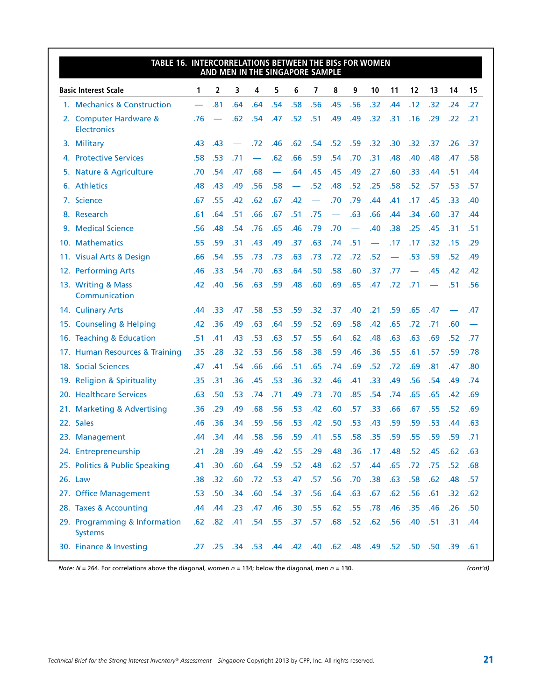| TABLE 16. INTERCORRELATIONS BETWEEN THE BISS FOR WOMEN |     |           | AND MEN IN THE SINGAPORE SAMPLE                                     |     |                          |                          |     |                          |     |           |           |     |     |     |     |
|--------------------------------------------------------|-----|-----------|---------------------------------------------------------------------|-----|--------------------------|--------------------------|-----|--------------------------|-----|-----------|-----------|-----|-----|-----|-----|
| <b>Basic Interest Scale</b>                            | 1   | 2         | 3                                                                   | 4   | 5                        | 6                        | 7   | 8                        | 9   | 10        | 11        | 12  | 13  | 14  | 15  |
| 1. Mechanics & Construction                            |     | .81       | .64                                                                 | .64 | .54                      | .58                      | .56 | .45                      | .56 | .32       | .44       | .12 | .32 | .24 | .27 |
| 2. Computer Hardware &<br><b>Electronics</b>           | .76 |           | .62                                                                 | .54 | .47                      | .52                      | .51 | .49                      | .49 | .32       | .31       | .16 | .29 | .22 | .21 |
| 3. Military                                            | .43 | .43       |                                                                     | .72 | .46                      | .62                      | .54 | .52                      | .59 | .32       | .30       | .32 | .37 | .26 | .37 |
| 4. Protective Services                                 | .58 | .53       | .71                                                                 |     | .62                      | .66                      | .59 | .54                      | .70 | .31       | .48       | .40 | .48 | .47 | .58 |
| 5. Nature & Agriculture                                | .70 | .54       | .47                                                                 | .68 | $\overline{\phantom{0}}$ | .64                      | .45 | .45                      | .49 | .27       | .60       | .33 | .44 | .51 | .44 |
| 6. Athletics                                           | .48 | .43       | .49                                                                 | .56 | .58                      | $\overline{\phantom{m}}$ | .52 | .48                      | .52 | .25       | .58       | .52 | .57 | .53 | .57 |
| 7. Science                                             | .67 | .55       | .42                                                                 | .62 | .67                      | .42                      |     | .70                      | .79 | .44       | .41       | .17 | .45 | .33 | .40 |
| 8. Research                                            | .61 | .64       | .51                                                                 | .66 | .67                      | .51                      | .75 | $\overline{\phantom{0}}$ | .63 | .66       | .44       | .34 | .60 | .37 | .44 |
| 9. Medical Science                                     | .56 | .48       | .54                                                                 | .76 | .65                      | .46                      | .79 | .70                      |     | .40       | .38       | .25 | .45 | .31 | .51 |
| 10. Mathematics                                        | .55 | .59       | .31                                                                 | .43 | .49                      | .37                      | .63 | .74                      | .51 |           | .17       | .17 | .32 | .15 | .29 |
| 11. Visual Arts & Design                               | .66 | .54       | .55                                                                 | .73 | .73                      | .63                      | .73 | .72                      | .72 | .52       |           | .53 | .59 | .52 | .49 |
| 12. Performing Arts                                    | .46 | .33       | .54                                                                 | .70 | .63                      | .64                      | .50 | .58                      | .60 | .37       | .77       |     | .45 | .42 | .42 |
| 13. Writing & Mass<br>Communication                    | .42 | .40       | .56                                                                 | .63 | .59                      | .48                      | .60 | .69                      | .65 | .47       | .72       | .71 |     | .51 | .56 |
| 14. Culinary Arts                                      | .44 | .33       | .47                                                                 | .58 | .53                      | .59                      | .32 | .37                      | .40 | .21       | .59       | .65 | .47 |     | .47 |
| 15. Counseling & Helping                               | .42 | .36       | .49                                                                 | .63 | .64                      | .59                      | .52 | .69                      | .58 | .42       | .65       | .72 | .71 | .60 |     |
| 16. Teaching & Education                               | .51 | .41       | .43                                                                 | .53 | .63                      | .57                      | .55 | .64                      | .62 | .48       | .63       | .63 | .69 | .52 | .77 |
| 17. Human Resources & Training                         | .35 | .28       | .32                                                                 | .53 | .56                      | .58                      | .38 | .59                      | .46 | .36       | .55       | .61 | .57 | .59 | .78 |
| 18. Social Sciences                                    | .47 | .41       | .54                                                                 | .66 | .66                      | .51                      | .65 | .74                      | .69 | .52       | .72       | .69 | .81 | .47 | .80 |
| 19. Religion & Spirituality                            | .35 | .31       | .36                                                                 | .45 | .53                      | .36                      | .32 | .46                      | .41 | .33       | .49       | .56 | .54 | .49 | .74 |
| 20. Healthcare Services                                | .63 | .50       | .53                                                                 | .74 | .71                      | .49                      | .73 | .70                      | .85 | .54       | .74       | .65 | .65 | .42 | .69 |
| 21. Marketing & Advertising                            | .36 | .29       | .49                                                                 | .68 | .56                      | .53                      | .42 | .60                      | .57 | .33       | .66       | .67 | .55 | .52 | .69 |
| 22. Sales                                              | .46 | .36       | .34                                                                 | .59 | .56                      | .53                      | .42 | .50                      | .53 | .43       | .59       | .59 | .53 | .44 | .63 |
| 23. Management                                         | .44 | .34       | .44                                                                 | .58 | .56                      | .59                      | .41 | .55                      | .58 | .35       | .59       | .55 | .59 | .59 | .71 |
| 24. Entrepreneurship                                   | .21 | .28       | .39                                                                 | .49 | .42                      | .55 .29                  |     | .48                      | .36 | $.17$ .48 |           | .52 | .45 | .62 | .63 |
| 25. Politics & Public Speaking                         | .41 | .30       | .60                                                                 | .64 | .59                      | .52                      | .48 | .62                      | .57 | .44       | .65       | .72 | .75 | .52 | .68 |
| 26. Law                                                | .38 | .32       | .60                                                                 | .72 | .53                      | .47                      | .57 | .56                      | .70 | .38       | .63       | .58 | .62 | .48 | .57 |
| 27. Office Management                                  | .53 | .50       | .34                                                                 | .60 | .54                      | .37                      | .56 | .64                      | .63 | .67       | .62       | .56 | .61 | .32 | .62 |
| 28. Taxes & Accounting                                 | .44 | .44       | .23                                                                 | .47 | .46                      | .30                      | .55 | .62                      | .55 | .78       | .46       | .35 | .46 | .26 | .50 |
| 29. Programming & Information<br><b>Systems</b>        |     | $.62$ .82 | .41                                                                 | .54 | .55 .37                  |                          | .57 | .68                      | .52 |           | $.62$ .56 | .40 | .51 | .31 | .44 |
| 30. Finance & Investing                                |     |           | .25 .39 .61 .52 .50 .50 .49 .42 .48 .62 .48 .49 .52 .50 .50 .53 .72 |     |                          |                          |     |                          |     |           |           |     |     |     |     |

#### *Note: N* = 264. For correlations above the diagonal, women *n* = 134; below the diagonal, men *n* = 130. *(cont'd)*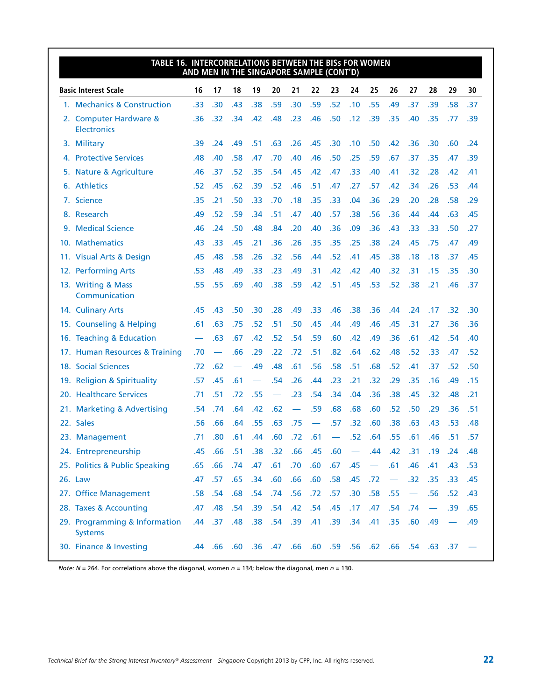| TABLE 16. INTERCORRELATIONS BETWEEN THE BISS FOR WOMEN | AND MEN IN THE SINGAPORE SAMPLE (CONT'D) |                          |     |     |                          |     |         |     |                                                          |     |                          |                          |                               |     |     |
|--------------------------------------------------------|------------------------------------------|--------------------------|-----|-----|--------------------------|-----|---------|-----|----------------------------------------------------------|-----|--------------------------|--------------------------|-------------------------------|-----|-----|
| <b>Basic Interest Scale</b>                            | 16                                       | 17                       | 18  | 19  | 20                       | 21  | 22      | 23  | 24                                                       | 25  | 26                       | 27                       | 28                            | 29  | 30  |
| 1. Mechanics & Construction                            | .33                                      | .30                      | .43 | .38 | .59                      | .30 | .59     | .52 | .10                                                      | .55 | .49                      | .37                      | .39                           | .58 | .37 |
| 2. Computer Hardware &<br><b>Electronics</b>           | .36                                      | .32                      | .34 | .42 | .48                      | .23 | .46     | .50 | .12                                                      | .39 | .35                      | .40                      | .35                           | .77 | .39 |
| 3. Military                                            | .39                                      | .24                      | .49 | .51 | .63                      | .26 | .45     | .30 | .10                                                      | .50 | .42                      | .36                      | .30                           | .60 | .24 |
| 4. Protective Services                                 | .48                                      | .40                      | .58 | .47 | .70                      | .40 | .46     | .50 | .25                                                      | .59 | .67                      | .37                      | .35                           | .47 | .39 |
| 5. Nature & Agriculture                                | .46                                      | .37                      | .52 | .35 | .54                      | .45 | .42     | .47 | .33                                                      | .40 | .41                      | .32                      | .28                           | .42 | .41 |
| 6. Athletics                                           | .52                                      | .45                      | .62 | .39 | .52                      | .46 | .51     | .47 | .27                                                      | .57 | .42                      | .34                      | .26                           | .53 | .44 |
| 7. Science                                             | .35                                      | .21                      | .50 | .33 | .70                      | .18 | .35     | .33 | .04                                                      | .36 | .29                      | .20                      | .28                           | .58 | .29 |
| 8. Research                                            | .49                                      | .52                      | .59 | .34 | .51                      | .47 | .40     | .57 | .38                                                      | .56 | .36                      | .44                      | .44                           | .63 | .45 |
| 9. Medical Science                                     | .46                                      | .24                      | .50 | .48 | .84                      | .20 | .40     | .36 | .09                                                      | .36 | .43                      | .33                      | .33                           | .50 | .27 |
| 10. Mathematics                                        | .43                                      | .33                      | .45 | .21 | .36                      | .26 | .35     | .35 | .25                                                      | .38 | .24                      | .45                      | .75                           | .47 | .49 |
| 11. Visual Arts & Design                               | .45                                      | .48                      | .58 | .26 | .32                      | .56 | .44     | .52 | .41                                                      | .45 | .38                      | .18                      | .18                           | .37 | .45 |
| 12. Performing Arts                                    | .53                                      | .48                      | .49 | .33 | .23                      | .49 | .31     | .42 | .42                                                      | .40 | .32                      | .31                      | .15                           | .35 | .30 |
| 13. Writing & Mass<br>Communication                    | .55                                      | .55                      | .69 | .40 | .38                      | .59 | .42     | .51 | .45                                                      | .53 | .52                      | .38                      | .21                           | .46 | .37 |
| 14. Culinary Arts                                      | .45                                      | .43                      | .50 | .30 | .28                      | .49 | .33     | .46 | .38                                                      | .36 | .44                      | .24                      | .17                           | .32 | .30 |
| 15. Counseling & Helping                               | .61                                      | .63                      | .75 | .52 | .51                      | .50 | .45     | .44 | .49                                                      | .46 | .45                      | .31                      | .27                           | .36 | .36 |
| 16. Teaching & Education                               |                                          | .63                      | .67 | .42 | .52                      | .54 | .59     | .60 | .42                                                      | .49 | .36                      | .61                      | .42                           | .54 | .40 |
| 17. Human Resources & Training                         | .70                                      | $\overline{\phantom{m}}$ | .66 | .29 | .22                      | .72 | .51     | .82 | .64                                                      | .62 | .48                      | .52                      | .33                           | .47 | .52 |
| 18. Social Sciences                                    | .72                                      | .62                      |     | .49 | .48                      | .61 | .56     | .58 | .51                                                      | .68 | .52                      | .41                      | .37                           | .52 | .50 |
| 19. Religion & Spirituality                            | .57                                      | .45                      | .61 |     | .54                      | .26 | .44     | .23 | .21                                                      | .32 | .29                      | .35                      | .16                           | .49 | .15 |
| 20. Healthcare Services                                | .71                                      | .51                      | .72 | .55 | $\overline{\phantom{m}}$ | .23 | .54     | .34 | .04                                                      | .36 | .38                      | .45                      | .32                           | .48 | .21 |
| 21. Marketing & Advertising                            | .54                                      | .74                      | .64 | .42 | .62                      |     | .59     | .68 | .68                                                      | .60 | .52                      | .50                      | .29                           | .36 | .51 |
| 22. Sales                                              | .56                                      | .66                      | .64 | .55 | .63                      | .75 |         | .57 | .32                                                      | .60 | .38                      | .63                      | .43                           | .53 | .48 |
| 23. Management                                         | .71                                      | .80                      | .61 | .44 | .60                      | .72 | .61     |     | .52                                                      | .64 | .55                      | .61                      | .46                           | .51 | .57 |
| 24. Entrepreneurship                                   | .45                                      | .66                      | .51 | .38 | $.32$ .66                |     | .45 .60 |     | $\overline{\phantom{a}}$                                 | .44 | .42                      | .31                      | .19                           | .24 | .48 |
| 25. Politics & Public Speaking                         | .65                                      | .66                      | .74 | .47 | .61                      | .70 | .60     | .67 | .45                                                      |     | .61                      | .46                      | .41                           | .43 | .53 |
| 26. Law                                                | .47                                      | .57                      | .65 | .34 | .60                      | .66 | .60     | .58 | .45                                                      | .72 | $\overline{\phantom{m}}$ | .32                      | .35                           | .33 | .45 |
| 27. Office Management                                  |                                          | .58 .54                  | .68 | .54 | .74                      | .56 | .72     | .57 | .30                                                      | .58 | .55                      | $\overline{\phantom{m}}$ | .56                           | .52 | .43 |
| 28. Taxes & Accounting                                 | .47                                      | .48                      | .54 | .39 | .54                      | .42 | .54     | .45 | .17                                                      | .47 | .54                      | .74                      | $\overbrace{\phantom{aaaaa}}$ | .39 | .65 |
| 29. Programming & Information<br><b>Systems</b>        | .44                                      | .37                      | .48 | .38 | .54                      | .39 | .41     | .39 | .34                                                      | .41 | .35                      | .60                      | .49                           |     | .49 |
| 30. Finance & Investing                                |                                          | .44 .66                  |     |     |                          |     |         |     | - 37 - 37 - 37 - 58. 62. 66. 59. 56. 69. 69. 74. 66. 60. |     |                          |                          |                               |     |     |

*Note: N* = 264. For correlations above the diagonal, women *n* = 134; below the diagonal, men *n* = 130.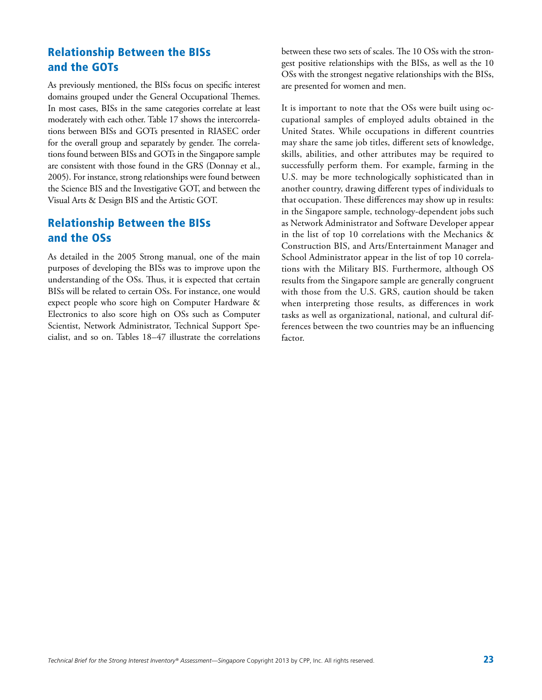### Relationship Between the BISs and the GOTs

As previously mentioned, the BISs focus on specific interest domains grouped under the General Occupational Themes. In most cases, BISs in the same categories correlate at least moderately with each other. Table 17 shows the intercorrelations between BISs and GOTs presented in RIASEC order for the overall group and separately by gender. The correlations found between BISs and GOTs in the Singapore sample are consistent with those found in the GRS (Donnay et al., 2005). For instance, strong relationships were found between the Science BIS and the Investigative GOT, and between the Visual Arts & Design BIS and the Artistic GOT.

### Relationship Between the BISs and the OSs

As detailed in the 2005 Strong manual, one of the main purposes of developing the BISs was to improve upon the understanding of the OSs. Thus, it is expected that certain BISs will be related to certain OSs. For instance, one would expect people who score high on Computer Hardware & Electronics to also score high on OSs such as Computer Scientist, Network Administrator, Technical Support Specialist, and so on. Tables 18–47 illustrate the correlations between these two sets of scales. The 10 OSs with the strongest positive relationships with the BISs, as well as the 10 OSs with the strongest negative relationships with the BISs, are presented for women and men.

It is important to note that the OSs were built using occupational samples of employed adults obtained in the United States. While occupations in different countries may share the same job titles, different sets of knowledge, skills, abilities, and other attributes may be required to successfully perform them. For example, farming in the U.S. may be more technologically sophisticated than in another country, drawing different types of individuals to that occupation. These differences may show up in results: in the Singapore sample, technology-dependent jobs such as Network Administrator and Software Developer appear in the list of top 10 correlations with the Mechanics & Construction BIS, and Arts/Entertainment Manager and School Administrator appear in the list of top 10 correlations with the Military BIS. Furthermore, although OS results from the Singapore sample are generally congruent with those from the U.S. GRS, caution should be taken when interpreting those results, as differences in work tasks as well as organizational, national, and cultural differences between the two countries may be an influencing factor.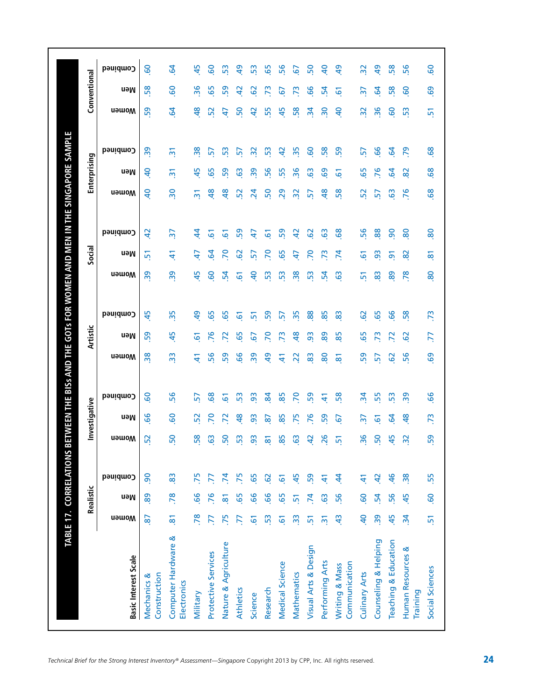|                                      |                     | Realistic       |                |                | Investigative                        |                 |                | Artistic       |                 |                 | Social          |                 |                | Enterprising    |                           |                         | Conventional   |  |
|--------------------------------------|---------------------|-----------------|----------------|----------------|--------------------------------------|-----------------|----------------|----------------|-----------------|-----------------|-----------------|-----------------|----------------|-----------------|---------------------------|-------------------------|----------------|--|
| <b>Basic Interest Scale</b>          | <b>u</b> əmoW       | neM             | Combined       | <b>Nomen</b>   | neM                                  | Combined        | <b>Momen</b>   | neM            | Combined        | <b>U</b> amoW   | neM             | Combined        | <b>U</b> amoW  | neM             | Combined                  | <b>U</b> amoW           | neM            |  |
| Construction<br>Mechanics &          | $\overline{8}$      | 89              | 90             | 52             | 99                                   | <b>GO</b>       | 38             | 59             | 45              | 39              | 鬲               | $\overline{4}$  | $\overline{a}$ | $\overline{a}$  | $\overline{39}$           | 59                      | 58             |  |
| Computer Hardware &<br>Electronics   | $\overline{\infty}$ | .78             | 83             | 50             | <b>GO</b>                            | 56              | $\frac{3}{2}$  | 45             | 35              | 39              | 4               | $\overline{37}$ | $\frac{1}{2}$  | $\overline{2}$  | $\overline{\mathfrak{m}}$ | $\overline{5}$          | <b>GO</b>      |  |
| Military                             | 78                  | 99              | 75             | 58             | 52                                   | 57              | £              | $\overline{6}$ | $\overline{a}$  | 45              | 47              | $\ddot{4}$      | $\overline{5}$ | 45              | $\frac{8}{3}$             | $\frac{8}{3}$           | 36             |  |
| Protective Services                  | 77                  | 76              | ZZ.            | င္မ            | 20                                   | 89              | 56             | 76             | 65              | င္စ             | 54              | 61              | $\frac{8}{3}$  | 65              | 57                        | 52                      | 65             |  |
| Nature & Agriculture                 | 75                  | $\overline{8}$  | $\overline{7}$ | 50             | 2                                    | 5               | 59             | 72             | 65              | 24              | $\overline{2}$  | 61              | $\frac{8}{3}$  | 59              | 53                        | 4                       | 59             |  |
| Athletics                            | E                   | 65              | 75             | ဌ              | 유                                    | SS <sub>3</sub> | 99             | 65             | 5               | 61              | 29              | 59              | 52             | <b>G</b>        | 57                        | SO                      | $\overline{a}$ |  |
| Science                              | 61                  | 99              | 65             | ဌ              | 93                                   | 93              | 39             | 67             | û۵              | ჵ               | 57              | 47              | $\overline{a}$ | 39              | $\approx$                 | $\overline{a}$          | 29             |  |
| Research                             | 53                  | 99              | <b>G</b>       | 5              | 2                                    | $\mathbf{g}$    | $\overline{a}$ | 20             | S9              | 53              | P <sub>O</sub>  | 61              | 50             | 56              | S <sub>3</sub>            | 55                      | $\mathbb{R}^2$ |  |
| Medical Science                      | $\overline{6}$      | 65              | 61             | 85             | 85                                   | 85              | 41             | 73             | 5               | SS <sub>3</sub> | 65              | 59              | 29             | 55              | $\overline{a}$            | 45                      | 57             |  |
| Mathematics                          | 33                  | $\overline{51}$ | 45             | င္မ            | 75                                   | 20              | $\overline{2}$ | $\frac{8}{3}$  | 35              | 38              | 47              | $\overline{a}$  | ္က             | 36              | 35                        | 58                      | $\mathbb{R}^2$ |  |
| Visual Arts & Design                 | 5                   | $\overline{7}$  | 59             | 5              | 76                                   | 59              | 83             | 3              | 88              | 53              | P <sub>O</sub>  | 62              | 57             | <b>G3</b>       | <b>GO</b>                 | $\frac{1}{2}$           | 99             |  |
| Performing Arts                      | $\overline{5}$      | $\overline{6}$  | £              | 26             | 59                                   | $\Delta$        | 80             | 89             | 85              | 24              | $\overline{73}$ | 63              | $\frac{8}{3}$  | <b>G</b>        | 58                        | $\overline{\mathbf{5}}$ | 54             |  |
| Communication<br>Writing & Mass      | $\ddot{a}$          | 56              | \$             | 51             | 67                                   | 58              | $\overline{8}$ | 85             | 83              | 63              | $\overline{7}$  | 89              | 58             | $\overline{6}$  | 59                        | $\overline{a}$          | 61             |  |
| Culinary Arts                        | $\overline{a}$      | <b>GO</b>       | $\tilde{t}$    | 36             | $\overline{\widetilde{\varepsilon}}$ | $\mathbf{z}$    | 59             | 65             | 62              | 51              | <u>ت</u>        | 56              | 52             | 65              | 57                        | $\overline{32}$         |                |  |
| Counseling & Helping                 | 39                  | $\overline{54}$ | $\overline{a}$ | 50             | 5                                    | 55              | 57             | 73             | 65              | 83              | 93              | 88              | 57             | 76              | 99                        | 96                      | 54             |  |
| Teaching & Education                 | 45                  | 56              | $\frac{4}{6}$  | 45             | 3                                    | 53              | $\overline{6}$ | $\mathbf{z}$   | 66              | 89              | 5               | $\overline{6}$  | 63             | $\mathbf{c}$    | 3                         | <u>င</u>                | 58             |  |
| Human Resources &<br><b>Training</b> | $\ddot{a}$          | 45              | 38             | $\overline{3}$ | $\frac{8}{3}$                        | 39              | 56             | $\overline{6}$ | 58              | 78              | 82              | 80              | 76             | $\overline{82}$ | $\overline{2}$            | SS <sub>3</sub>         | <b>GO</b>      |  |
| Social Sciences                      | $\overline{51}$     | <b>99.</b>      | 55             | 59             | 73                                   | 99              | 69             | Z.             | $\overline{73}$ | 80              | <u>ळ</u>        | 80              | 89             | 89              | 89                        | 51                      | 69             |  |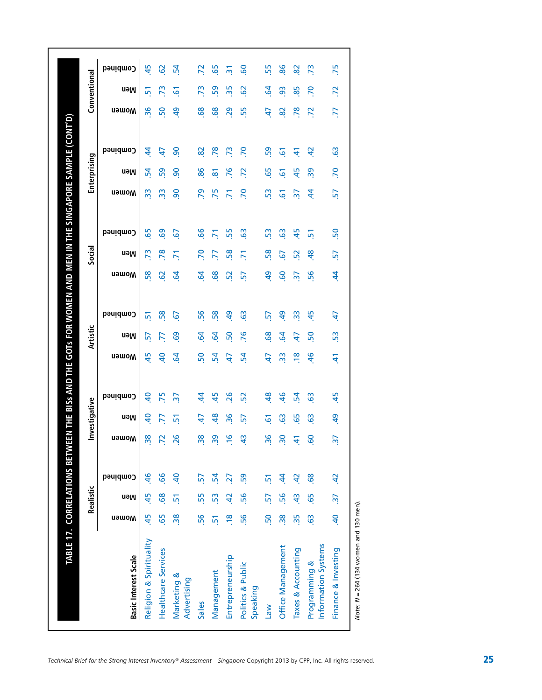|                                                          | Realistic       |                |                          | Investigative  |                |                | Artistic       |                |                 | Social          |                |                 | Enterprising    |                 |                         | Conventional    |  |
|----------------------------------------------------------|-----------------|----------------|--------------------------|----------------|----------------|----------------|----------------|----------------|-----------------|-----------------|----------------|-----------------|-----------------|-----------------|-------------------------|-----------------|--|
| <b>u</b> əwo <sub>M</sub><br><b>Basic Interest Scale</b> | neM             | Combined       | <b>Momen</b>             | neM            | Combined       | <b>u</b> əwom  | neM            | Combined       | <b>u</b> əwom   | neM             | Combined       | <b>u</b> əwom   | neM             | Combined        | <b>u</b> əwom           | neM             |  |
| 45<br>Religion & Spirituality                            | 45              | $\frac{9}{5}$  | $\frac{8}{3}$            | 9              | $\overline{a}$ | 45             | 57             | 51             | 58              | $\overline{73}$ | 65             | 33              | 54              | $\ddot{4}$      | 36                      | 51              |  |
| 65<br><b>Healthcare Services</b>                         | 89              | .66            | $\overline{z}$           | 77             | 75             | $\overline{a}$ | R              | 58             | $\overline{6}$  | 78              | 69             | 33              | 59              | 47              | 50                      | 73              |  |
| $\frac{8}{20}$<br>Marketing &<br>Advertising             | $\overline{5}$  | $\overline{a}$ | 26                       | 51             |                | $\overline{a}$ | 69             | <u>e</u>       | $\overline{a}$  | 5               | $\overline{6}$ | $\overline{90}$ | $\overline{6}$  | $\overline{90}$ | $\overline{\mathbf{d}}$ | 61              |  |
| 56<br>Sales                                              | 55              | 57             | 38                       | 47             | \$             | 50             | $\overline{6}$ | 56             | $\overline{a}$  | 70              | 66             | 79              | 86              | 82              | 89                      | 73              |  |
| $\overline{5}$<br>Management                             | 53              | 54             | $\overline{39}$          | $\frac{8}{3}$  | 45             | 54             | $\overline{6}$ | 58             | 68              | 77              | $\overline{7}$ | 75              | $\overline{8}$  | 78              | 89                      | 59              |  |
| $\frac{8}{10}$<br>Entrepreneurship                       | $\overline{4}$  | 27             | $\frac{6}{1}$            | 36             | 26             | 47             | 50             | $\overline{a}$ | 52              | 58              | 55             | 71              | 76              | 73              | 29                      | 35              |  |
| 56<br>Politics & Public<br>Speaking                      | 56              | 59             | $\frac{4}{3}$            | 57             | 52             | $\mathbf{z}$   | 76             | $\overline{6}$ | 57              | $\overline{5}$  | $\mathbf{c}_2$ | $\overline{2}$  | 72              | P.              | 55                      | $\overline{6}$  |  |
| 50<br>Mel                                                | 57              | 5              | 36                       | 61             | \$             | 47             | 89             | 57             | $\overline{5}$  | 58              | 53             | 53              | 65              | 59              | 47                      | 2               |  |
| $\frac{8}{30}$<br>Office Management                      | 56              | \$             | $\overline{\mathbf{S}}$  | 63             | $\frac{1}{6}$  | $\frac{3}{2}$  | 3              | $\overline{a}$ | <b>GO</b>       | 67              | $\overline{6}$ | 61              | 61              | 61              | 82                      | 93              |  |
| 35<br>Taxes & Accounting                                 | $\frac{3}{4}$   | $\overline{4}$ | $\pm$                    | 65             | 54             | $\frac{8}{10}$ | 47             | $\frac{3}{2}$  | $\overline{37}$ | 52              | 45             | $\overline{37}$ | 45              | $\frac{4}{7}$   | 78                      | 85              |  |
| $\overline{6}$<br>Information Systems<br>Programming &   | 65              | 68             | <b>S</b>                 | $\overline{6}$ | $\overline{6}$ | 46             | 50             | 45             | 56              | 48              | $\mathbf{r}$   | $\dot{a}$       | $\overline{39}$ | $\overline{a}$  | $\overline{z}$          | $\overline{70}$ |  |
| $\overline{a}$<br>Finance & Investing                    | $\overline{37}$ | $\ddot{a}$     | $\overline{\mathcal{S}}$ | $\overline{a}$ | 45             | £              | S.             | 47             | $\dot{z}$       | 57              | 50             | 57              | .70             | $\ddot{6}$      | ZZ.                     | 72              |  |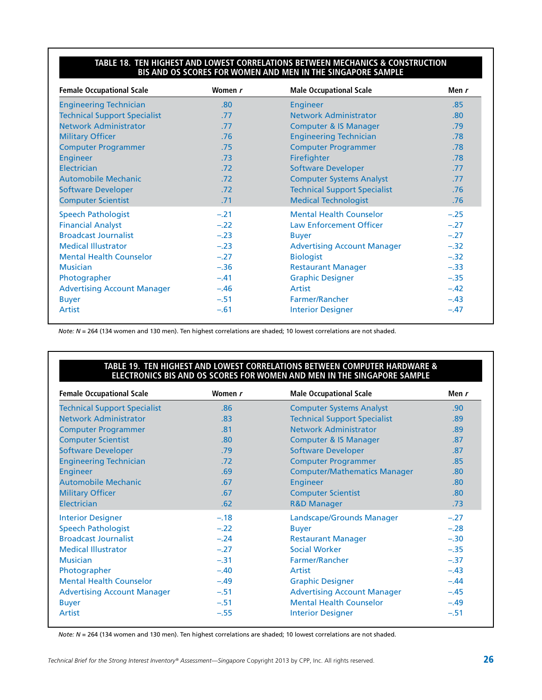#### **Table 18. Ten Highest and Lowest Correlations Between Mechanics & Construction BIS and OS Scores for Women and Men in the Singapore Sample**

| <b>Female Occupational Scale</b>    | Women r | <b>Male Occupational Scale</b>      | Men $r$ |
|-------------------------------------|---------|-------------------------------------|---------|
| <b>Engineering Technician</b>       | .80     | <b>Engineer</b>                     | .85     |
| <b>Technical Support Specialist</b> | .77     | <b>Network Administrator</b>        | .80     |
| <b>Network Administrator</b>        | .77     | <b>Computer &amp; IS Manager</b>    | .79     |
| <b>Military Officer</b>             | .76     | <b>Engineering Technician</b>       | .78     |
| <b>Computer Programmer</b>          | .75     | <b>Computer Programmer</b>          | .78     |
| <b>Engineer</b>                     | .73     | Firefighter                         | .78     |
| Electrician                         | .72     | <b>Software Developer</b>           | .77     |
| <b>Automobile Mechanic</b>          | .72     | <b>Computer Systems Analyst</b>     | .77     |
| <b>Software Developer</b>           | .72     | <b>Technical Support Specialist</b> | .76     |
| <b>Computer Scientist</b>           | .71     | <b>Medical Technologist</b>         | .76     |
| <b>Speech Pathologist</b>           | $-.21$  | <b>Mental Health Counselor</b>      | $-.25$  |
| <b>Financial Analyst</b>            | $-.22$  | <b>Law Enforcement Officer</b>      | $-.27$  |
| <b>Broadcast Journalist</b>         | $-.23$  | <b>Buyer</b>                        | $-.27$  |
| <b>Medical Illustrator</b>          | $-.23$  | <b>Advertising Account Manager</b>  | $-.32$  |
| <b>Mental Health Counselor</b>      | $-.27$  | <b>Biologist</b>                    | $-.32$  |
| <b>Musician</b>                     | $-.36$  | <b>Restaurant Manager</b>           | $-.33$  |
| Photographer                        | $-.41$  | <b>Graphic Designer</b>             | $-.35$  |
| <b>Advertising Account Manager</b>  | $-.46$  | Artist                              | $-.42$  |
| <b>Buyer</b>                        | $-.51$  | <b>Farmer/Rancher</b>               | $-.43$  |
| Artist                              | $-.61$  | <b>Interior Designer</b>            | $-.47$  |

*Note: N* = 264 (134 women and 130 men). Ten highest correlations are shaded; 10 lowest correlations are not shaded.

#### **Table 19. Ten Highest and Lowest Correlations Between Computer Hardware & Electronics BIS and OS Scores for Women and Men in the Singapore Sample**

| <b>Female Occupational Scale</b>    | Women r | <b>Male Occupational Scale</b>      | Men r  |
|-------------------------------------|---------|-------------------------------------|--------|
| <b>Technical Support Specialist</b> | .86     | <b>Computer Systems Analyst</b>     | .90    |
| <b>Network Administrator</b>        | .83     | <b>Technical Support Specialist</b> | .89    |
| <b>Computer Programmer</b>          | .81     | <b>Network Administrator</b>        | .89    |
| <b>Computer Scientist</b>           | .80     | <b>Computer &amp; IS Manager</b>    | .87    |
| <b>Software Developer</b>           | .79     | <b>Software Developer</b>           | .87    |
| <b>Engineering Technician</b>       | .72     | <b>Computer Programmer</b>          | .85    |
| <b>Engineer</b>                     | .69     | <b>Computer/Mathematics Manager</b> | .80    |
| <b>Automobile Mechanic</b>          | .67     | <b>Engineer</b>                     | .80    |
| <b>Military Officer</b>             | .67     | <b>Computer Scientist</b>           | .80    |
| <b>Electrician</b>                  | .62     | <b>R&amp;D Manager</b>              | .73    |
| <b>Interior Designer</b>            | $-.18$  | Landscape/Grounds Manager           | $-.27$ |
| <b>Speech Pathologist</b>           | $-.22$  | <b>Buyer</b>                        | $-.28$ |
| <b>Broadcast Journalist</b>         | $-.24$  | <b>Restaurant Manager</b>           | $-.30$ |
| <b>Medical Illustrator</b>          | $-.27$  | <b>Social Worker</b>                | $-.35$ |
| <b>Musician</b>                     | $-.31$  | Farmer/Rancher                      | $-.37$ |
| Photographer                        | $-.40$  | Artist                              | $-.43$ |
| <b>Mental Health Counselor</b>      | $-.49$  | <b>Graphic Designer</b>             | $-.44$ |
| <b>Advertising Account Manager</b>  | $-.51$  | <b>Advertising Account Manager</b>  | $-.45$ |
| <b>Buyer</b>                        | $-.51$  | <b>Mental Health Counselor</b>      | $-.49$ |
| Artist                              | $-.55$  | <b>Interior Designer</b>            | $-.51$ |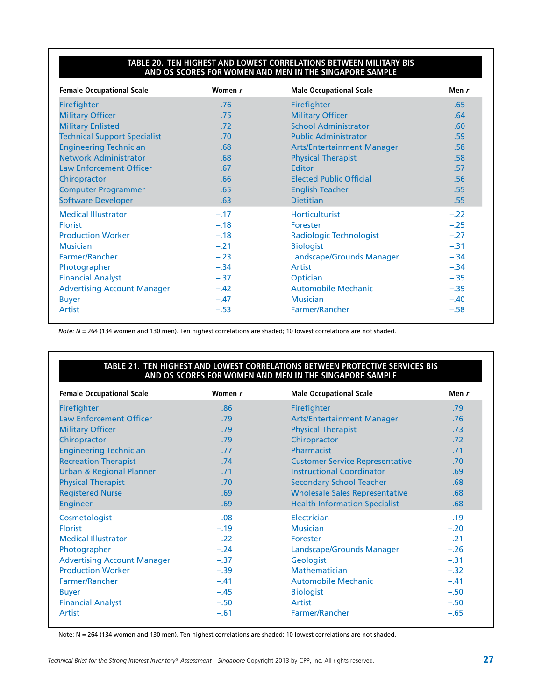#### **Table 20. Ten Highest and Lowest Correlations Between Military BIS and OS Scores for Women and Men in the Singapore Sample**

| <b>Female Occupational Scale</b>    | Women r | <b>Male Occupational Scale</b>    | Men r  |
|-------------------------------------|---------|-----------------------------------|--------|
| <b>Firefighter</b>                  | .76     | Firefighter                       | .65    |
| <b>Military Officer</b>             | .75     | <b>Military Officer</b>           | .64    |
| <b>Military Enlisted</b>            | .72     | <b>School Administrator</b>       | .60    |
| <b>Technical Support Specialist</b> | .70     | <b>Public Administrator</b>       | .59    |
| <b>Engineering Technician</b>       | .68     | <b>Arts/Entertainment Manager</b> | .58    |
| <b>Network Administrator</b>        | .68     | <b>Physical Therapist</b>         | .58    |
| <b>Law Enforcement Officer</b>      | .67     | Editor                            | .57    |
| Chiropractor                        | .66     | <b>Elected Public Official</b>    | .56    |
| <b>Computer Programmer</b>          | .65     | <b>English Teacher</b>            | .55    |
| <b>Software Developer</b>           | .63     | <b>Dietitian</b>                  | .55    |
| <b>Medical Illustrator</b>          | $-.17$  | <b>Horticulturist</b>             | $-.22$ |
| <b>Florist</b>                      | $-.18$  | Forester                          | $-.25$ |
| <b>Production Worker</b>            | $-.18$  | <b>Radiologic Technologist</b>    | $-.27$ |
| <b>Musician</b>                     | $-.21$  | <b>Biologist</b>                  | $-.31$ |
| Farmer/Rancher                      | $-.23$  | Landscape/Grounds Manager         | $-.34$ |
| Photographer                        | $-.34$  | Artist                            | $-.34$ |
| <b>Financial Analyst</b>            | $-.37$  | Optician                          | $-.35$ |
| <b>Advertising Account Manager</b>  | $-.42$  | <b>Automobile Mechanic</b>        | $-.39$ |
| <b>Buyer</b>                        | $-.47$  | <b>Musician</b>                   | $-.40$ |
| Artist                              | $-.53$  | <b>Farmer/Rancher</b>             | $-.58$ |

*Note: N* = 264 (134 women and 130 men). Ten highest correlations are shaded; 10 lowest correlations are not shaded.

#### **Table 21. Ten Highest and Lowest Correlations Between Protective Services BIS and OS Scores for Women and Men in the Singapore Sample**

| <b>Female Occupational Scale</b>    | Women r | <b>Male Occupational Scale</b>         | Men r  |
|-------------------------------------|---------|----------------------------------------|--------|
| <b>Firefighter</b>                  | .86     | Firefighter                            | .79    |
| <b>Law Enforcement Officer</b>      | .79     | <b>Arts/Entertainment Manager</b>      | .76    |
| <b>Military Officer</b>             | .79     | <b>Physical Therapist</b>              | .73    |
| Chiropractor                        | .79     | Chiropractor                           | .72    |
| <b>Engineering Technician</b>       | .77     | Pharmacist                             | .71    |
| <b>Recreation Therapist</b>         | .74     | <b>Customer Service Representative</b> | .70    |
| <b>Urban &amp; Regional Planner</b> | .71     | <b>Instructional Coordinator</b>       | .69    |
| <b>Physical Therapist</b>           | .70     | <b>Secondary School Teacher</b>        | .68    |
| <b>Registered Nurse</b>             | .69     | <b>Wholesale Sales Representative</b>  | .68    |
| <b>Engineer</b>                     | .69     | <b>Health Information Specialist</b>   | .68    |
| Cosmetologist                       | $-.08$  | Electrician                            | $-.19$ |
| <b>Florist</b>                      | $-.19$  | <b>Musician</b>                        | $-.20$ |
| <b>Medical Illustrator</b>          | $-.22$  | Forester                               | $-.21$ |
| Photographer                        | $-.24$  | Landscape/Grounds Manager              | $-.26$ |
| <b>Advertising Account Manager</b>  | $-.37$  | Geologist                              | $-.31$ |
| <b>Production Worker</b>            | $-.39$  | <b>Mathematician</b>                   | $-.32$ |
| Farmer/Rancher                      | $-.41$  | <b>Automobile Mechanic</b>             | $-.41$ |
| <b>Buyer</b>                        | $-.45$  | <b>Biologist</b>                       | $-.50$ |
| <b>Financial Analyst</b>            | $-.50$  | Artist                                 | $-.50$ |
| Artist                              | $-.61$  | Farmer/Rancher                         | $-.65$ |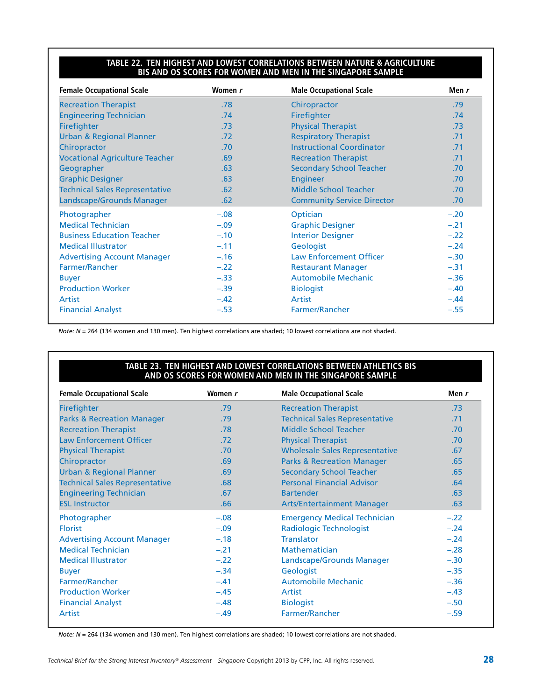#### **Table 22. Ten Highest and Lowest Correlations Between Nature & Agriculture BIS and OS Scores for Women and Men in the Singapore Sample**

| <b>Female Occupational Scale</b>      | Women r | <b>Male Occupational Scale</b>    | Men r  |
|---------------------------------------|---------|-----------------------------------|--------|
| <b>Recreation Therapist</b>           | .78     | Chiropractor                      | .79    |
| <b>Engineering Technician</b>         | .74     | Firefighter                       | .74    |
| <b>Firefighter</b>                    | .73     | <b>Physical Therapist</b>         | .73    |
| <b>Urban &amp; Regional Planner</b>   | .72     | <b>Respiratory Therapist</b>      | .71    |
| Chiropractor                          | .70     | <b>Instructional Coordinator</b>  | .71    |
| <b>Vocational Agriculture Teacher</b> | .69     | <b>Recreation Therapist</b>       | .71    |
| Geographer                            | .63     | <b>Secondary School Teacher</b>   | .70    |
| <b>Graphic Designer</b>               | .63     | <b>Engineer</b>                   | .70    |
| <b>Technical Sales Representative</b> | .62     | Middle School Teacher             | .70    |
| Landscape/Grounds Manager             | .62     | <b>Community Service Director</b> | .70    |
| Photographer                          | $-.08$  | Optician                          | $-.20$ |
| <b>Medical Technician</b>             | $-.09$  | <b>Graphic Designer</b>           | $-.21$ |
| <b>Business Education Teacher</b>     | $-.10$  | <b>Interior Designer</b>          | $-.22$ |
| <b>Medical Illustrator</b>            | $-.11$  | Geologist                         | $-.24$ |
| <b>Advertising Account Manager</b>    | $-.16$  | <b>Law Enforcement Officer</b>    | $-.30$ |
| Farmer/Rancher                        | $-.22$  | <b>Restaurant Manager</b>         | $-.31$ |
| <b>Buyer</b>                          | $-.33$  | <b>Automobile Mechanic</b>        | $-.36$ |
| <b>Production Worker</b>              | $-.39$  | <b>Biologist</b>                  | $-.40$ |
| Artist                                | $-.42$  | <b>Artist</b>                     | $-.44$ |
| <b>Financial Analyst</b>              | $-.53$  | <b>Farmer/Rancher</b>             | $-.55$ |

*Note: N* = 264 (134 women and 130 men). Ten highest correlations are shaded; 10 lowest correlations are not shaded.

#### **Table 23. Ten Highest and Lowest Correlations Between Athletics BIS and OS Scores for Women and Men in the Singapore Sample**

| <b>Female Occupational Scale</b>      | Women r | <b>Male Occupational Scale</b>        | Men r  |
|---------------------------------------|---------|---------------------------------------|--------|
| Firefighter                           | .79     | <b>Recreation Therapist</b>           | .73    |
| <b>Parks &amp; Recreation Manager</b> | .79     | <b>Technical Sales Representative</b> | .71    |
| <b>Recreation Therapist</b>           | .78     | Middle School Teacher                 | .70    |
| <b>Law Enforcement Officer</b>        | .72     | <b>Physical Therapist</b>             | .70    |
| <b>Physical Therapist</b>             | .70     | <b>Wholesale Sales Representative</b> | .67    |
| Chiropractor                          | .69     | <b>Parks &amp; Recreation Manager</b> | .65    |
| <b>Urban &amp; Regional Planner</b>   | .69     | <b>Secondary School Teacher</b>       | .65    |
| <b>Technical Sales Representative</b> | .68     | <b>Personal Financial Advisor</b>     | .64    |
| <b>Engineering Technician</b>         | .67     | <b>Bartender</b>                      | .63    |
| <b>ESL Instructor</b>                 | .66     | <b>Arts/Entertainment Manager</b>     | .63    |
| Photographer                          | $-.08$  | <b>Emergency Medical Technician</b>   | $-.22$ |
| <b>Florist</b>                        | $-.09$  | <b>Radiologic Technologist</b>        | $-.24$ |
| <b>Advertising Account Manager</b>    | $-.18$  | <b>Translator</b>                     | $-.24$ |
| <b>Medical Technician</b>             | $-.21$  | <b>Mathematician</b>                  | $-.28$ |
| <b>Medical Illustrator</b>            | $-.22$  | Landscape/Grounds Manager             | $-.30$ |
| <b>Buyer</b>                          | $-.34$  | Geologist                             | $-.35$ |
| Farmer/Rancher                        | $-.41$  | <b>Automobile Mechanic</b>            | $-.36$ |
| <b>Production Worker</b>              | $-.45$  | Artist                                | $-.43$ |
| <b>Financial Analyst</b>              | $-.48$  | <b>Biologist</b>                      | $-.50$ |
| Artist                                | $-.49$  | Farmer/Rancher                        | $-.59$ |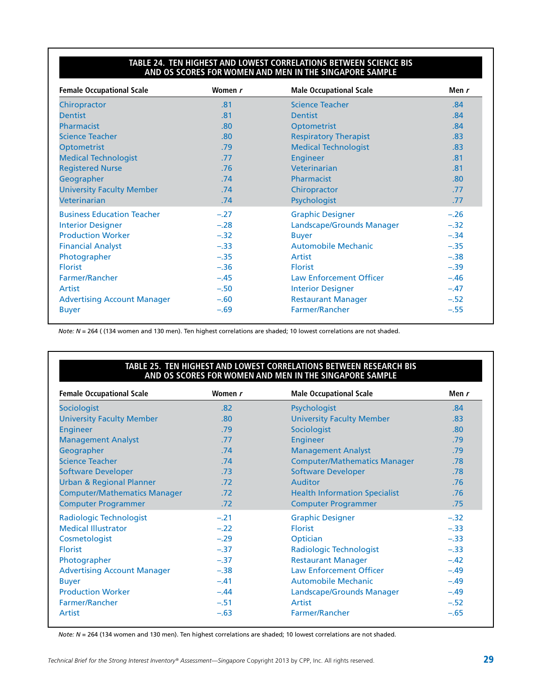#### **Table 24. Ten Highest and Lowest Correlations Between Science BIS and OS Scores for Women and Men in the Singapore Sample**

| <b>Female Occupational Scale</b>   | Women r | <b>Male Occupational Scale</b> | Men $r$ |
|------------------------------------|---------|--------------------------------|---------|
| Chiropractor                       | .81     | <b>Science Teacher</b>         | .84     |
| <b>Dentist</b>                     | .81     | <b>Dentist</b>                 | .84     |
| Pharmacist                         | .80     | <b>Optometrist</b>             | .84     |
| <b>Science Teacher</b>             | .80     | <b>Respiratory Therapist</b>   | .83     |
| <b>Optometrist</b>                 | .79     | <b>Medical Technologist</b>    | .83     |
| <b>Medical Technologist</b>        | .77     | <b>Engineer</b>                | .81     |
| <b>Registered Nurse</b>            | .76     | Veterinarian                   | .81     |
| Geographer                         | .74     | <b>Pharmacist</b>              | .80     |
| <b>University Faculty Member</b>   | .74     | Chiropractor                   | .77     |
| Veterinarian                       | .74     | Psychologist                   | .77     |
| <b>Business Education Teacher</b>  | $-.27$  | <b>Graphic Designer</b>        | $-.26$  |
| <b>Interior Designer</b>           | $-.28$  | Landscape/Grounds Manager      | $-.32$  |
| <b>Production Worker</b>           | $-.32$  | <b>Buyer</b>                   | $-.34$  |
| <b>Financial Analyst</b>           | $-.33$  | <b>Automobile Mechanic</b>     | $-.35$  |
| Photographer                       | $-.35$  | Artist                         | $-.38$  |
| <b>Florist</b>                     | $-.36$  | <b>Florist</b>                 | $-.39$  |
| Farmer/Rancher                     | $-.45$  | <b>Law Enforcement Officer</b> | $-.46$  |
| Artist                             | $-.50$  | <b>Interior Designer</b>       | $-.47$  |
| <b>Advertising Account Manager</b> | $-.60$  | <b>Restaurant Manager</b>      | $-.52$  |
| <b>Buyer</b>                       | $-.69$  | <b>Farmer/Rancher</b>          | $-.55$  |

*Note: N* = 264 ( (134 women and 130 men). Ten highest correlations are shaded; 10 lowest correlations are not shaded.

#### **Table 25. Ten Highest and Lowest Correlations Between Research BIS and OS Scores for Women and Men in the Singapore Sample**

| <b>Female Occupational Scale</b>    | Women r          | <b>Male Occupational Scale</b>       | Men r            |
|-------------------------------------|------------------|--------------------------------------|------------------|
| <b>Sociologist</b>                  | .82              | Psychologist                         | .84              |
| <b>University Faculty Member</b>    | .80              | <b>University Faculty Member</b>     | .83              |
| <b>Engineer</b>                     | .79              | Sociologist                          | .80 <sub>1</sub> |
| <b>Management Analyst</b>           | .77              | <b>Engineer</b>                      | .79              |
| Geographer                          | .74              | <b>Management Analyst</b>            | .79              |
| <b>Science Teacher</b>              | .74              | <b>Computer/Mathematics Manager</b>  | .78              |
| <b>Software Developer</b>           | .73              | <b>Software Developer</b>            | .78              |
| <b>Urban &amp; Regional Planner</b> | .72 <sub>2</sub> | <b>Auditor</b>                       | .76              |
| <b>Computer/Mathematics Manager</b> | .72              | <b>Health Information Specialist</b> | .76              |
| <b>Computer Programmer</b>          | .72              | <b>Computer Programmer</b>           | .75              |
| Radiologic Technologist             | $-.21$           | <b>Graphic Designer</b>              | $-.32$           |
| <b>Medical Illustrator</b>          | $-.22$           | <b>Florist</b>                       | $-.33$           |
| Cosmetologist                       | $-.29$           | Optician                             | $-.33$           |
| <b>Florist</b>                      | $-.37$           | <b>Radiologic Technologist</b>       | $-.33$           |
| Photographer                        | $-.37$           | <b>Restaurant Manager</b>            | $-.42$           |
| <b>Advertising Account Manager</b>  | $-.38$           | <b>Law Enforcement Officer</b>       | $-.49$           |
| <b>Buyer</b>                        | $-.41$           | <b>Automobile Mechanic</b>           | $-.49$           |
| <b>Production Worker</b>            | $-.44$           | Landscape/Grounds Manager            | $-.49$           |
| Farmer/Rancher                      | $-.51$           | Artist                               | $-.52$           |
| Artist                              | $-.63$           | Farmer/Rancher                       | $-.65$           |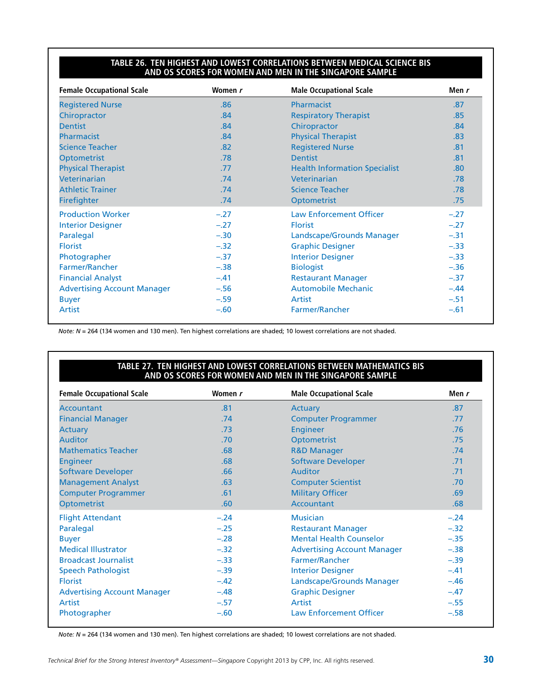#### **Table 26. Ten Highest and Lowest Correlations Between Medical Science BIS and OS Scores for Women and Men in the Singapore Sample**

| <b>Female Occupational Scale</b>   | Women r | <b>Male Occupational Scale</b>       | Men $r$ |
|------------------------------------|---------|--------------------------------------|---------|
| <b>Registered Nurse</b>            | .86     | Pharmacist                           | .87     |
| Chiropractor                       | .84     | <b>Respiratory Therapist</b>         | .85     |
| <b>Dentist</b>                     | .84     | Chiropractor                         | .84     |
| Pharmacist                         | .84     | <b>Physical Therapist</b>            | .83     |
| <b>Science Teacher</b>             | .82     | <b>Registered Nurse</b>              | .81     |
| <b>Optometrist</b>                 | .78     | <b>Dentist</b>                       | .81     |
| <b>Physical Therapist</b>          | .77     | <b>Health Information Specialist</b> | .80     |
| Veterinarian                       | .74     | Veterinarian                         | .78     |
| <b>Athletic Trainer</b>            | .74     | <b>Science Teacher</b>               | .78     |
| Firefighter                        | .74     | Optometrist                          | .75     |
| <b>Production Worker</b>           | $-.27$  | <b>Law Enforcement Officer</b>       | $-.27$  |
| <b>Interior Designer</b>           | $-.27$  | <b>Florist</b>                       | $-.27$  |
| Paralegal                          | $-.30$  | Landscape/Grounds Manager            | $-.31$  |
| <b>Florist</b>                     | $-.32$  | <b>Graphic Designer</b>              | $-.33$  |
| Photographer                       | $-.37$  | <b>Interior Designer</b>             | $-.33$  |
| <b>Farmer/Rancher</b>              | $-.38$  | <b>Biologist</b>                     | $-.36$  |
| <b>Financial Analyst</b>           | $-.41$  | <b>Restaurant Manager</b>            | $-.37$  |
| <b>Advertising Account Manager</b> | $-.56$  | Automobile Mechanic                  | $-.44$  |
| <b>Buyer</b>                       | $-.59$  | Artist                               | $-.51$  |
| <b>Artist</b>                      | $-.60$  | Farmer/Rancher                       | $-.61$  |

*Note: N* = 264 (134 women and 130 men). Ten highest correlations are shaded; 10 lowest correlations are not shaded.

#### **Table 27. Ten Highest and Lowest Correlations Between Mathematics BIS and OS Scores for Women and Men in the Singapore Sample**

| <b>Female Occupational Scale</b>   | Women r | <b>Male Occupational Scale</b>     | Men r  |
|------------------------------------|---------|------------------------------------|--------|
| <b>Accountant</b>                  | .81     | Actuary                            | .87    |
| <b>Financial Manager</b>           | .74     | <b>Computer Programmer</b>         | .77    |
| <b>Actuary</b>                     | .73     | <b>Engineer</b>                    | .76    |
| <b>Auditor</b>                     | .70     | Optometrist                        | .75    |
| <b>Mathematics Teacher</b>         | .68     | <b>R&amp;D Manager</b>             | .74    |
| <b>Engineer</b>                    | .68     | <b>Software Developer</b>          | .71    |
| <b>Software Developer</b>          | .66     | Auditor                            | .71    |
| <b>Management Analyst</b>          | .63     | <b>Computer Scientist</b>          | .70    |
| <b>Computer Programmer</b>         | .61     | <b>Military Officer</b>            | .69    |
| <b>Optometrist</b>                 | .60     | Accountant                         | .68    |
| <b>Flight Attendant</b>            | $-.24$  | <b>Musician</b>                    | $-.24$ |
| Paralegal                          | $-.25$  | <b>Restaurant Manager</b>          | $-.32$ |
| <b>Buyer</b>                       | $-.28$  | <b>Mental Health Counselor</b>     | $-.35$ |
| <b>Medical Illustrator</b>         | $-.32$  | <b>Advertising Account Manager</b> | $-.38$ |
| <b>Broadcast Journalist</b>        | $-.33$  | Farmer/Rancher                     | $-.39$ |
| <b>Speech Pathologist</b>          | $-.39$  | <b>Interior Designer</b>           | $-.41$ |
| <b>Florist</b>                     | $-.42$  | Landscape/Grounds Manager          | $-.46$ |
| <b>Advertising Account Manager</b> | $-.48$  | <b>Graphic Designer</b>            | $-.47$ |
| Artist                             | $-.57$  | Artist                             | $-.55$ |
| Photographer                       | $-.60$  | <b>Law Enforcement Officer</b>     | $-.58$ |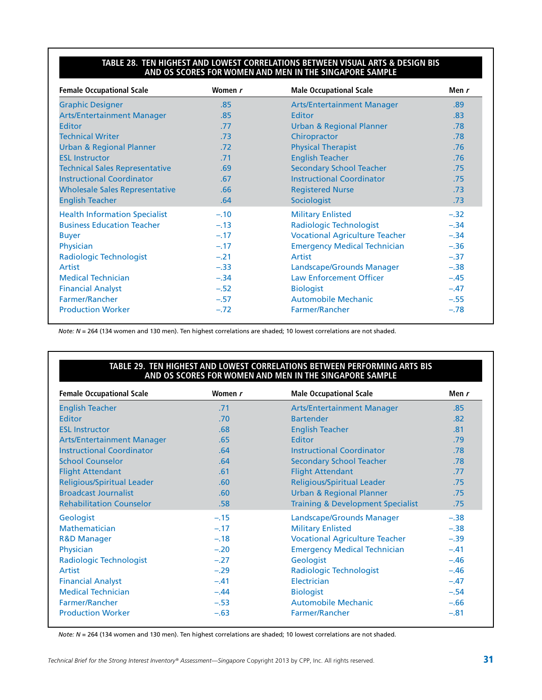#### **Table 28. Ten Highest and Lowest Correlations Between Visual Arts & Design BIS and OS Scores for Women and Men in the Singapore Sample**

| <b>Female Occupational Scale</b>      | Women r | <b>Male Occupational Scale</b>        | Men r  |
|---------------------------------------|---------|---------------------------------------|--------|
| <b>Graphic Designer</b>               | .85     | <b>Arts/Entertainment Manager</b>     | .89    |
| <b>Arts/Entertainment Manager</b>     | .85     | Editor                                | .83    |
| <b>Editor</b>                         | .77     | <b>Urban &amp; Regional Planner</b>   | .78    |
| <b>Technical Writer</b>               | .73     | Chiropractor                          | .78    |
| <b>Urban &amp; Regional Planner</b>   | .72     | <b>Physical Therapist</b>             | .76    |
| <b>ESL Instructor</b>                 | .71     | <b>English Teacher</b>                | .76    |
| <b>Technical Sales Representative</b> | .69     | <b>Secondary School Teacher</b>       | .75    |
| <b>Instructional Coordinator</b>      | .67     | <b>Instructional Coordinator</b>      | .75    |
| <b>Wholesale Sales Representative</b> | .66     | <b>Registered Nurse</b>               | .73    |
| <b>English Teacher</b>                | .64     | Sociologist                           | .73    |
| <b>Health Information Specialist</b>  | $-.10$  | <b>Military Enlisted</b>              | $-.32$ |
| <b>Business Education Teacher</b>     | $-.13$  | <b>Radiologic Technologist</b>        | $-.34$ |
| <b>Buyer</b>                          | $-.17$  | <b>Vocational Agriculture Teacher</b> | $-.34$ |
| Physician                             | $-.17$  | <b>Emergency Medical Technician</b>   | $-.36$ |
| Radiologic Technologist               | $-.21$  | Artist                                | $-.37$ |
| Artist                                | $-.33$  | Landscape/Grounds Manager             | $-.38$ |
| <b>Medical Technician</b>             | $-.34$  | <b>Law Enforcement Officer</b>        | $-.45$ |
| <b>Financial Analyst</b>              | $-.52$  | <b>Biologist</b>                      | $-.47$ |
| <b>Farmer/Rancher</b>                 | $-.57$  | <b>Automobile Mechanic</b>            | $-.55$ |
| <b>Production Worker</b>              | $-.72$  | <b>Farmer/Rancher</b>                 | $-.78$ |

*Note: N* = 264 (134 women and 130 men). Ten highest correlations are shaded; 10 lowest correlations are not shaded.

#### **Table 29. Ten Highest and Lowest Correlations Between Performing Arts BIS and OS Scores for Women and Men in the Singapore Sample**

| <b>Female Occupational Scale</b>  | Women r          | <b>Male Occupational Scale</b>               | Men r  |
|-----------------------------------|------------------|----------------------------------------------|--------|
| <b>English Teacher</b>            | .71              | <b>Arts/Entertainment Manager</b>            | .85    |
| <b>Editor</b>                     | .70              | <b>Bartender</b>                             | .82    |
| <b>ESL Instructor</b>             | .68              | <b>English Teacher</b>                       | .81    |
| <b>Arts/Entertainment Manager</b> | .65              | <b>Editor</b>                                | .79    |
| <b>Instructional Coordinator</b>  | .64              | <b>Instructional Coordinator</b>             | .78    |
| <b>School Counselor</b>           | .64              | <b>Secondary School Teacher</b>              | .78    |
| <b>Flight Attendant</b>           | .61              | <b>Flight Attendant</b>                      | .77    |
| <b>Religious/Spiritual Leader</b> | .60 <sub>1</sub> | <b>Religious/Spiritual Leader</b>            | .75    |
| <b>Broadcast Journalist</b>       | .60 <sub>1</sub> | <b>Urban &amp; Regional Planner</b>          | .75    |
| <b>Rehabilitation Counselor</b>   | .58              | <b>Training &amp; Development Specialist</b> | .75    |
| Geologist                         | $-.15$           | Landscape/Grounds Manager                    | $-.38$ |
| <b>Mathematician</b>              | $-.17$           | <b>Military Enlisted</b>                     | $-.38$ |
| <b>R&amp;D Manager</b>            | $-.18$           | <b>Vocational Agriculture Teacher</b>        | $-.39$ |
| Physician                         | $-.20$           | <b>Emergency Medical Technician</b>          | $-.41$ |
| Radiologic Technologist           | $-.27$           | Geologist                                    | $-.46$ |
| Artist                            | $-.29$           | <b>Radiologic Technologist</b>               | $-.46$ |
| <b>Financial Analyst</b>          | $-.41$           | Electrician                                  | $-.47$ |
| <b>Medical Technician</b>         | $-.44$           | <b>Biologist</b>                             | $-.54$ |
| <b>Farmer/Rancher</b>             | $-.53$           | <b>Automobile Mechanic</b>                   | $-.66$ |
| <b>Production Worker</b>          | $-.63$           | Farmer/Rancher                               | $-.81$ |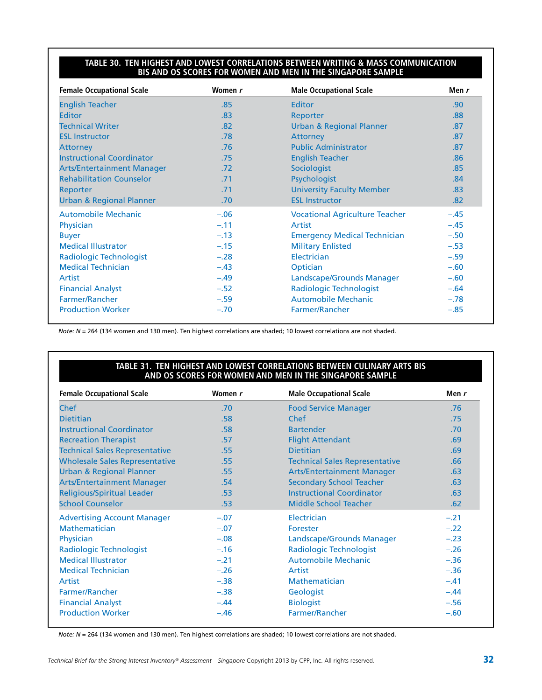#### **Table 30. Ten Highest and Lowest Correlations Between Writing & Mass Communication BIS and OS Scores for Women and Men in the Singapore Sample**

| <b>Female Occupational Scale</b>    | Women r | <b>Male Occupational Scale</b>        | Men $r$ |
|-------------------------------------|---------|---------------------------------------|---------|
| <b>English Teacher</b>              | .85     | Editor                                | .90     |
| <b>Editor</b>                       | .83     | Reporter                              | .88     |
| <b>Technical Writer</b>             | .82     | <b>Urban &amp; Regional Planner</b>   | .87     |
| <b>ESL Instructor</b>               | .78     | <b>Attorney</b>                       | .87     |
| <b>Attorney</b>                     | .76     | <b>Public Administrator</b>           | .87     |
| <b>Instructional Coordinator</b>    | .75     | <b>English Teacher</b>                | .86     |
| <b>Arts/Entertainment Manager</b>   | .72     | Sociologist                           | .85     |
| <b>Rehabilitation Counselor</b>     | .71     | Psychologist                          | .84     |
| Reporter                            | .71     | <b>University Faculty Member</b>      | .83     |
| <b>Urban &amp; Regional Planner</b> | .70     | <b>ESL Instructor</b>                 | .82     |
| <b>Automobile Mechanic</b>          | $-.06$  | <b>Vocational Agriculture Teacher</b> | $-.45$  |
| Physician                           | $-.11$  | Artist                                | $-.45$  |
| <b>Buyer</b>                        | $-.13$  | <b>Emergency Medical Technician</b>   | $-.50$  |
| <b>Medical Illustrator</b>          | $-.15$  | <b>Military Enlisted</b>              | $-.53$  |
| <b>Radiologic Technologist</b>      | $-.28$  | Electrician                           | $-.59$  |
| <b>Medical Technician</b>           | $-.43$  | Optician                              | $-.60$  |
| Artist                              | $-.49$  | Landscape/Grounds Manager             | $-.60$  |
| <b>Financial Analyst</b>            | $-.52$  | <b>Radiologic Technologist</b>        | $-.64$  |
| <b>Farmer/Rancher</b>               | $-.59$  | <b>Automobile Mechanic</b>            | $-.78$  |
| <b>Production Worker</b>            | $-.70$  | Farmer/Rancher                        | $-.85$  |

*Note: N* = 264 (134 women and 130 men). Ten highest correlations are shaded; 10 lowest correlations are not shaded.

#### **Table 31. Ten Highest and Lowest Correlations Between Culinary Arts BIS and OS Scores for Women and Men in the Singapore Sample**

| <b>Female Occupational Scale</b>      | Women r | <b>Male Occupational Scale</b>        | Men r  |
|---------------------------------------|---------|---------------------------------------|--------|
| <b>Chef</b>                           | .70     | <b>Food Service Manager</b>           | .76    |
| <b>Dietitian</b>                      | .58     | Chef                                  | .75    |
| <b>Instructional Coordinator</b>      | .58     | <b>Bartender</b>                      | .70    |
| <b>Recreation Therapist</b>           | .57     | <b>Flight Attendant</b>               | .69    |
| <b>Technical Sales Representative</b> | .55     | <b>Dietitian</b>                      | .69    |
| <b>Wholesale Sales Representative</b> | .55     | <b>Technical Sales Representative</b> | .66    |
| <b>Urban &amp; Regional Planner</b>   | .55     | <b>Arts/Entertainment Manager</b>     | .63    |
| <b>Arts/Entertainment Manager</b>     | .54     | <b>Secondary School Teacher</b>       | .63    |
| <b>Religious/Spiritual Leader</b>     | .53     | <b>Instructional Coordinator</b>      | .63    |
| <b>School Counselor</b>               | .53     | <b>Middle School Teacher</b>          | .62    |
| <b>Advertising Account Manager</b>    | $-.07$  | Electrician                           | $-.21$ |
| Mathematician                         | $-.07$  | <b>Forester</b>                       | $-.22$ |
| Physician                             | $-.08$  | Landscape/Grounds Manager             | $-.23$ |
| <b>Radiologic Technologist</b>        | $-.16$  | <b>Radiologic Technologist</b>        | $-.26$ |
| <b>Medical Illustrator</b>            | $-.21$  | <b>Automobile Mechanic</b>            | $-.36$ |
| <b>Medical Technician</b>             | $-.26$  | Artist                                | $-.36$ |
| Artist                                | $-.38$  | <b>Mathematician</b>                  | $-.41$ |
| Farmer/Rancher                        | $-.38$  | Geologist                             | $-.44$ |
| <b>Financial Analyst</b>              | $-.44$  | <b>Biologist</b>                      | $-.56$ |
| <b>Production Worker</b>              | $-.46$  | Farmer/Rancher                        | $-.60$ |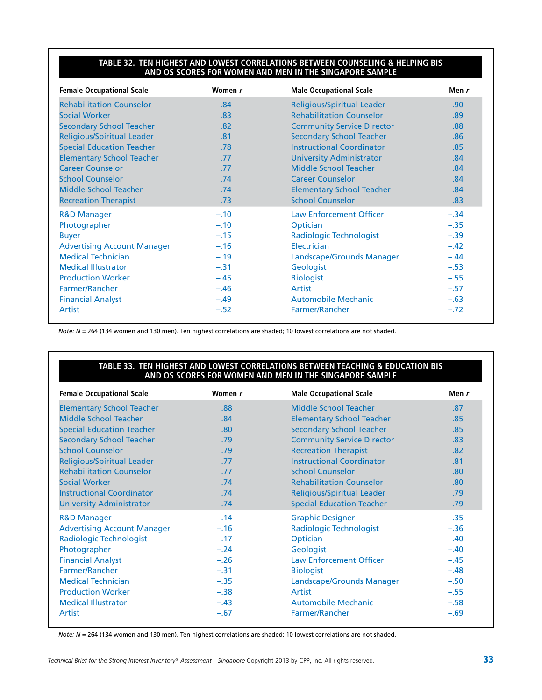#### **Table 32. Ten Highest and Lowest Correlations Between Counseling & Helping BIS and OS Scores for Women and Men in the Singapore Sample**

| <b>Female Occupational Scale</b>   | Women r | <b>Male Occupational Scale</b>    | Men r  |
|------------------------------------|---------|-----------------------------------|--------|
| <b>Rehabilitation Counselor</b>    | .84     | <b>Religious/Spiritual Leader</b> | .90    |
| <b>Social Worker</b>               | .83     | <b>Rehabilitation Counselor</b>   | .89    |
| <b>Secondary School Teacher</b>    | .82     | <b>Community Service Director</b> | .88    |
| <b>Religious/Spiritual Leader</b>  | .81     | <b>Secondary School Teacher</b>   | .86    |
| <b>Special Education Teacher</b>   | .78     | <b>Instructional Coordinator</b>  | .85    |
| <b>Elementary School Teacher</b>   | .77     | <b>University Administrator</b>   | .84    |
| <b>Career Counselor</b>            | .77     | Middle School Teacher             | .84    |
| <b>School Counselor</b>            | .74     | <b>Career Counselor</b>           | .84    |
| Middle School Teacher              | .74     | <b>Elementary School Teacher</b>  | .84    |
| <b>Recreation Therapist</b>        | .73     | <b>School Counselor</b>           | .83    |
| <b>R&amp;D Manager</b>             | $-.10$  | <b>Law Enforcement Officer</b>    | $-.34$ |
| Photographer                       | $-.10$  | Optician                          | $-.35$ |
| <b>Buyer</b>                       | $-.15$  | Radiologic Technologist           | $-.39$ |
| <b>Advertising Account Manager</b> | $-.16$  | Electrician                       | $-.42$ |
| <b>Medical Technician</b>          | $-.19$  | Landscape/Grounds Manager         | $-.44$ |
| <b>Medical Illustrator</b>         | $-.31$  | Geologist                         | $-.53$ |
| <b>Production Worker</b>           | $-.45$  | <b>Biologist</b>                  | $-.55$ |
| Farmer/Rancher                     | $-.46$  | Artist                            | $-.57$ |
| <b>Financial Analyst</b>           | $-.49$  | <b>Automobile Mechanic</b>        | $-.63$ |
| Artist                             | $-.52$  | <b>Farmer/Rancher</b>             | $-.72$ |

*Note: N* = 264 (134 women and 130 men). Ten highest correlations are shaded; 10 lowest correlations are not shaded.

#### **Table 33. Ten Highest and Lowest Correlations Between Teaching & Education BIS and OS Scores for Women and Men in the Singapore Sample**

| <b>Female Occupational Scale</b>   | Women r          | <b>Male Occupational Scale</b>    | Men r            |
|------------------------------------|------------------|-----------------------------------|------------------|
| <b>Elementary School Teacher</b>   | .88              | <b>Middle School Teacher</b>      | .87              |
| Middle School Teacher              | .84              | <b>Elementary School Teacher</b>  | .85              |
| <b>Special Education Teacher</b>   | .80 <sub>2</sub> | <b>Secondary School Teacher</b>   | .85              |
| <b>Secondary School Teacher</b>    | .79              | <b>Community Service Director</b> | .83              |
| <b>School Counselor</b>            | .79              | <b>Recreation Therapist</b>       | .82              |
| <b>Religious/Spiritual Leader</b>  | .77              | <b>Instructional Coordinator</b>  | .81              |
| <b>Rehabilitation Counselor</b>    | .77              | <b>School Counselor</b>           | .80 <sub>1</sub> |
| Social Worker                      | .74              | <b>Rehabilitation Counselor</b>   | .80 <sub>1</sub> |
| <b>Instructional Coordinator</b>   | .74              | <b>Religious/Spiritual Leader</b> | .79              |
| <b>University Administrator</b>    | .74              | <b>Special Education Teacher</b>  | .79              |
| <b>R&amp;D Manager</b>             | $-.14$           | <b>Graphic Designer</b>           | $-.35$           |
| <b>Advertising Account Manager</b> | $-.16$           | <b>Radiologic Technologist</b>    | $-.36$           |
| Radiologic Technologist            | $-.17$           | Optician                          | $-.40$           |
| Photographer                       | $-.24$           | Geologist                         | $-.40$           |
| <b>Financial Analyst</b>           | $-.26$           | <b>Law Enforcement Officer</b>    | $-.45$           |
| Farmer/Rancher                     | $-.31$           | <b>Biologist</b>                  | $-.48$           |
| <b>Medical Technician</b>          | $-.35$           | Landscape/Grounds Manager         | $-.50$           |
| <b>Production Worker</b>           | $-.38$           | Artist                            | $-.55$           |
| <b>Medical Illustrator</b>         | $-.43$           | <b>Automobile Mechanic</b>        | $-.58$           |
| Artist                             | $-.67$           | Farmer/Rancher                    | $-.69$           |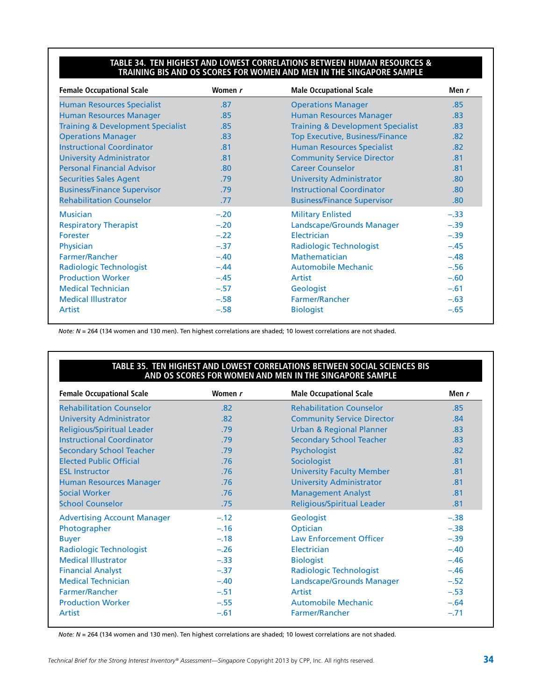#### **Table 34. Ten Highest and Lowest Correlations Between Human Resources & Training BIS and OS Scores for Women and Men in the Singapore Sample**

| <b>Female Occupational Scale</b>             | Women r | <b>Male Occupational Scale</b>               | Men $r$          |
|----------------------------------------------|---------|----------------------------------------------|------------------|
| <b>Human Resources Specialist</b>            | .87     | <b>Operations Manager</b>                    | .85              |
| <b>Human Resources Manager</b>               | .85     | <b>Human Resources Manager</b>               | .83              |
| <b>Training &amp; Development Specialist</b> | .85     | <b>Training &amp; Development Specialist</b> | .83              |
| <b>Operations Manager</b>                    | .83     | <b>Top Executive, Business/Finance</b>       | .82              |
| <b>Instructional Coordinator</b>             | .81     | <b>Human Resources Specialist</b>            | .82              |
| <b>University Administrator</b>              | .81     | <b>Community Service Director</b>            | .81              |
| <b>Personal Financial Advisor</b>            | .80     | <b>Career Counselor</b>                      | .81              |
| <b>Securities Sales Agent</b>                | .79     | <b>University Administrator</b>              | .80              |
| <b>Business/Finance Supervisor</b>           | .79     | <b>Instructional Coordinator</b>             | .80 <sub>1</sub> |
| <b>Rehabilitation Counselor</b>              | .77     | <b>Business/Finance Supervisor</b>           | .80              |
| <b>Musician</b>                              | $-.20$  | <b>Military Enlisted</b>                     | $-.33$           |
| <b>Respiratory Therapist</b>                 | $-.20$  | Landscape/Grounds Manager                    | $-.39$           |
| Forester                                     | $-.22$  | Electrician                                  | $-.39$           |
| Physician                                    | $-.37$  | Radiologic Technologist                      | $-.45$           |
| <b>Farmer/Rancher</b>                        | $-.40$  | Mathematician                                | $-.48$           |
| Radiologic Technologist                      | $-.44$  | <b>Automobile Mechanic</b>                   | $-.56$           |
| <b>Production Worker</b>                     | $-.45$  | Artist                                       | $-.60$           |
| <b>Medical Technician</b>                    | $-.57$  | Geologist                                    | $-.61$           |
| <b>Medical Illustrator</b>                   | $-.58$  | Farmer/Rancher                               | $-.63$           |
| Artist                                       | $-.58$  | <b>Biologist</b>                             | $-.65$           |

*Note: N* = 264 (134 women and 130 men). Ten highest correlations are shaded; 10 lowest correlations are not shaded.

#### **Table 35. Ten Highest and Lowest Correlations Between Social Sciences BIS and OS Scores for Women and Men in the Singapore Sample**

| <b>Female Occupational Scale</b>   | Women r          | <b>Male Occupational Scale</b>      | Men r  |
|------------------------------------|------------------|-------------------------------------|--------|
| <b>Rehabilitation Counselor</b>    | .82 <sub>0</sub> | <b>Rehabilitation Counselor</b>     | .85    |
| <b>University Administrator</b>    | .82              | <b>Community Service Director</b>   | .84    |
| <b>Religious/Spiritual Leader</b>  | .79              | <b>Urban &amp; Regional Planner</b> | .83    |
| <b>Instructional Coordinator</b>   | .79              | <b>Secondary School Teacher</b>     | .83    |
| <b>Secondary School Teacher</b>    | .79              | Psychologist                        | .82    |
| <b>Elected Public Official</b>     | .76              | Sociologist                         | .81    |
| <b>ESL Instructor</b>              | .76              | <b>University Faculty Member</b>    | .81    |
| <b>Human Resources Manager</b>     | .76              | <b>University Administrator</b>     | .81    |
| <b>Social Worker</b>               | .76              | <b>Management Analyst</b>           | .81    |
| <b>School Counselor</b>            | .75              | <b>Religious/Spiritual Leader</b>   | .81    |
| <b>Advertising Account Manager</b> | $-.12$           | Geologist                           | $-.38$ |
| Photographer                       | $-.16$           | Optician                            | $-.38$ |
| <b>Buyer</b>                       | $-.18$           | <b>Law Enforcement Officer</b>      | $-.39$ |
| Radiologic Technologist            | $-.26$           | Electrician                         | $-.40$ |
| <b>Medical Illustrator</b>         | $-.33$           | <b>Biologist</b>                    | $-.46$ |
| <b>Financial Analyst</b>           | $-.37$           | Radiologic Technologist             | $-.46$ |
| <b>Medical Technician</b>          | $-.40$           | Landscape/Grounds Manager           | $-.52$ |
| Farmer/Rancher                     | $-.51$           | Artist                              | $-.53$ |
| <b>Production Worker</b>           | $-.55$           | <b>Automobile Mechanic</b>          | $-.64$ |
| Artist                             | $-.61$           | Farmer/Rancher                      | $-.71$ |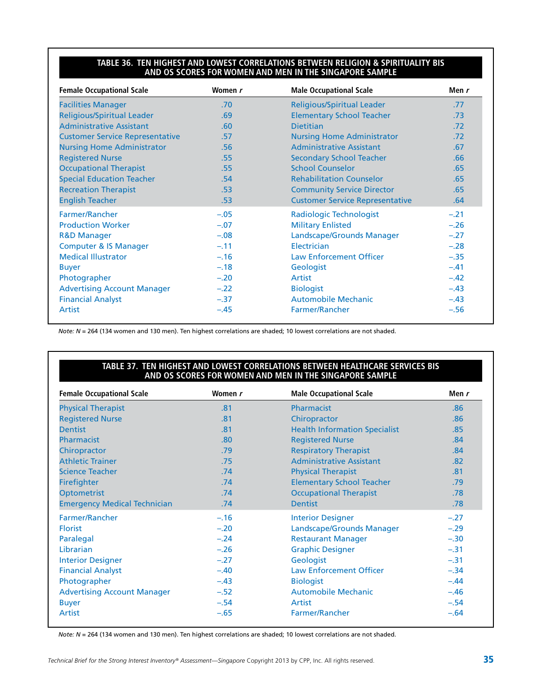#### **Table 36. Ten Highest and Lowest Correlations Between Religion & Spirituality BIS and OS Scores for Women and Men in the Singapore Sample**

| <b>Female Occupational Scale</b>       | Women r | <b>Male Occupational Scale</b>         | Men r  |
|----------------------------------------|---------|----------------------------------------|--------|
| <b>Facilities Manager</b>              | .70     | <b>Religious/Spiritual Leader</b>      | .77    |
| <b>Religious/Spiritual Leader</b>      | .69     | <b>Elementary School Teacher</b>       | .73    |
| <b>Administrative Assistant</b>        | .60     | <b>Dietitian</b>                       | .72    |
| <b>Customer Service Representative</b> | .57     | <b>Nursing Home Administrator</b>      | .72    |
| <b>Nursing Home Administrator</b>      | .56     | <b>Administrative Assistant</b>        | .67    |
| <b>Registered Nurse</b>                | .55     | <b>Secondary School Teacher</b>        | .66    |
| <b>Occupational Therapist</b>          | .55     | <b>School Counselor</b>                | .65    |
| <b>Special Education Teacher</b>       | .54     | <b>Rehabilitation Counselor</b>        | .65    |
| <b>Recreation Therapist</b>            | .53     | <b>Community Service Director</b>      | .65    |
| <b>English Teacher</b>                 | .53     | <b>Customer Service Representative</b> | .64    |
| Farmer/Rancher                         | $-.05$  | Radiologic Technologist                | $-.21$ |
| <b>Production Worker</b>               | $-.07$  | <b>Military Enlisted</b>               | $-.26$ |
| <b>R&amp;D Manager</b>                 | $-.08$  | Landscape/Grounds Manager              | $-.27$ |
| <b>Computer &amp; IS Manager</b>       | $-.11$  | Electrician                            | $-.28$ |
| <b>Medical Illustrator</b>             | $-.16$  | <b>Law Enforcement Officer</b>         | $-.35$ |
| <b>Buyer</b>                           | $-.18$  | Geologist                              | $-.41$ |
| Photographer                           | $-.20$  | Artist                                 | $-.42$ |
| <b>Advertising Account Manager</b>     | $-.22$  | <b>Biologist</b>                       | $-.43$ |
| <b>Financial Analyst</b>               | $-.37$  | <b>Automobile Mechanic</b>             | $-.43$ |
| Artist                                 | $-.45$  | Farmer/Rancher                         | $-.56$ |

*Note: N* = 264 (134 women and 130 men). Ten highest correlations are shaded; 10 lowest correlations are not shaded.

#### **Table 37. Ten Highest and Lowest Correlations Between Healthcare Services BIS and OS Scores for Women and Men in the Singapore Sample**

| <b>Female Occupational Scale</b>    | Women r | <b>Male Occupational Scale</b>       | Men r  |
|-------------------------------------|---------|--------------------------------------|--------|
| <b>Physical Therapist</b>           | .81     | Pharmacist                           | .86    |
| <b>Registered Nurse</b>             | .81     | Chiropractor                         | .86    |
| <b>Dentist</b>                      | .81     | <b>Health Information Specialist</b> | .85    |
| Pharmacist                          | .80     | <b>Registered Nurse</b>              | .84    |
| Chiropractor                        | .79     | <b>Respiratory Therapist</b>         | .84    |
| <b>Athletic Trainer</b>             | .75     | <b>Administrative Assistant</b>      | .82    |
| <b>Science Teacher</b>              | .74     | <b>Physical Therapist</b>            | .81    |
| <b>Firefighter</b>                  | .74     | <b>Elementary School Teacher</b>     | .79    |
| <b>Optometrist</b>                  | .74     | <b>Occupational Therapist</b>        | .78    |
| <b>Emergency Medical Technician</b> | .74     | <b>Dentist</b>                       | .78    |
| Farmer/Rancher                      | $-.16$  | <b>Interior Designer</b>             | $-.27$ |
| <b>Florist</b>                      | $-.20$  | <b>Landscape/Grounds Manager</b>     | $-.29$ |
| Paralegal                           | $-.24$  | <b>Restaurant Manager</b>            | $-.30$ |
| Librarian                           | $-.26$  | <b>Graphic Designer</b>              | $-.31$ |
| <b>Interior Designer</b>            | $-.27$  | Geologist                            | $-.31$ |
| <b>Financial Analyst</b>            | $-.40$  | <b>Law Enforcement Officer</b>       | $-.34$ |
| Photographer                        | $-.43$  | <b>Biologist</b>                     | $-.44$ |
| <b>Advertising Account Manager</b>  | $-.52$  | <b>Automobile Mechanic</b>           | $-.46$ |
| <b>Buyer</b>                        | $-.54$  | Artist                               | $-.54$ |
| Artist                              | $-.65$  | Farmer/Rancher                       | $-.64$ |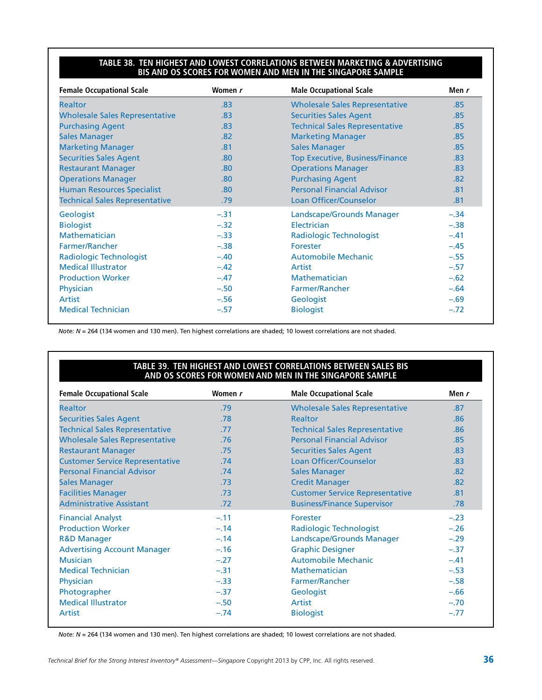#### **Table 38. Ten Highest and Lowest Correlations Between Marketing & Advertising BIS and OS Scores for Women and Men in the Singapore Sample**

| <b>Female Occupational Scale</b>      | Women r          | <b>Male Occupational Scale</b>         | Men r  |
|---------------------------------------|------------------|----------------------------------------|--------|
| <b>Realtor</b>                        | .83              | <b>Wholesale Sales Representative</b>  | .85    |
| <b>Wholesale Sales Representative</b> | .83              | <b>Securities Sales Agent</b>          | .85    |
| <b>Purchasing Agent</b>               | .83              | <b>Technical Sales Representative</b>  | .85    |
| <b>Sales Manager</b>                  | .82              | <b>Marketing Manager</b>               | .85    |
| <b>Marketing Manager</b>              | .81              | <b>Sales Manager</b>                   | .85    |
| <b>Securities Sales Agent</b>         | .80              | <b>Top Executive, Business/Finance</b> | .83    |
| <b>Restaurant Manager</b>             | .80 <sub>1</sub> | <b>Operations Manager</b>              | .83    |
| <b>Operations Manager</b>             | .80              | <b>Purchasing Agent</b>                | .82    |
| <b>Human Resources Specialist</b>     | .80              | <b>Personal Financial Advisor</b>      | .81    |
| <b>Technical Sales Representative</b> | .79              | Loan Officer/Counselor                 | .81    |
| Geologist                             | $-.31$           | Landscape/Grounds Manager              | $-.34$ |
| <b>Biologist</b>                      | $-.32$           | Electrician                            | $-.38$ |
| Mathematician                         | $-.33$           | <b>Radiologic Technologist</b>         | $-.41$ |
| <b>Farmer/Rancher</b>                 | $-.38$           | Forester                               | $-.45$ |
| Radiologic Technologist               | $-.40$           | <b>Automobile Mechanic</b>             | $-.55$ |
| <b>Medical Illustrator</b>            | $-.42$           | Artist                                 | $-.57$ |
| <b>Production Worker</b>              | $-.47$           | Mathematician                          | $-.62$ |
| Physician                             | $-.50$           | Farmer/Rancher                         | $-.64$ |
| Artist                                | $-.56$           | Geologist                              | $-.69$ |
| <b>Medical Technician</b>             | $-.57$           | <b>Biologist</b>                       | $-.72$ |

*Note: N* = 264 (134 women and 130 men). Ten highest correlations are shaded; 10 lowest correlations are not shaded.

#### TABLE 39. TEN HIGHEST AND LOWEST CORRELATIONS BETWEEN SALES B **and OS Scores for Women and Men in the Singapore Sample**

| <b>Female Occupational Scale</b>       | Women r | <b>Male Occupational Scale</b>         | Men r  |
|----------------------------------------|---------|----------------------------------------|--------|
| <b>Realtor</b>                         | .79     | <b>Wholesale Sales Representative</b>  | .87    |
| <b>Securities Sales Agent</b>          | .78     | <b>Realtor</b>                         | .86    |
| <b>Technical Sales Representative</b>  | .77     | <b>Technical Sales Representative</b>  | .86    |
| <b>Wholesale Sales Representative</b>  | .76     | <b>Personal Financial Advisor</b>      | .85    |
| <b>Restaurant Manager</b>              | .75     | <b>Securities Sales Agent</b>          | .83    |
| <b>Customer Service Representative</b> | .74     | Loan Officer/Counselor                 | .83    |
| <b>Personal Financial Advisor</b>      | .74     | <b>Sales Manager</b>                   | .82    |
| <b>Sales Manager</b>                   | .73     | <b>Credit Manager</b>                  | .82    |
| <b>Facilities Manager</b>              | .73     | <b>Customer Service Representative</b> | .81    |
| <b>Administrative Assistant</b>        | .72     | <b>Business/Finance Supervisor</b>     | .78    |
| <b>Financial Analyst</b>               | $-.11$  | Forester                               | $-.23$ |
| <b>Production Worker</b>               | $-.14$  | <b>Radiologic Technologist</b>         | $-.26$ |
| <b>R&amp;D Manager</b>                 | $-.14$  | Landscape/Grounds Manager              | $-.29$ |
| <b>Advertising Account Manager</b>     | $-.16$  | <b>Graphic Designer</b>                | $-.37$ |
| <b>Musician</b>                        | $-.27$  | <b>Automobile Mechanic</b>             | $-.41$ |
| <b>Medical Technician</b>              | $-.31$  | <b>Mathematician</b>                   | $-.53$ |
| Physician                              | $-.33$  | Farmer/Rancher                         | $-.58$ |
| Photographer                           | $-.37$  | Geologist                              | $-.66$ |
| <b>Medical Illustrator</b>             | $-.50$  | Artist                                 | $-.70$ |
| Artist                                 | $-.74$  | <b>Biologist</b>                       | $-.77$ |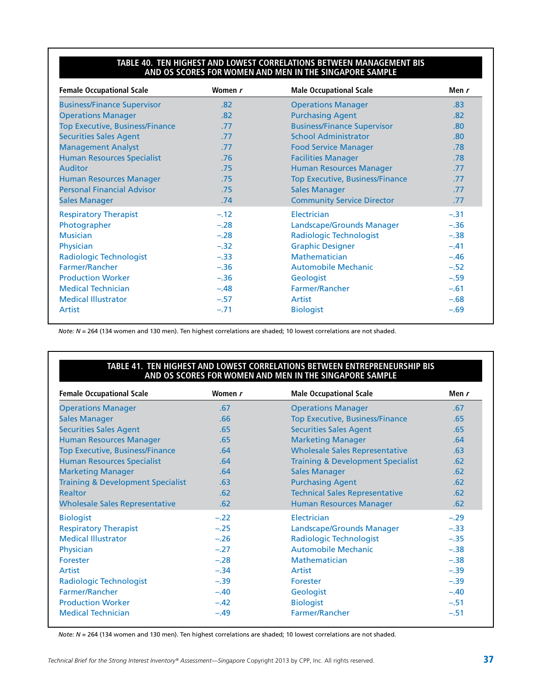#### **Table 40. Ten Highest and Lowest Correlations Between Management BIS and OS Scores for Women and Men in the Singapore Sample**

| <b>Female Occupational Scale</b>       | Women r | <b>Male Occupational Scale</b>         | Men r  |
|----------------------------------------|---------|----------------------------------------|--------|
| <b>Business/Finance Supervisor</b>     | .82     | <b>Operations Manager</b>              | .83    |
| <b>Operations Manager</b>              | .82     | <b>Purchasing Agent</b>                | .82    |
| <b>Top Executive, Business/Finance</b> | .77     | <b>Business/Finance Supervisor</b>     | .80    |
| <b>Securities Sales Agent</b>          | .77     | <b>School Administrator</b>            | .80    |
| <b>Management Analyst</b>              | .77     | <b>Food Service Manager</b>            | .78    |
| <b>Human Resources Specialist</b>      | .76     | <b>Facilities Manager</b>              | .78    |
| <b>Auditor</b>                         | .75     | <b>Human Resources Manager</b>         | .77    |
| <b>Human Resources Manager</b>         | .75     | <b>Top Executive, Business/Finance</b> | .77    |
| <b>Personal Financial Advisor</b>      | .75     | <b>Sales Manager</b>                   | .77    |
| <b>Sales Manager</b>                   | .74     | <b>Community Service Director</b>      | .77    |
| <b>Respiratory Therapist</b>           | $-.12$  | Electrician                            | $-.31$ |
| Photographer                           | $-.28$  | Landscape/Grounds Manager              | $-.36$ |
| <b>Musician</b>                        | $-.28$  | <b>Radiologic Technologist</b>         | $-.38$ |
| Physician                              | $-.32$  | <b>Graphic Designer</b>                | $-.41$ |
| <b>Radiologic Technologist</b>         | $-.33$  | <b>Mathematician</b>                   | $-.46$ |
| Farmer/Rancher                         | $-.36$  | <b>Automobile Mechanic</b>             | $-.52$ |
| <b>Production Worker</b>               | $-.36$  | Geologist                              | $-.59$ |
| <b>Medical Technician</b>              | $-.48$  | Farmer/Rancher                         | $-.61$ |
| <b>Medical Illustrator</b>             | $-.57$  | Artist                                 | $-.68$ |
| Artist                                 | $-.71$  | <b>Biologist</b>                       | $-.69$ |

*Note: N* = 264 (134 women and 130 men). Ten highest correlations are shaded; 10 lowest correlations are not shaded.

#### **Table 41. Ten Highest and Lowest Correlations Between Entrepreneurship BIS and OS Scores for Women and Men in the Singapore Sample**

| <b>Female Occupational Scale</b>             | Women r | <b>Male Occupational Scale</b>               | Men r  |
|----------------------------------------------|---------|----------------------------------------------|--------|
| <b>Operations Manager</b>                    | .67     | <b>Operations Manager</b>                    | .67    |
| <b>Sales Manager</b>                         | .66     | <b>Top Executive, Business/Finance</b>       | .65    |
| <b>Securities Sales Agent</b>                | .65     | <b>Securities Sales Agent</b>                | .65    |
| <b>Human Resources Manager</b>               | .65     | <b>Marketing Manager</b>                     | .64    |
| <b>Top Executive, Business/Finance</b>       | .64     | <b>Wholesale Sales Representative</b>        | .63    |
| <b>Human Resources Specialist</b>            | .64     | <b>Training &amp; Development Specialist</b> | .62    |
| <b>Marketing Manager</b>                     | .64     | <b>Sales Manager</b>                         | .62    |
| <b>Training &amp; Development Specialist</b> | .63     | <b>Purchasing Agent</b>                      | .62    |
| <b>Realtor</b>                               | .62     | <b>Technical Sales Representative</b>        | .62    |
| <b>Wholesale Sales Representative</b>        | .62     | <b>Human Resources Manager</b>               | .62    |
| <b>Biologist</b>                             | $-.22$  | Electrician                                  | $-.29$ |
| <b>Respiratory Therapist</b>                 | $-.25$  | Landscape/Grounds Manager                    | $-.33$ |
| <b>Medical Illustrator</b>                   | $-.26$  | <b>Radiologic Technologist</b>               | $-.35$ |
| Physician                                    | $-.27$  | <b>Automobile Mechanic</b>                   | $-.38$ |
| Forester                                     | $-.28$  | Mathematician                                | $-.38$ |
| Artist                                       | $-.34$  | Artist                                       | $-.39$ |
| Radiologic Technologist                      | $-.39$  | Forester                                     | $-.39$ |
| Farmer/Rancher                               | $-.40$  | Geologist                                    | $-.40$ |
| <b>Production Worker</b>                     | $-.42$  | <b>Biologist</b>                             | $-.51$ |
| <b>Medical Technician</b>                    | $-.49$  | Farmer/Rancher                               | $-.51$ |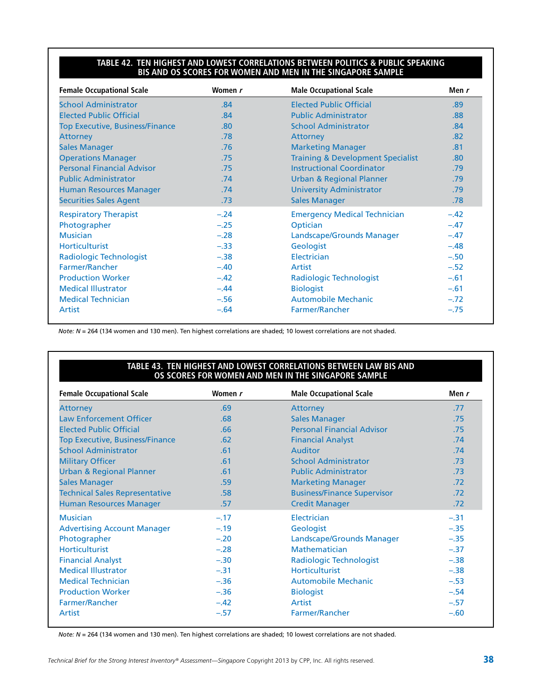#### **Table 42. Ten Highest and Lowest Correlations Between Politics & Public Speaking BIS and OS Scores for Women and Men in the Singapore Sample**

| <b>Female Occupational Scale</b>       | Women r | <b>Male Occupational Scale</b>               | Men $r$ |
|----------------------------------------|---------|----------------------------------------------|---------|
| <b>School Administrator</b>            | .84     | <b>Elected Public Official</b>               | .89     |
| <b>Elected Public Official</b>         | .84     | <b>Public Administrator</b>                  | .88     |
| <b>Top Executive, Business/Finance</b> | .80     | <b>School Administrator</b>                  | .84     |
| <b>Attorney</b>                        | .78     | <b>Attorney</b>                              | .82     |
| <b>Sales Manager</b>                   | .76     | <b>Marketing Manager</b>                     | .81     |
| <b>Operations Manager</b>              | .75     | <b>Training &amp; Development Specialist</b> | .80     |
| <b>Personal Financial Advisor</b>      | .75     | <b>Instructional Coordinator</b>             | .79     |
| <b>Public Administrator</b>            | .74     | <b>Urban &amp; Regional Planner</b>          | .79     |
| <b>Human Resources Manager</b>         | .74     | <b>University Administrator</b>              | .79     |
| <b>Securities Sales Agent</b>          | .73     | <b>Sales Manager</b>                         | .78     |
| <b>Respiratory Therapist</b>           | $-.24$  | <b>Emergency Medical Technician</b>          | $-.42$  |
| Photographer                           | $-.25$  | Optician                                     | $-.47$  |
| <b>Musician</b>                        | $-.28$  | Landscape/Grounds Manager                    | $-.47$  |
| <b>Horticulturist</b>                  | $-.33$  | Geologist                                    | $-.48$  |
| <b>Radiologic Technologist</b>         | $-.38$  | Electrician                                  | $-.50$  |
| Farmer/Rancher                         | $-.40$  | Artist                                       | $-.52$  |
| <b>Production Worker</b>               | $-.42$  | <b>Radiologic Technologist</b>               | $-.61$  |
| <b>Medical Illustrator</b>             | $-.44$  | <b>Biologist</b>                             | $-.61$  |
| <b>Medical Technician</b>              | $-.56$  | <b>Automobile Mechanic</b>                   | $-.72$  |
| Artist                                 | $-.64$  | Farmer/Rancher                               | $-.75$  |

*Note: N* = 264 (134 women and 130 men). Ten highest correlations are shaded; 10 lowest correlations are not shaded.

#### **Table 43. Ten Highest and Lowest Correlations Between Law BIS and OS Scores for Women and Men in the Singapore Sample**

| <b>Female Occupational Scale</b>       | Women r | <b>Male Occupational Scale</b>     | Men r  |
|----------------------------------------|---------|------------------------------------|--------|
| <b>Attorney</b>                        | .69     | <b>Attorney</b>                    | .77    |
| <b>Law Enforcement Officer</b>         | .68     | <b>Sales Manager</b>               | .75    |
| <b>Elected Public Official</b>         | .66     | <b>Personal Financial Advisor</b>  | .75    |
| <b>Top Executive, Business/Finance</b> | .62     | <b>Financial Analyst</b>           | .74    |
| <b>School Administrator</b>            | .61     | <b>Auditor</b>                     | .74    |
| <b>Military Officer</b>                | .61     | <b>School Administrator</b>        | .73    |
| <b>Urban &amp; Regional Planner</b>    | .61     | <b>Public Administrator</b>        | .73    |
| <b>Sales Manager</b>                   | .59     | <b>Marketing Manager</b>           | .72    |
| <b>Technical Sales Representative</b>  | .58     | <b>Business/Finance Supervisor</b> | .72    |
| <b>Human Resources Manager</b>         | .57     | <b>Credit Manager</b>              | .72    |
| <b>Musician</b>                        | $-.17$  | Electrician                        | $-.31$ |
| <b>Advertising Account Manager</b>     | $-.19$  | Geologist                          | $-.35$ |
| Photographer                           | $-.20$  | Landscape/Grounds Manager          | $-.35$ |
| <b>Horticulturist</b>                  | $-.28$  | Mathematician                      | $-.37$ |
| <b>Financial Analyst</b>               | $-.30$  | <b>Radiologic Technologist</b>     | $-.38$ |
| <b>Medical Illustrator</b>             | $-.31$  | <b>Horticulturist</b>              | $-.38$ |
| <b>Medical Technician</b>              | $-.36$  | Automobile Mechanic                | $-.53$ |
| <b>Production Worker</b>               | $-.36$  | <b>Biologist</b>                   | $-.54$ |
| Farmer/Rancher                         | $-.42$  | Artist                             | $-.57$ |
| Artist                                 | $-.57$  | Farmer/Rancher                     | $-.60$ |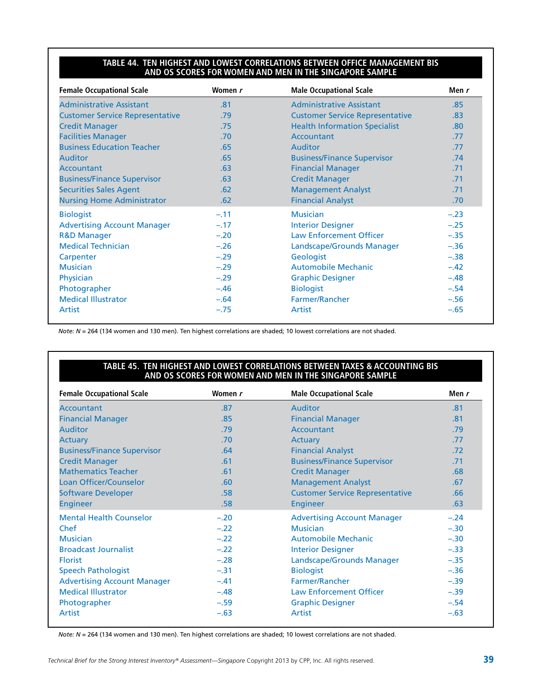#### **Table 44. Ten Highest and Lowest Correlations Between Office Management BIS and OS Scores for Women and Men in the Singapore Sample**

| <b>Female Occupational Scale</b>       | Women r | <b>Male Occupational Scale</b>         | Men r            |
|----------------------------------------|---------|----------------------------------------|------------------|
| <b>Administrative Assistant</b>        | .81     | <b>Administrative Assistant</b>        | .85              |
| <b>Customer Service Representative</b> | .79     | <b>Customer Service Representative</b> | .83              |
| <b>Credit Manager</b>                  | .75     | <b>Health Information Specialist</b>   | .80 <sub>1</sub> |
| <b>Facilities Manager</b>              | .70     | Accountant                             | .77              |
| <b>Business Education Teacher</b>      | .65     | <b>Auditor</b>                         | .77              |
| <b>Auditor</b>                         | .65     | <b>Business/Finance Supervisor</b>     | .74              |
| <b>Accountant</b>                      | .63     | <b>Financial Manager</b>               | .71              |
| <b>Business/Finance Supervisor</b>     | .63     | <b>Credit Manager</b>                  | .71              |
| <b>Securities Sales Agent</b>          | .62     | <b>Management Analyst</b>              | .71              |
| <b>Nursing Home Administrator</b>      | .62     | <b>Financial Analyst</b>               | .70              |
| <b>Biologist</b>                       | $-.11$  | <b>Musician</b>                        | $-.23$           |
| <b>Advertising Account Manager</b>     | $-.17$  | <b>Interior Designer</b>               | $-.25$           |
| <b>R&amp;D Manager</b>                 | $-.20$  | <b>Law Enforcement Officer</b>         | $-.35$           |
| <b>Medical Technician</b>              | $-.26$  | Landscape/Grounds Manager              | $-.36$           |
| Carpenter                              | $-.29$  | Geologist                              | $-.38$           |
| <b>Musician</b>                        | $-.29$  | <b>Automobile Mechanic</b>             | $-.42$           |
| Physician                              | $-.29$  | <b>Graphic Designer</b>                | $-.48$           |
| Photographer                           | $-.46$  | <b>Biologist</b>                       | $-.54$           |
| <b>Medical Illustrator</b>             | $-.64$  | Farmer/Rancher                         | $-.56$           |
| Artist                                 | $-.75$  | Artist                                 | $-.65$           |

*Note: N* = 264 (134 women and 130 men). Ten highest correlations are shaded; 10 lowest correlations are not shaded.

#### **Table 45. Ten Highest and Lowest Correlations Between Taxes & Accounting BIS and OS Scores for Women and Men in the Singapore Sample**

| <b>Female Occupational Scale</b>   | Women r | <b>Male Occupational Scale</b>         | Men r            |  |
|------------------------------------|---------|----------------------------------------|------------------|--|
| <b>Accountant</b>                  | .87     | <b>Auditor</b>                         | .81              |  |
| <b>Financial Manager</b>           | .85     | <b>Financial Manager</b>               | .81              |  |
| <b>Auditor</b>                     | .79     | Accountant                             | .79              |  |
| <b>Actuary</b>                     | .70     | Actuary                                | .77              |  |
| <b>Business/Finance Supervisor</b> | .64     | <b>Financial Analyst</b>               | .72 <sub>2</sub> |  |
| <b>Credit Manager</b>              | .61     | <b>Business/Finance Supervisor</b>     | .71              |  |
| <b>Mathematics Teacher</b>         | .61     | <b>Credit Manager</b>                  | .68              |  |
| Loan Officer/Counselor             | .60     | <b>Management Analyst</b>              | .67              |  |
| <b>Software Developer</b>          | .58     | <b>Customer Service Representative</b> | .66              |  |
| <b>Engineer</b>                    | .58     | Engineer                               | .63              |  |
| <b>Mental Health Counselor</b>     | $-.20$  | <b>Advertising Account Manager</b>     | $-.24$           |  |
| Chef                               | $-.22$  | <b>Musician</b>                        | $-.30$           |  |
| <b>Musician</b>                    | $-.22$  | Automobile Mechanic                    | $-.30$           |  |
| <b>Broadcast Journalist</b>        | $-.22$  | <b>Interior Designer</b>               | $-.33$           |  |
| <b>Florist</b>                     | $-.28$  | Landscape/Grounds Manager              | $-.35$           |  |
| <b>Speech Pathologist</b>          | $-.31$  | <b>Biologist</b>                       | $-.36$           |  |
| <b>Advertising Account Manager</b> | $-.41$  | Farmer/Rancher                         | $-.39$           |  |
| <b>Medical Illustrator</b>         | $-.48$  | <b>Law Enforcement Officer</b>         | $-.39$           |  |
| Photographer                       | $-.59$  | <b>Graphic Designer</b>                | $-.54$           |  |
| Artist                             | $-.63$  | Artist                                 | $-.63$           |  |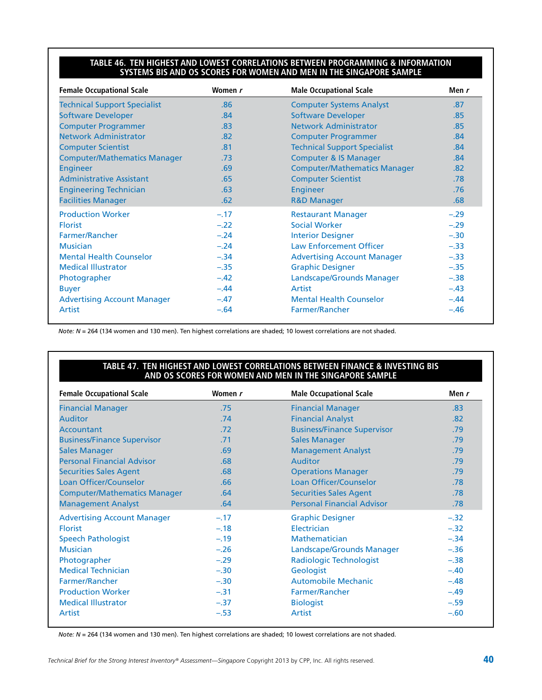#### **Table 46. Ten Highest and Lowest Correlations Between Programming & Information Systems BIS and OS Scores for Women and Men in the Singapore Sample**

| <b>Female Occupational Scale</b>    | Women r | <b>Male Occupational Scale</b>      | Men r  |
|-------------------------------------|---------|-------------------------------------|--------|
| <b>Technical Support Specialist</b> | .86     | <b>Computer Systems Analyst</b>     | .87    |
| <b>Software Developer</b>           | .84     | <b>Software Developer</b>           | .85    |
| <b>Computer Programmer</b>          | .83     | Network Administrator               | .85    |
| <b>Network Administrator</b>        | .82     | <b>Computer Programmer</b>          | .84    |
| <b>Computer Scientist</b>           | .81     | <b>Technical Support Specialist</b> | .84    |
| <b>Computer/Mathematics Manager</b> | .73     | <b>Computer &amp; IS Manager</b>    | .84    |
| <b>Engineer</b>                     | .69     | <b>Computer/Mathematics Manager</b> | .82    |
| <b>Administrative Assistant</b>     | .65     | <b>Computer Scientist</b>           | .78    |
| <b>Engineering Technician</b>       | .63     | <b>Engineer</b>                     | .76    |
| <b>Facilities Manager</b>           | .62     | <b>R&amp;D Manager</b>              | .68    |
| <b>Production Worker</b>            | $-.17$  | <b>Restaurant Manager</b>           | $-.29$ |
| <b>Florist</b>                      | $-.22$  | <b>Social Worker</b>                | $-.29$ |
| Farmer/Rancher                      | $-.24$  | <b>Interior Designer</b>            | $-.30$ |
| <b>Musician</b>                     | $-.24$  | <b>Law Enforcement Officer</b>      | $-.33$ |
| <b>Mental Health Counselor</b>      | $-.34$  | <b>Advertising Account Manager</b>  | $-.33$ |
| <b>Medical Illustrator</b>          | $-.35$  | <b>Graphic Designer</b>             | $-.35$ |
| Photographer                        | $-.42$  | Landscape/Grounds Manager           | $-.38$ |
| <b>Buyer</b>                        | $-.44$  | Artist                              | $-.43$ |
| <b>Advertising Account Manager</b>  | $-.47$  | <b>Mental Health Counselor</b>      | $-.44$ |
| Artist                              | $-.64$  | Farmer/Rancher                      | $-.46$ |

*Note: N* = 264 (134 women and 130 men). Ten highest correlations are shaded; 10 lowest correlations are not shaded.

#### **Table 47. Ten Highest and Lowest Correlations Between Finance & Investing BIS and OS Scores for Women and Men in the Singapore Sample**

| <b>Female Occupational Scale</b>    | Women r | <b>Male Occupational Scale</b>     | Men r  |  |
|-------------------------------------|---------|------------------------------------|--------|--|
| <b>Financial Manager</b>            | .75     | <b>Financial Manager</b>           | .83    |  |
| <b>Auditor</b>                      | .74     | <b>Financial Analyst</b>           | .82    |  |
| Accountant                          | .72     | <b>Business/Finance Supervisor</b> | .79    |  |
| <b>Business/Finance Supervisor</b>  | .71     | <b>Sales Manager</b>               | .79    |  |
| <b>Sales Manager</b>                | .69     | <b>Management Analyst</b>          | .79    |  |
| <b>Personal Financial Advisor</b>   | .68     | <b>Auditor</b>                     | .79    |  |
| <b>Securities Sales Agent</b>       | .68     | <b>Operations Manager</b>          | .79    |  |
| Loan Officer/Counselor              | .66     | Loan Officer/Counselor             | .78    |  |
| <b>Computer/Mathematics Manager</b> | .64     | <b>Securities Sales Agent</b>      | .78    |  |
| <b>Management Analyst</b>           | .64     | <b>Personal Financial Advisor</b>  | .78    |  |
| <b>Advertising Account Manager</b>  | $-.17$  | <b>Graphic Designer</b>            | $-.32$ |  |
| <b>Florist</b>                      | $-.18$  | Electrician                        | $-.32$ |  |
| <b>Speech Pathologist</b>           | $-.19$  | <b>Mathematician</b>               | $-.34$ |  |
| <b>Musician</b>                     | $-.26$  | Landscape/Grounds Manager          | $-.36$ |  |
| Photographer                        | $-.29$  | Radiologic Technologist            | $-.38$ |  |
| <b>Medical Technician</b>           | $-.30$  | Geologist                          | $-.40$ |  |
| Farmer/Rancher                      | $-.30$  | <b>Automobile Mechanic</b>         | $-.48$ |  |
| <b>Production Worker</b>            | $-.31$  | Farmer/Rancher                     | $-.49$ |  |
| <b>Medical Illustrator</b>          | $-.37$  | <b>Biologist</b>                   | $-.59$ |  |
| Artist                              | $-.53$  | Artist                             | $-.60$ |  |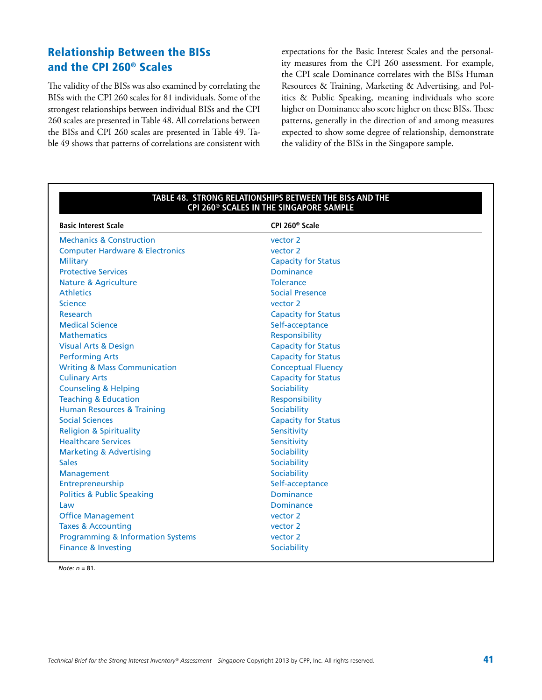### Relationship Between the BISs and the CPI 260® Scales

The validity of the BISs was also examined by correlating the BISs with the CPI 260 scales for 81 individuals. Some of the strongest relationships between individual BISs and the CPI 260 scales are presented in Table 48. All correlations between the BISs and CPI 260 scales are presented in Table 49. Table 49 shows that patterns of correlations are consistent with expectations for the Basic Interest Scales and the personality measures from the CPI 260 assessment. For example, the CPI scale Dominance correlates with the BISs Human Resources & Training, Marketing & Advertising, and Politics & Public Speaking, meaning individuals who score higher on Dominance also score higher on these BISs. These patterns, generally in the direction of and among measures expected to show some degree of relationship, demonstrate the validity of the BISs in the Singapore sample.

| <b>Basic Interest Scale</b>                  | CPI 260 <sup>®</sup> Scale |  |
|----------------------------------------------|----------------------------|--|
| <b>Mechanics &amp; Construction</b>          | vector 2                   |  |
| <b>Computer Hardware &amp; Electronics</b>   | vector 2                   |  |
| <b>Military</b>                              | <b>Capacity for Status</b> |  |
| <b>Protective Services</b>                   | <b>Dominance</b>           |  |
| <b>Nature &amp; Agriculture</b>              | <b>Tolerance</b>           |  |
| <b>Athletics</b>                             | <b>Social Presence</b>     |  |
| <b>Science</b>                               | vector 2                   |  |
| <b>Research</b>                              | <b>Capacity for Status</b> |  |
| <b>Medical Science</b>                       | Self-acceptance            |  |
| <b>Mathematics</b>                           | Responsibility             |  |
| <b>Visual Arts &amp; Design</b>              | <b>Capacity for Status</b> |  |
| <b>Performing Arts</b>                       | <b>Capacity for Status</b> |  |
| <b>Writing &amp; Mass Communication</b>      | <b>Conceptual Fluency</b>  |  |
| <b>Culinary Arts</b>                         | <b>Capacity for Status</b> |  |
| <b>Counseling &amp; Helping</b>              | Sociability                |  |
| <b>Teaching &amp; Education</b>              | Responsibility             |  |
| <b>Human Resources &amp; Training</b>        | Sociability                |  |
| <b>Social Sciences</b>                       | <b>Capacity for Status</b> |  |
| <b>Religion &amp; Spirituality</b>           | Sensitivity                |  |
| <b>Healthcare Services</b>                   | Sensitivity                |  |
| <b>Marketing &amp; Advertising</b>           | Sociability                |  |
| <b>Sales</b>                                 | Sociability                |  |
| Management                                   | Sociability                |  |
| Entrepreneurship                             | Self-acceptance            |  |
| <b>Politics &amp; Public Speaking</b>        | <b>Dominance</b>           |  |
| Law                                          | <b>Dominance</b>           |  |
| <b>Office Management</b>                     | vector 2                   |  |
| <b>Taxes &amp; Accounting</b>                | vector 2                   |  |
| <b>Programming &amp; Information Systems</b> | vector 2                   |  |
| <b>Finance &amp; Investing</b>               | Sociability                |  |

#### **Table 48. Strong Relationships Between the BISs and the CPI 260® Scales in the Singapore Sample**

*Note: n* = 81.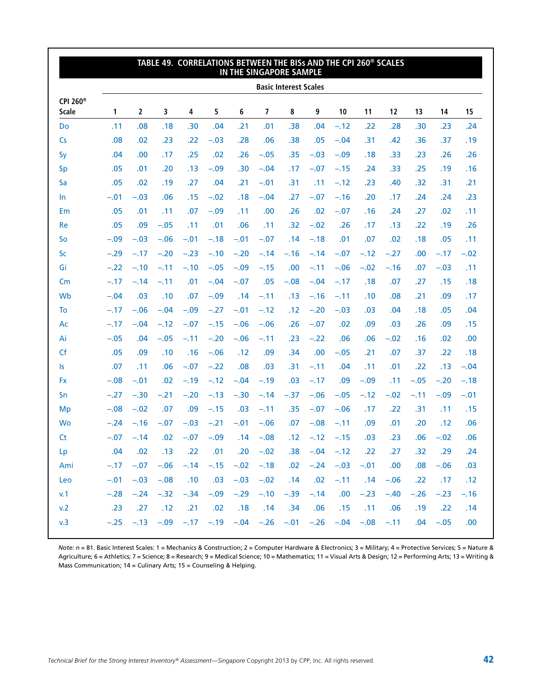|                                      |        |                |        | TABLE 49. CORRELATIONS BETWEEN THE BISS AND THE CPI 260 <sup>®</sup> SCALES       |        |        |                | IN THE SINGAPORE SAMPLE      |        |            |        |        |        |             |        |
|--------------------------------------|--------|----------------|--------|-----------------------------------------------------------------------------------|--------|--------|----------------|------------------------------|--------|------------|--------|--------|--------|-------------|--------|
|                                      |        |                |        |                                                                                   |        |        |                | <b>Basic Interest Scales</b> |        |            |        |        |        |             |        |
| CPI 260 <sup>®</sup><br><b>Scale</b> | 1      | $\overline{2}$ | 3      | 4                                                                                 | 5      | 6      | $\overline{7}$ | 8                            | 9      | 10         | 11     | 12     | 13     | 14          | 15     |
| Do                                   | .11    | .08            | .18    | .30                                                                               | .04    | .21    | .01            | .38                          | .04    | $-.12$     | .22    | .28    | .30    | .23         | .24    |
| $\mathsf{Cs}$                        | .08    | .02            | .23    | .22                                                                               | $-.03$ | .28    | .06            | .38                          | .05    | $-.04$     | .31    | .42    | .36    | .37         | .19    |
| Sy                                   | .04    | .00            | .17    | .25                                                                               | .02    | .26    | $-.05$         | .35                          | $-.03$ | $-.09$     | .18    | .33    | .23    | .26         | .26    |
| <b>Sp</b>                            | .05    | .01            | .20    | .13                                                                               | $-.09$ | .30    | $-.04$         | .17                          | $-.07$ | $-.15$     | .24    | .33    | .25    | .19         | .16    |
| Sa                                   | .05    | .02            | .19    | .27                                                                               | .04    | .21    | $-.01$         | .31                          | .11    | $-.12$     | .23    | .40    | .32    | .31         | .21    |
| In                                   | $-.01$ | $-.03$         | .06    | .15                                                                               | $-.02$ | .18    | $-.04$         | .27                          | $-.07$ | $-.16$     | .20    | .17    | .24    | .24         | .23    |
| Em                                   | .05    | .01            | .11    | .07                                                                               | $-.09$ | .11    | .00            | .26                          | .02    | $-.07$     | .16    | .24    | .27    | .02         | .11    |
| Re                                   | .05    | .09            | $-.05$ | .11                                                                               | .01    | .06    | .11            | .32                          | $-.02$ | .26        | .17    | .13    | .22    | .19         | .26    |
| So                                   | $-.09$ | $-.03$         | $-.06$ | $-.01$                                                                            | $-.18$ | $-.01$ | $-.07$         | .14                          | $-.18$ | .01        | .07    | .02    | .18    | .05         | .11    |
| Sc                                   | $-.29$ | $-.17$         | $-.20$ | $-.23$                                                                            | $-.10$ | $-.20$ | $-.14$         | $-.16$                       | $-.14$ | $-.07$     | $-.12$ | $-.27$ | .00    | $-.17$      | $-.02$ |
| Gi                                   | $-.22$ | $-.10$         | $-.11$ | $-.10$                                                                            | $-.05$ | $-.09$ | $-.15$         | .00                          | $-.11$ | $-.06$     | $-.02$ | $-.16$ | .07    | $-.03$      | .11    |
| Cm                                   | $-.17$ | $-.14$         | $-.11$ | .01                                                                               | $-.04$ | $-.07$ | .05            | $-.08$                       | $-.04$ | $-.17$     | .18    | .07    | .27    | .15         | .18    |
| Wb                                   | $-.04$ | .03            | .10    | .07                                                                               | $-.09$ | .14    | $-.11$         | .13                          | $-.16$ | $-.11$     | .10    | .08    | .21    | .09         | .17    |
| To                                   | $-.17$ | $-.06$         | $-.04$ | $-.09$                                                                            | $-.27$ | $-.01$ | $-.12$         | .12                          | $-.20$ | $-.03$     | .03    | .04    | .18    | .05         | .04    |
| Ac                                   | $-.17$ | $-.04$         | $-.12$ | $-.07$                                                                            | $-.15$ | $-.06$ | $-.06$         | .26                          | $-.07$ | .02        | .09    | .03    | .26    | .09         | .15    |
| Ai                                   | $-.05$ | .04            | $-.05$ | $-.11$                                                                            | $-.20$ | $-.06$ | $-.11$         | .23                          | $-.22$ | .06        | .06    | $-.02$ | .16    | .02         | .00    |
| Cf                                   | .05    | .09            | .10    | .16                                                                               | $-.06$ | .12    | .09            | .34                          | .00    | $-.05$     | .21    | .07    | .37    | .22         | .18    |
| Is                                   | .07    | .11            | .06    | $-.07$                                                                            | $-.22$ | .08    | .03            | .31                          | $-.11$ | .04        | .11    | .01    | .22    | .13         | $-.04$ |
| <b>Fx</b>                            | $-.08$ | $-.01$         | .02    | $-.19$                                                                            | $-.12$ | $-.04$ | $-.19$         | .03                          | $-.17$ | .09        | $-.09$ | .11    | $-.05$ | $-.20$      | $-.18$ |
| Sn                                   | $-.27$ | $-.30$         | $-.21$ | $-.20$                                                                            | $-.13$ | $-.30$ | $-.14$         | $-.37$                       | $-.06$ | $-.05$     | $-.12$ | $-.02$ | $-.11$ | $-.09$      | $-.01$ |
| Mp                                   | $-.08$ | $-.02$         | .07    | .09                                                                               | $-.15$ | .03    | $-.11$         | .35                          | $-.07$ | $-.06$     | .17    | .22    | .31    | .11         | .15    |
| Wo                                   | $-.24$ | $-.16$         | $-.07$ | $-.03$                                                                            | $-.21$ | $-.01$ | $-.06$         | .07                          | $-.08$ | $-.11$     | .09    | .01    | .20    | .12         | .06    |
| <b>Ct</b>                            | $-.07$ | $-.14$         | .02    | $-.07$                                                                            | $-.09$ | .14    | $-.08$         | .12                          | $-.12$ | $-.15$     | .03    | .23    | .06    | $-.02$      | .06    |
| Lp                                   | .04    | .02            | .13    | .22                                                                               | .01    | .20    | $-.02$         | .38 <sub>1</sub>             | $-.04$ | $-.12$     | .22    | .27    | .32    | .29         | .24    |
| Ami                                  |        |                |        | $-.17$ $-.07$ $-.06$ $-.14$ $-.15$ $-.02$ $-.18$ $.02$ $-.24$ $-.03$ $-.01$ $.00$ |        |        |                |                              |        |            |        |        |        | $.08 - .06$ | .03    |
| Leo                                  |        | $-.01 - .03$   | $-.08$ | .10                                                                               | 0.03   |        | $-.03 - .02$   | .14                          | .02    | $-.11-.14$ |        | $-.06$ | .22    | .17         | .12    |
| v.1                                  | $-.28$ | $-.24$         | $-.32$ | $-.34$                                                                            | $-.09$ | $-.29$ | $-.10$         | $-.39$                       | $-.14$ | .00        | $-.23$ | $-.40$ | $-.26$ | $-.23$      | $-.16$ |
| v.2                                  | .23    | .27            | .12    | .21                                                                               | .02    | .18    | .14            | .34                          | .06    | .15        | .11    | .06    | .19    | .22         | .14    |
| v.3                                  |        |                |        | $-.25$ $-.13$ $-.09$ $-.17$ $-.19$ $-.04$ $-.26$ $-.01$ $-.26$ $-.04$ $-.08$      |        |        |                |                              |        |            |        | $-.11$ |        | $.04 - .05$ | .00    |
|                                      |        |                |        |                                                                                   |        |        |                |                              |        |            |        |        |        |             |        |

*Note: n* = 81. Basic Interest Scales: 1 = Mechanics & Construction; 2 = Computer Hardware & Electronics; 3 = Military; 4 = Protective Services; 5 = Nature & Agriculture; 6 = Athletics; 7 = Science; 8 = Research; 9 = Medical Science; 10 = Mathematics; 11 = Visual Arts & Design; 12 = Performing Arts; 13 = Writing & Mass Communication; 14 = Culinary Arts; 15 = Counseling & Helping.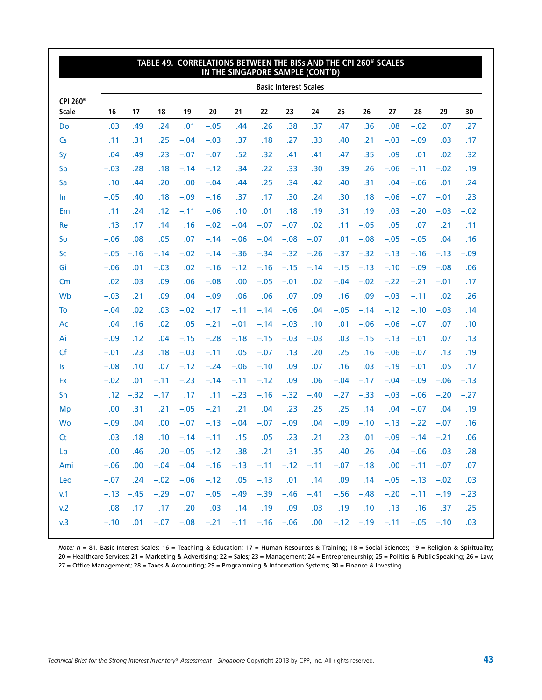|                               |        |         | TABLE 49. CORRELATIONS BETWEEN THE BISS AND THE CPI 260 <sup>®</sup> SCALES |            |        | IN THE SINGAPORE SAMPLE (CONT'D) |        |                              |        |                                                  |              |        |        |              |        |
|-------------------------------|--------|---------|-----------------------------------------------------------------------------|------------|--------|----------------------------------|--------|------------------------------|--------|--------------------------------------------------|--------------|--------|--------|--------------|--------|
|                               |        |         |                                                                             |            |        |                                  |        | <b>Basic Interest Scales</b> |        |                                                  |              |        |        |              |        |
| CPI 260 <sup>®</sup><br>Scale | 16     | 17      | 18                                                                          | 19         | 20     | 21                               | 22     | 23                           | 24     | 25                                               | 26           | 27     | 28     | 29           | 30     |
| Do                            | .03    | .49     | .24                                                                         | .01        | $-.05$ | .44                              | .26    | .38                          | .37    | .47                                              | .36          | .08    | $-.02$ | .07          | .27    |
| Cs                            | .11    | .31     | .25                                                                         | $-.04$     | $-.03$ | .37                              | .18    | .27                          | .33    | .40                                              | .21          | $-.03$ | $-.09$ | .03          | .17    |
| Sy                            | .04    | .49     | .23                                                                         | $-.07$     | $-.07$ | .52                              | .32    | .41                          | .41    | .47                                              | .35          | .09    | .01    | .02          | .32    |
| <b>Sp</b>                     | $-.03$ | .28     | .18                                                                         | $-.14$     | $-.12$ | .34                              | .22    | .33                          | .30    | .39                                              | .26          | $-.06$ | $-.11$ | $-.02$       | .19    |
| Sa                            | .10    | .44     | .20                                                                         | .00        | $-.04$ | .44                              | .25    | .34                          | .42    | .40                                              | .31          | .04    | $-.06$ | .01          | .24    |
| In                            | $-.05$ | .40     | .18                                                                         | $-.09$     | $-.16$ | .37                              | .17    | .30                          | .24    | .30                                              | .18          | $-.06$ | $-.07$ | $-.01$       | .23    |
| Em                            | .11    | .24     | .12                                                                         | $-.11$     | $-.06$ | .10                              | .01    | .18                          | .19    | .31                                              | .19          | .03    | $-.20$ | $-.03$       | $-.02$ |
| Re                            | .13    | .17     | .14                                                                         | .16        | $-.02$ | $-.04$                           | $-.07$ | $-.07$                       | .02    | .11                                              | $-.05$       | .05    | .07    | .21          | .11    |
| So                            | $-.06$ | .08     | .05                                                                         | .07        | $-.14$ | $-.06$                           | $-.04$ | $-.08$                       | $-.07$ | .01                                              | $-.08$       | $-.05$ | $-.05$ | .04          | .16    |
| <b>Sc</b>                     | $-.05$ | $-.16$  | $-.14$                                                                      | $-.02$     | $-.14$ | $-.36$                           | $-.34$ | $-.32$                       | $-.26$ | $-.37$                                           | $-.32$       | $-.13$ | $-.16$ | $-.13$       | $-.09$ |
| Gi                            | $-.06$ | .01     | $-.03$                                                                      | .02        | $-.16$ | $-.12$                           | $-.16$ | $-.15$                       | $-.14$ | $-.15$                                           | $-.13$       | $-.10$ | $-.09$ | $-.08$       | .06    |
| Cm                            | .02    | .03     | .09                                                                         | .06        | $-.08$ | .00                              | $-.05$ | $-.01$                       | .02    | $-.04$                                           | $-.02$       | $-.22$ | $-.21$ | $-.01$       | .17    |
| Wb                            | $-.03$ | .21     | .09                                                                         | .04        | $-.09$ | .06                              | .06    | .07                          | .09    | .16                                              | .09          | $-.03$ | $-.11$ | .02          | .26    |
| To                            | $-.04$ | .02     | .03                                                                         | $-.02$     | $-.17$ | $-.11$                           | $-.14$ | $-.06$                       | .04    | $-.05$                                           | $-.14$       | $-.12$ | $-.10$ | $-.03$       | .14    |
| Ac                            | .04    | .16     | .02                                                                         | .05        | $-.21$ | $-.01$                           | $-.14$ | $-.03$                       | .10    | .01                                              | $-.06$       | $-.06$ | $-.07$ | .07          | .10    |
| Ai                            | $-.09$ | .12     | .04                                                                         | $-.15$     | $-.28$ | $-.18$                           | $-.15$ | $-.03$                       | $-.03$ | .03                                              | $-.15$       | $-.13$ | $-.01$ | .07          | .13    |
| Cf                            | $-.01$ | .23     | .18                                                                         | $-.03$     | $-.11$ | .05                              | $-.07$ | .13                          | .20    | .25                                              | .16          | $-.06$ | $-.07$ | .13          | .19    |
| Is                            | $-.08$ | .10     | .07                                                                         | $-.12$     | $-.24$ | $-.06$                           | $-.10$ | .09                          | .07    | .16                                              | .03          | $-.19$ | $-.01$ | .05          | .17    |
| <b>Fx</b>                     | $-.02$ | .01     | $-.11$                                                                      | $-.23$     | $-.14$ | $-.11$                           | $-.12$ | .09                          | .06    | $-.04$                                           | $-.17$       | $-.04$ | $-.09$ | $-.06$       | $-.13$ |
| Sn                            | .12    | $-.32$  | $-.17$                                                                      | .17        | .11    | $-.23$                           | $-.16$ | $-.32$                       | $-.40$ | $-.27$                                           | $-.33$       | $-.03$ | $-.06$ | $-.20$       | $-.27$ |
| Mp                            | .00    | .31     | .21                                                                         | $-.05$     | $-.21$ | .21                              | .04    | .23                          | .25    | .25                                              | .14          | .04    | $-.07$ | .04          | .19    |
| <b>Wo</b>                     | $-.09$ | .04     | .00                                                                         | $-.07$     | $-.13$ | $-.04$                           | $-.07$ | $-.09$                       | .04    | $-.09$                                           | $-.10$       | $-.13$ | $-.22$ | $-.07$       | .16    |
| <b>Ct</b>                     | .03    | .18     | .10                                                                         | $-.14$     | $-.11$ | .15                              | .05    | .23                          | .21    | .23                                              | .01          | $-.09$ | $-.14$ | $-.21$       | .06    |
| Lp                            | .00    | .46     | .20                                                                         | $-.05$     | $-.12$ | .38                              | .21    | .31                          | .35    | .40                                              | .26          | .04    | $-.06$ | .03          | .28    |
| Ami                           | $-.06$ | $.00\,$ |                                                                             | $-.04-.04$ |        |                                  |        |                              |        | $-.16$ $-.13$ $-.11$ $-.12$ $-.11$ $-.07$ $-.18$ |              | .00    |        | $-.11 - .07$ | .07    |
| Leo                           | $-.07$ | .24     | $-.02$                                                                      | $-.06$     | $-.12$ | .05                              | $-.13$ | .01                          | .14    | .09                                              | .14          | $-.05$ | $-.13$ | $-.02$       | .03    |
| v.1                           | $-.13$ | $-.45$  | $-.29$                                                                      | $-.07$     | $-.05$ | $-.49$                           | $-.39$ | $-.46$                       | $-.41$ | $-.56$                                           | $-.48$       | $-.20$ | $-.11$ | $-.19$       | $-.23$ |
| v.2                           | .08    | .17     | .17                                                                         | .20        | .03    | .14                              | .19    | .09                          | .03    | .19                                              | .10          | .13    | .16    | .37          | .25    |
| v.3                           | $-.10$ | .01     |                                                                             | $-.07-.08$ | $-.21$ | $-.11$                           |        | $-.16 - .06$                 | .00    |                                                  | $-.12 - .19$ | $-.11$ |        | $-.05 - .10$ | .03    |

*Note: n* = 81. Basic Interest Scales: 16 = Teaching & Education; 17 = Human Resources & Training; 18 = Social Sciences; 19 = Religion & Spirituality; 20 = Healthcare Services; 21 = Marketing & Advertising; 22 = Sales; 23 = Management; 24 = Entrepreneurship; 25 = Politics & Public Speaking; 26 = Law; 27 = Office Management; 28 = Taxes & Accounting; 29 = Programming & Information Systems; 30 = Finance & Investing.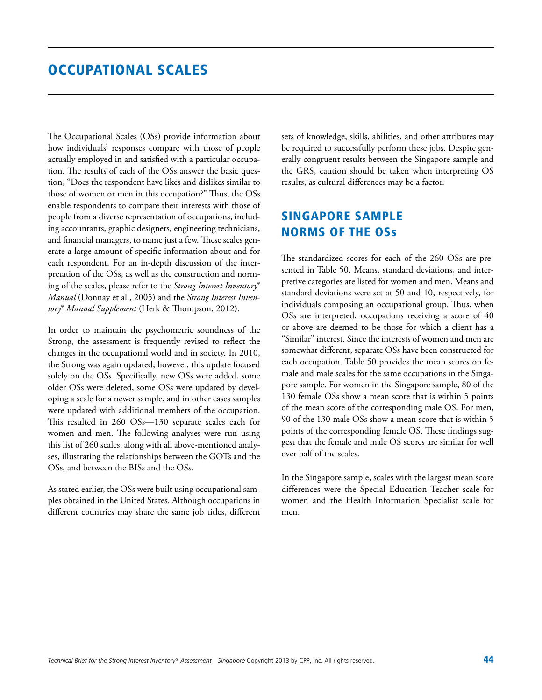### Occupational Scales

The Occupational Scales (OSs) provide information about how individuals' responses compare with those of people actually employed in and satisfied with a particular occupation. The results of each of the OSs answer the basic question, "Does the respondent have likes and dislikes similar to those of women or men in this occupation?" Thus, the OSs enable respondents to compare their interests with those of people from a diverse representation of occupations, including accountants, graphic designers, engineering technicians, and financial managers, to name just a few. These scales generate a large amount of specific information about and for each respondent. For an in-depth discussion of the interpretation of the OSs, as well as the construction and norming of the scales, please refer to the *Strong Interest Inventory*® *Manual* (Donnay et al., 2005) and the *Strong Interest Inventory*® *Manual Supplement* (Herk & Thompson, 2012).

In order to maintain the psychometric soundness of the Strong, the assessment is frequently revised to reflect the changes in the occupational world and in society. In 2010, the Strong was again updated; however, this update focused solely on the OSs. Specifically, new OSs were added, some older OSs were deleted, some OSs were updated by developing a scale for a newer sample, and in other cases samples were updated with additional members of the occupation. This resulted in 260 OSs—130 separate scales each for women and men. The following analyses were run using this list of 260 scales, along with all above-mentioned analyses, illustrating the relationships between the GOTs and the OSs, and between the BISs and the OSs.

As stated earlier, the OSs were built using occupational samples obtained in the United States. Although occupations in different countries may share the same job titles, different sets of knowledge, skills, abilities, and other attributes may be required to successfully perform these jobs. Despite generally congruent results between the Singapore sample and the GRS, caution should be taken when interpreting OS results, as cultural differences may be a factor.

### Singapore Sample Norms of the OSs

The standardized scores for each of the 260 OSs are presented in Table 50. Means, standard deviations, and interpretive categories are listed for women and men. Means and standard deviations were set at 50 and 10, respectively, for individuals composing an occupational group. Thus, when OSs are interpreted, occupations receiving a score of 40 or above are deemed to be those for which a client has a "Similar" interest. Since the interests of women and men are somewhat different, separate OSs have been constructed for each occupation. Table 50 provides the mean scores on female and male scales for the same occupations in the Singapore sample. For women in the Singapore sample, 80 of the 130 female OSs show a mean score that is within 5 points of the mean score of the corresponding male OS. For men, 90 of the 130 male OSs show a mean score that is within 5 points of the corresponding female OS. These findings suggest that the female and male OS scores are similar for well over half of the scales.

In the Singapore sample, scales with the largest mean score differences were the Special Education Teacher scale for women and the Health Information Specialist scale for men.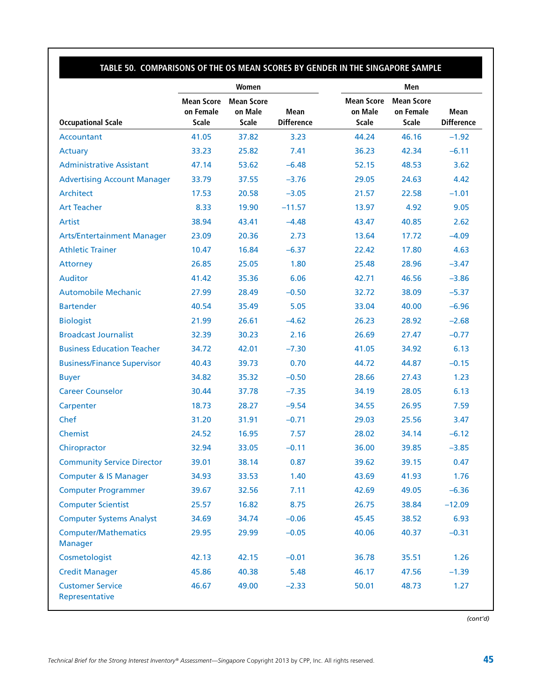### **Table 50. Comparisons of the OS Mean Scores by Gender in the Singapore Sample**

|                                               |                                                | Women                                        |                                  | Men                                   |                                                |                                  |  |
|-----------------------------------------------|------------------------------------------------|----------------------------------------------|----------------------------------|---------------------------------------|------------------------------------------------|----------------------------------|--|
| <b>Occupational Scale</b>                     | <b>Mean Score</b><br>on Female<br><b>Scale</b> | <b>Mean Score</b><br>on Male<br><b>Scale</b> | <b>Mean</b><br><b>Difference</b> | <b>Mean Score</b><br>on Male<br>Scale | <b>Mean Score</b><br>on Female<br><b>Scale</b> | <b>Mean</b><br><b>Difference</b> |  |
| Accountant                                    | 41.05                                          | 37.82                                        | 3.23                             | 44.24                                 | 46.16                                          | $-1.92$                          |  |
| Actuary                                       | 33.23                                          | 25.82                                        | 7.41                             | 36.23                                 | 42.34                                          | $-6.11$                          |  |
| <b>Administrative Assistant</b>               | 47.14                                          | 53.62                                        | $-6.48$                          | 52.15                                 | 48.53                                          | 3.62                             |  |
| <b>Advertising Account Manager</b>            | 33.79                                          | 37.55                                        | $-3.76$                          | 29.05                                 | 24.63                                          | 4.42                             |  |
| Architect                                     | 17.53                                          | 20.58                                        | $-3.05$                          | 21.57                                 | 22.58                                          | $-1.01$                          |  |
| <b>Art Teacher</b>                            | 8.33                                           | 19.90                                        | $-11.57$                         | 13.97                                 | 4.92                                           | 9.05                             |  |
| Artist                                        | 38.94                                          | 43.41                                        | $-4.48$                          | 43.47                                 | 40.85                                          | 2.62                             |  |
| <b>Arts/Entertainment Manager</b>             | 23.09                                          | 20.36                                        | 2.73                             | 13.64                                 | 17.72                                          | $-4.09$                          |  |
| <b>Athletic Trainer</b>                       | 10.47                                          | 16.84                                        | $-6.37$                          | 22.42                                 | 17.80                                          | 4.63                             |  |
| Attorney                                      | 26.85                                          | 25.05                                        | 1.80                             | 25.48                                 | 28.96                                          | $-3.47$                          |  |
| <b>Auditor</b>                                | 41.42                                          | 35.36                                        | 6.06                             | 42.71                                 | 46.56                                          | $-3.86$                          |  |
| <b>Automobile Mechanic</b>                    | 27.99                                          | 28.49                                        | $-0.50$                          | 32.72                                 | 38.09                                          | $-5.37$                          |  |
| <b>Bartender</b>                              | 40.54                                          | 35.49                                        | 5.05                             | 33.04                                 | 40.00                                          | $-6.96$                          |  |
| <b>Biologist</b>                              | 21.99                                          | 26.61                                        | $-4.62$                          | 26.23                                 | 28.92                                          | $-2.68$                          |  |
| <b>Broadcast Journalist</b>                   | 32.39                                          | 30.23                                        | 2.16                             | 26.69                                 | 27.47                                          | $-0.77$                          |  |
| <b>Business Education Teacher</b>             | 34.72                                          | 42.01                                        | $-7.30$                          | 41.05                                 | 34.92                                          | 6.13                             |  |
| <b>Business/Finance Supervisor</b>            | 40.43                                          | 39.73                                        | 0.70                             | 44.72                                 | 44.87                                          | $-0.15$                          |  |
| <b>Buyer</b>                                  | 34.82                                          | 35.32                                        | $-0.50$                          | 28.66                                 | 27.43                                          | 1.23                             |  |
| <b>Career Counselor</b>                       | 30.44                                          | 37.78                                        | $-7.35$                          | 34.19                                 | 28.05                                          | 6.13                             |  |
| Carpenter                                     | 18.73                                          | 28.27                                        | $-9.54$                          | 34.55                                 | 26.95                                          | 7.59                             |  |
| Chef                                          | 31.20                                          | 31.91                                        | $-0.71$                          | 29.03                                 | 25.56                                          | 3.47                             |  |
| Chemist                                       | 24.52                                          | 16.95                                        | 7.57                             | 28.02                                 | 34.14                                          | $-6.12$                          |  |
| Chiropractor                                  | 32.94                                          | 33.05                                        | $-0.11$                          | 36.00                                 | 39.85                                          | $-3.85$                          |  |
| <b>Community Service Director</b>             | 39.01                                          | 38.14                                        | 0.87                             | 39.62                                 | 39.15                                          | 0.47                             |  |
| <b>Computer &amp; IS Manager</b>              | 34.93                                          | 33.53                                        | 1.40                             | 43.69                                 | 41.93                                          | 1.76                             |  |
| <b>Computer Programmer</b>                    | 39.67                                          | 32.56                                        | 7.11                             | 42.69                                 | 49.05                                          | $-6.36$                          |  |
| <b>Computer Scientist</b>                     | 25.57                                          | 16.82                                        | 8.75                             | 26.75                                 | 38.84                                          | $-12.09$                         |  |
| <b>Computer Systems Analyst</b>               | 34.69                                          | 34.74                                        | $-0.06$                          | 45.45                                 | 38.52                                          | 6.93                             |  |
| <b>Computer/Mathematics</b><br><b>Manager</b> | 29.95                                          | 29.99                                        | $-0.05$                          | 40.06                                 | 40.37                                          | $-0.31$                          |  |
| Cosmetologist                                 | 42.13                                          | 42.15                                        | $-0.01$                          | 36.78                                 | 35.51                                          | 1.26                             |  |
| <b>Credit Manager</b>                         | 45.86                                          | 40.38                                        | 5.48                             | 46.17                                 | 47.56                                          | $-1.39$                          |  |
| <b>Customer Service</b><br>Representative     | 46.67                                          | 49.00                                        | $-2.33$                          | 50.01                                 | 48.73                                          | 1.27                             |  |

*(cont'd)*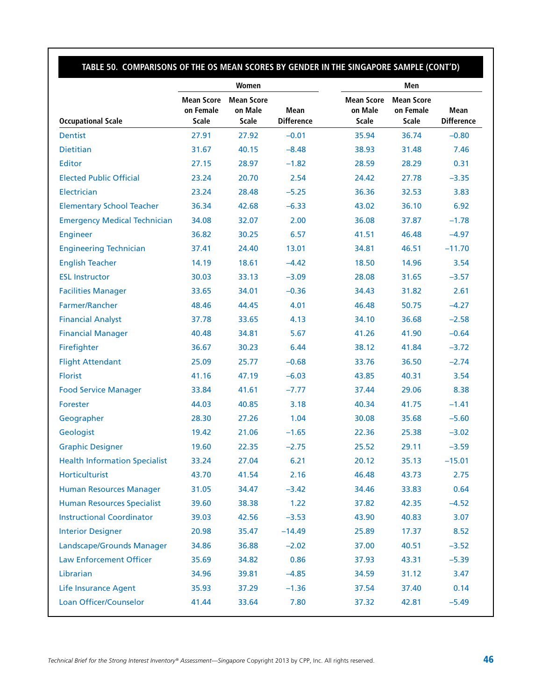### **Table 50. Comparisons of the OS Mean Scores by Gender in the Singapore Sample (cont'd)**

|                                      |                                                | Women                                        |                           | Men                                   |                                                |                           |  |
|--------------------------------------|------------------------------------------------|----------------------------------------------|---------------------------|---------------------------------------|------------------------------------------------|---------------------------|--|
| <b>Occupational Scale</b>            | <b>Mean Score</b><br>on Female<br><b>Scale</b> | <b>Mean Score</b><br>on Male<br><b>Scale</b> | Mean<br><b>Difference</b> | <b>Mean Score</b><br>on Male<br>Scale | <b>Mean Score</b><br>on Female<br><b>Scale</b> | Mean<br><b>Difference</b> |  |
| <b>Dentist</b>                       | 27.91                                          | 27.92                                        | $-0.01$                   | 35.94                                 | 36.74                                          | $-0.80$                   |  |
| <b>Dietitian</b>                     | 31.67                                          | 40.15                                        | $-8.48$                   | 38.93                                 | 31.48                                          | 7.46                      |  |
| <b>Editor</b>                        | 27.15                                          | 28.97                                        | $-1.82$                   | 28.59                                 | 28.29                                          | 0.31                      |  |
| <b>Elected Public Official</b>       | 23.24                                          | 20.70                                        | 2.54                      | 24.42                                 | 27.78                                          | $-3.35$                   |  |
| Electrician                          | 23.24                                          | 28.48                                        | $-5.25$                   | 36.36                                 | 32.53                                          | 3.83                      |  |
| <b>Elementary School Teacher</b>     | 36.34                                          | 42.68                                        | $-6.33$                   | 43.02                                 | 36.10                                          | 6.92                      |  |
| <b>Emergency Medical Technician</b>  | 34.08                                          | 32.07                                        | 2.00                      | 36.08                                 | 37.87                                          | $-1.78$                   |  |
| <b>Engineer</b>                      | 36.82                                          | 30.25                                        | 6.57                      | 41.51                                 | 46.48                                          | $-4.97$                   |  |
| <b>Engineering Technician</b>        | 37.41                                          | 24.40                                        | 13.01                     | 34.81                                 | 46.51                                          | $-11.70$                  |  |
| <b>English Teacher</b>               | 14.19                                          | 18.61                                        | $-4.42$                   | 18.50                                 | 14.96                                          | 3.54                      |  |
| <b>ESL Instructor</b>                | 30.03                                          | 33.13                                        | $-3.09$                   | 28.08                                 | 31.65                                          | $-3.57$                   |  |
| <b>Facilities Manager</b>            | 33.65                                          | 34.01                                        | $-0.36$                   | 34.43                                 | 31.82                                          | 2.61                      |  |
| Farmer/Rancher                       | 48.46                                          | 44.45                                        | 4.01                      | 46.48                                 | 50.75                                          | $-4.27$                   |  |
| <b>Financial Analyst</b>             | 37.78                                          | 33.65                                        | 4.13                      | 34.10                                 | 36.68                                          | $-2.58$                   |  |
| <b>Financial Manager</b>             | 40.48                                          | 34.81                                        | 5.67                      | 41.26                                 | 41.90                                          | $-0.64$                   |  |
| Firefighter                          | 36.67                                          | 30.23                                        | 6.44                      | 38.12                                 | 41.84                                          | $-3.72$                   |  |
| <b>Flight Attendant</b>              | 25.09                                          | 25.77                                        | $-0.68$                   | 33.76                                 | 36.50                                          | $-2.74$                   |  |
| <b>Florist</b>                       | 41.16                                          | 47.19                                        | $-6.03$                   | 43.85                                 | 40.31                                          | 3.54                      |  |
| <b>Food Service Manager</b>          | 33.84                                          | 41.61                                        | $-7.77$                   | 37.44                                 | 29.06                                          | 8.38                      |  |
| Forester                             | 44.03                                          | 40.85                                        | 3.18                      | 40.34                                 | 41.75                                          | $-1.41$                   |  |
| Geographer                           | 28.30                                          | 27.26                                        | 1.04                      | 30.08                                 | 35.68                                          | $-5.60$                   |  |
| Geologist                            | 19.42                                          | 21.06                                        | $-1.65$                   | 22.36                                 | 25.38                                          | $-3.02$                   |  |
| <b>Graphic Designer</b>              | 19.60                                          | 22.35                                        | $-2.75$                   | 25.52                                 | 29.11                                          | $-3.59$                   |  |
| <b>Health Information Specialist</b> | 33.24                                          | 27.04                                        | 6.21                      | 20.12                                 | 35.13                                          | $-15.01$                  |  |
| Horticulturist                       | 43.70                                          | 41.54                                        | 2.16                      | 46.48                                 | 43.73                                          | 2.75                      |  |
| <b>Human Resources Manager</b>       | 31.05                                          | 34.47                                        | $-3.42$                   | 34.46                                 | 33.83                                          | 0.64                      |  |
| <b>Human Resources Specialist</b>    | 39.60                                          | 38.38                                        | 1.22                      | 37.82                                 | 42.35                                          | $-4.52$                   |  |
| <b>Instructional Coordinator</b>     | 39.03                                          | 42.56                                        | $-3.53$                   | 43.90                                 | 40.83                                          | 3.07                      |  |
| <b>Interior Designer</b>             | 20.98                                          | 35.47                                        | $-14.49$                  | 25.89                                 | 17.37                                          | 8.52                      |  |
| Landscape/Grounds Manager            | 34.86                                          | 36.88                                        | $-2.02$                   | 37.00                                 | 40.51                                          | $-3.52$                   |  |
| <b>Law Enforcement Officer</b>       | 35.69                                          | 34.82                                        | 0.86                      | 37.93                                 | 43.31                                          | $-5.39$                   |  |
| Librarian                            | 34.96                                          | 39.81                                        | $-4.85$                   | 34.59                                 | 31.12                                          | 3.47                      |  |
| <b>Life Insurance Agent</b>          | 35.93                                          | 37.29                                        | $-1.36$                   | 37.54                                 | 37.40                                          | 0.14                      |  |
| Loan Officer/Counselor               | 41.44                                          | 33.64                                        | 7.80                      | 37.32                                 | 42.81                                          | $-5.49$                   |  |
|                                      |                                                |                                              |                           |                                       |                                                |                           |  |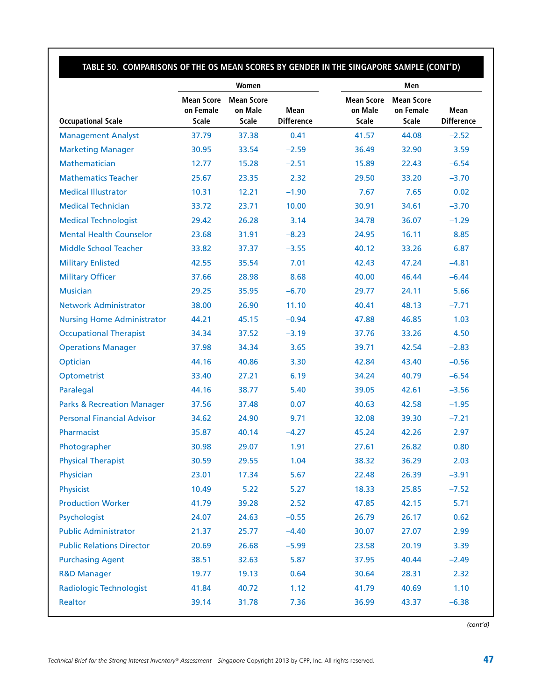## **Table 50. Comparisons of the OS Mean Scores by Gender in the Singapore Sample (cont'd)**

|                                       |                                                | Women                                        |                           | Men                                          |                                                |                           |  |
|---------------------------------------|------------------------------------------------|----------------------------------------------|---------------------------|----------------------------------------------|------------------------------------------------|---------------------------|--|
| <b>Occupational Scale</b>             | <b>Mean Score</b><br>on Female<br><b>Scale</b> | <b>Mean Score</b><br>on Male<br><b>Scale</b> | Mean<br><b>Difference</b> | <b>Mean Score</b><br>on Male<br><b>Scale</b> | <b>Mean Score</b><br>on Female<br><b>Scale</b> | Mean<br><b>Difference</b> |  |
| <b>Management Analyst</b>             | 37.79                                          | 37.38                                        | 0.41                      | 41.57                                        | 44.08                                          | $-2.52$                   |  |
| <b>Marketing Manager</b>              | 30.95                                          | 33.54                                        | $-2.59$                   | 36.49                                        | 32.90                                          | 3.59                      |  |
| Mathematician                         | 12.77                                          | 15.28                                        | $-2.51$                   | 15.89                                        | 22.43                                          | $-6.54$                   |  |
| <b>Mathematics Teacher</b>            | 25.67                                          | 23.35                                        | 2.32                      | 29.50                                        | 33.20                                          | $-3.70$                   |  |
| <b>Medical Illustrator</b>            | 10.31                                          | 12.21                                        | $-1.90$                   | 7.67                                         | 7.65                                           | 0.02                      |  |
| <b>Medical Technician</b>             | 33.72                                          | 23.71                                        | 10.00                     | 30.91                                        | 34.61                                          | $-3.70$                   |  |
| <b>Medical Technologist</b>           | 29.42                                          | 26.28                                        | 3.14                      | 34.78                                        | 36.07                                          | $-1.29$                   |  |
| <b>Mental Health Counselor</b>        | 23.68                                          | 31.91                                        | $-8.23$                   | 24.95                                        | 16.11                                          | 8.85                      |  |
| <b>Middle School Teacher</b>          | 33.82                                          | 37.37                                        | $-3.55$                   | 40.12                                        | 33.26                                          | 6.87                      |  |
| <b>Military Enlisted</b>              | 42.55                                          | 35.54                                        | 7.01                      | 42.43                                        | 47.24                                          | $-4.81$                   |  |
| <b>Military Officer</b>               | 37.66                                          | 28.98                                        | 8.68                      | 40.00                                        | 46.44                                          | $-6.44$                   |  |
| <b>Musician</b>                       | 29.25                                          | 35.95                                        | $-6.70$                   | 29.77                                        | 24.11                                          | 5.66                      |  |
| <b>Network Administrator</b>          | 38.00                                          | 26.90                                        | 11.10                     | 40.41                                        | 48.13                                          | $-7.71$                   |  |
| <b>Nursing Home Administrator</b>     | 44.21                                          | 45.15                                        | $-0.94$                   | 47.88                                        | 46.85                                          | 1.03                      |  |
| <b>Occupational Therapist</b>         | 34.34                                          | 37.52                                        | $-3.19$                   | 37.76                                        | 33.26                                          | 4.50                      |  |
| <b>Operations Manager</b>             | 37.98                                          | 34.34                                        | 3.65                      | 39.71                                        | 42.54                                          | $-2.83$                   |  |
| Optician                              | 44.16                                          | 40.86                                        | 3.30                      | 42.84                                        | 43.40                                          | $-0.56$                   |  |
| Optometrist                           | 33.40                                          | 27.21                                        | 6.19                      | 34.24                                        | 40.79                                          | $-6.54$                   |  |
| Paralegal                             | 44.16                                          | 38.77                                        | 5.40                      | 39.05                                        | 42.61                                          | $-3.56$                   |  |
| <b>Parks &amp; Recreation Manager</b> | 37.56                                          | 37.48                                        | 0.07                      | 40.63                                        | 42.58                                          | $-1.95$                   |  |
| <b>Personal Financial Advisor</b>     | 34.62                                          | 24.90                                        | 9.71                      | 32.08                                        | 39.30                                          | $-7.21$                   |  |
| Pharmacist                            | 35.87                                          | 40.14                                        | $-4.27$                   | 45.24                                        | 42.26                                          | 2.97                      |  |
| Photographer                          | 30.98                                          | 29.07                                        | 1.91                      | 27.61                                        | 26.82                                          | 0.80                      |  |
| <b>Physical Therapist</b>             | 30.59                                          | 29.55                                        | 1.04                      | 38.32                                        | 36.29                                          | 2.03                      |  |
| Physician                             | 23.01                                          | 17.34                                        | 5.67                      | 22.48                                        | 26.39                                          | $-3.91$                   |  |
| Physicist                             | 10.49                                          | 5.22                                         | 5.27                      | 18.33                                        | 25.85                                          | $-7.52$                   |  |
| <b>Production Worker</b>              | 41.79                                          | 39.28                                        | 2.52                      | 47.85                                        | 42.15                                          | 5.71                      |  |
| Psychologist                          | 24.07                                          | 24.63                                        | $-0.55$                   | 26.79                                        | 26.17                                          | 0.62                      |  |
| <b>Public Administrator</b>           | 21.37                                          | 25.77                                        | $-4.40$                   | 30.07                                        | 27.07                                          | 2.99                      |  |
| <b>Public Relations Director</b>      | 20.69                                          | 26.68                                        | $-5.99$                   | 23.58                                        | 20.19                                          | 3.39                      |  |
| <b>Purchasing Agent</b>               | 38.51                                          | 32.63                                        | 5.87                      | 37.95                                        | 40.44                                          | $-2.49$                   |  |
| <b>R&amp;D Manager</b>                | 19.77                                          | 19.13                                        | 0.64                      | 30.64                                        | 28.31                                          | 2.32                      |  |
| <b>Radiologic Technologist</b>        | 41.84                                          | 40.72                                        | 1.12                      | 41.79                                        | 40.69                                          | 1.10                      |  |
| Realtor                               | 39.14                                          | 31.78                                        | 7.36                      | 36.99                                        | 43.37                                          | $-6.38$                   |  |

*(cont'd)*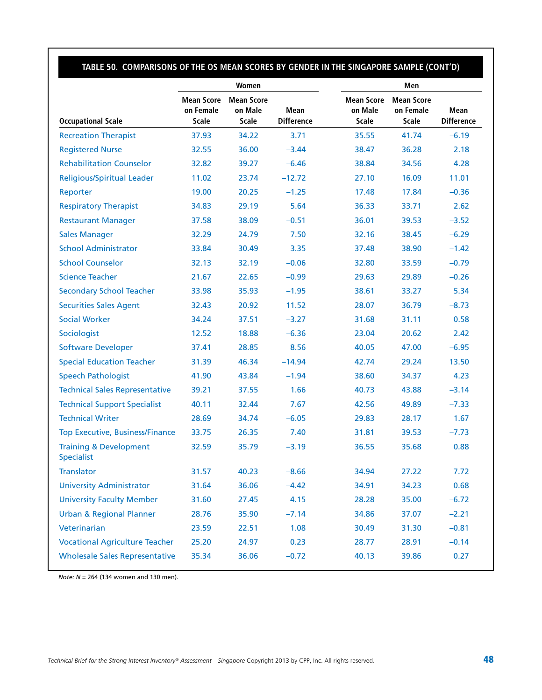### **Table 50. Comparisons of the OS Mean Scores by Gender in the Singapore Sample (cont'd)**

|                                                        |                                         | Women                                        |                           | Men |                                              |                                                |                           |
|--------------------------------------------------------|-----------------------------------------|----------------------------------------------|---------------------------|-----|----------------------------------------------|------------------------------------------------|---------------------------|
| <b>Occupational Scale</b>                              | <b>Mean Score</b><br>on Female<br>Scale | <b>Mean Score</b><br>on Male<br><b>Scale</b> | Mean<br><b>Difference</b> |     | <b>Mean Score</b><br>on Male<br><b>Scale</b> | <b>Mean Score</b><br>on Female<br><b>Scale</b> | Mean<br><b>Difference</b> |
| <b>Recreation Therapist</b>                            | 37.93                                   | 34.22                                        | 3.71                      |     | 35.55                                        | 41.74                                          | $-6.19$                   |
| <b>Registered Nurse</b>                                | 32.55                                   | 36.00                                        | $-3.44$                   |     | 38.47                                        | 36.28                                          | 2.18                      |
| <b>Rehabilitation Counselor</b>                        | 32.82                                   | 39.27                                        | $-6.46$                   |     | 38.84                                        | 34.56                                          | 4.28                      |
| <b>Religious/Spiritual Leader</b>                      | 11.02                                   | 23.74                                        | $-12.72$                  |     | 27.10                                        | 16.09                                          | 11.01                     |
| Reporter                                               | 19.00                                   | 20.25                                        | $-1.25$                   |     | 17.48                                        | 17.84                                          | $-0.36$                   |
| <b>Respiratory Therapist</b>                           | 34.83                                   | 29.19                                        | 5.64                      |     | 36.33                                        | 33.71                                          | 2.62                      |
| <b>Restaurant Manager</b>                              | 37.58                                   | 38.09                                        | $-0.51$                   |     | 36.01                                        | 39.53                                          | $-3.52$                   |
| <b>Sales Manager</b>                                   | 32.29                                   | 24.79                                        | 7.50                      |     | 32.16                                        | 38.45                                          | $-6.29$                   |
| <b>School Administrator</b>                            | 33.84                                   | 30.49                                        | 3.35                      |     | 37.48                                        | 38.90                                          | $-1.42$                   |
| <b>School Counselor</b>                                | 32.13                                   | 32.19                                        | $-0.06$                   |     | 32.80                                        | 33.59                                          | $-0.79$                   |
| <b>Science Teacher</b>                                 | 21.67                                   | 22.65                                        | $-0.99$                   |     | 29.63                                        | 29.89                                          | $-0.26$                   |
| <b>Secondary School Teacher</b>                        | 33.98                                   | 35.93                                        | $-1.95$                   |     | 38.61                                        | 33.27                                          | 5.34                      |
| <b>Securities Sales Agent</b>                          | 32.43                                   | 20.92                                        | 11.52                     |     | 28.07                                        | 36.79                                          | $-8.73$                   |
| <b>Social Worker</b>                                   | 34.24                                   | 37.51                                        | $-3.27$                   |     | 31.68                                        | 31.11                                          | 0.58                      |
| Sociologist                                            | 12.52                                   | 18.88                                        | $-6.36$                   |     | 23.04                                        | 20.62                                          | 2.42                      |
| <b>Software Developer</b>                              | 37.41                                   | 28.85                                        | 8.56                      |     | 40.05                                        | 47.00                                          | $-6.95$                   |
| <b>Special Education Teacher</b>                       | 31.39                                   | 46.34                                        | $-14.94$                  |     | 42.74                                        | 29.24                                          | 13.50                     |
| <b>Speech Pathologist</b>                              | 41.90                                   | 43.84                                        | $-1.94$                   |     | 38.60                                        | 34.37                                          | 4.23                      |
| <b>Technical Sales Representative</b>                  | 39.21                                   | 37.55                                        | 1.66                      |     | 40.73                                        | 43.88                                          | $-3.14$                   |
| <b>Technical Support Specialist</b>                    | 40.11                                   | 32.44                                        | 7.67                      |     | 42.56                                        | 49.89                                          | $-7.33$                   |
| <b>Technical Writer</b>                                | 28.69                                   | 34.74                                        | $-6.05$                   |     | 29.83                                        | 28.17                                          | 1.67                      |
| <b>Top Executive, Business/Finance</b>                 | 33.75                                   | 26.35                                        | 7.40                      |     | 31.81                                        | 39.53                                          | $-7.73$                   |
| <b>Training &amp; Development</b><br><b>Specialist</b> | 32.59                                   | 35.79                                        | $-3.19$                   |     | 36.55                                        | 35.68                                          | 0.88                      |
| Translator                                             | 31.57                                   | 40.23                                        | $-8.66$                   |     | 34.94                                        | 27.22                                          | 7.72                      |
| <b>University Administrator</b>                        | 31.64                                   | 36.06                                        | $-4.42$                   |     | 34.91                                        | 34.23                                          | 0.68                      |
| <b>University Faculty Member</b>                       | 31.60                                   | 27.45                                        | 4.15                      |     | 28.28                                        | 35.00                                          | $-6.72$                   |
| <b>Urban &amp; Regional Planner</b>                    | 28.76                                   | 35.90                                        | $-7.14$                   |     | 34.86                                        | 37.07                                          | $-2.21$                   |
| Veterinarian                                           | 23.59                                   | 22.51                                        | 1.08                      |     | 30.49                                        | 31.30                                          | $-0.81$                   |
| <b>Vocational Agriculture Teacher</b>                  | 25.20                                   | 24.97                                        | 0.23                      |     | 28.77                                        | 28.91                                          | $-0.14$                   |
| <b>Wholesale Sales Representative</b>                  | 35.34                                   | 36.06                                        | $-0.72$                   |     | 40.13                                        | 39.86                                          | 0.27                      |

*Note: N* = 264 (134 women and 130 men).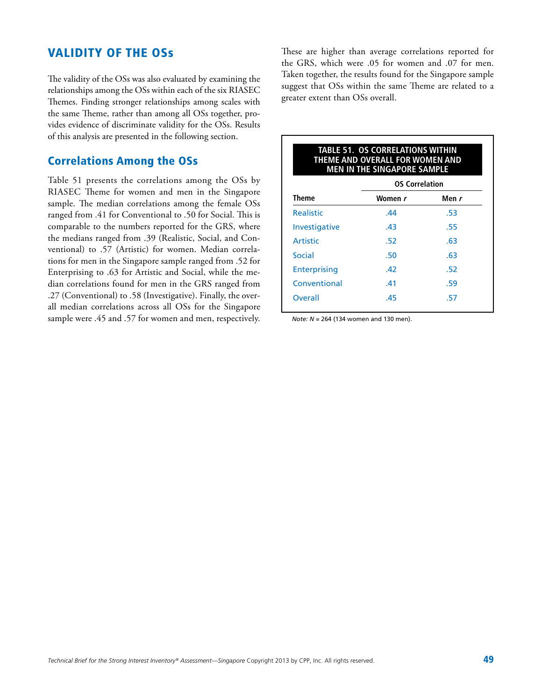### Validity of the OSs

The validity of the OSs was also evaluated by examining the relationships among the OSs within each of the six RIASEC Themes. Finding stronger relationships among scales with the same Theme, rather than among all OSs together, provides evidence of discriminate validity for the OSs. Results of this analysis are presented in the following section.

### Correlations Among the OSs

Table 51 presents the correlations among the OSs by RIASEC Theme for women and men in the Singapore sample. The median correlations among the female OSs ranged from .41 for Conventional to .50 for Social. This is comparable to the numbers reported for the GRS, where the medians ranged from .39 (Realistic, Social, and Conventional) to .57 (Artistic) for women. Median correlations for men in the Singapore sample ranged from .52 for Enterprising to .63 for Artistic and Social, while the median correlations found for men in the GRS ranged from .27 (Conventional) to .58 (Investigative). Finally, the overall median correlations across all OSs for the Singapore sample were .45 and .57 for women and men, respectively.

These are higher than average correlations reported for the GRS, which were .05 for women and .07 for men. Taken together, the results found for the Singapore sample suggest that OSs within the same Theme are related to a greater extent than OSs overall.

| <b>TABLE 51. OS CORRELATIONS WITHIN</b><br>THEME AND OVERALL FOR WOMEN AND<br><b>MEN IN THE SINGAPORE SAMPLE</b> |                       |       |  |  |  |  |  |
|------------------------------------------------------------------------------------------------------------------|-----------------------|-------|--|--|--|--|--|
|                                                                                                                  | <b>OS Correlation</b> |       |  |  |  |  |  |
| Theme                                                                                                            | Women r               | Men r |  |  |  |  |  |
| <b>Realistic</b>                                                                                                 | .44                   | .53   |  |  |  |  |  |
| <b>Investigative</b>                                                                                             | .43                   | .55   |  |  |  |  |  |
| <b>Artistic</b>                                                                                                  | .52                   | .63   |  |  |  |  |  |
| Social                                                                                                           | .50                   | .63   |  |  |  |  |  |
| <b>Enterprising</b>                                                                                              | .42                   | .52   |  |  |  |  |  |
| Conventional                                                                                                     | .41                   | .59   |  |  |  |  |  |
| <b>Overall</b>                                                                                                   | .45                   | .57   |  |  |  |  |  |
|                                                                                                                  |                       |       |  |  |  |  |  |

*Note: N* = 264 (134 women and 130 men).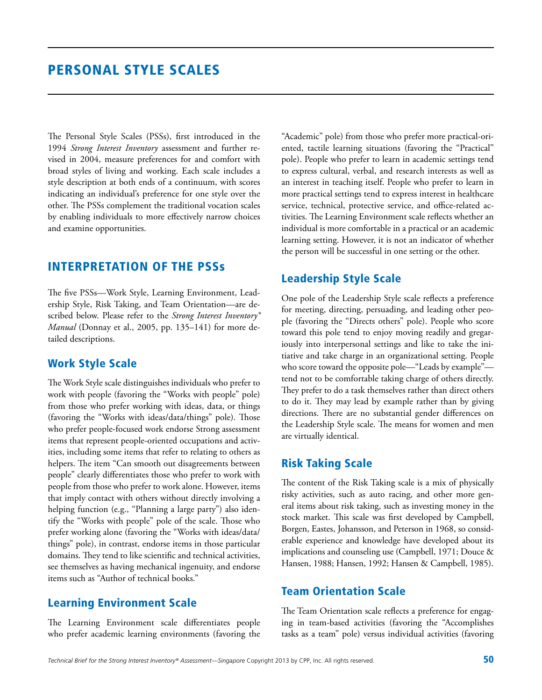The Personal Style Scales (PSSs), first introduced in the 1994 *Strong Interest Inventory* assessment and further revised in 2004, measure preferences for and comfort with broad styles of living and working. Each scale includes a style description at both ends of a continuum, with scores indicating an individual's preference for one style over the other. The PSSs complement the traditional vocation scales by enabling individuals to more effectively narrow choices and examine opportunities.

### Interpretation of the PSSs

The five PSSs—Work Style, Learning Environment, Leadership Style, Risk Taking, and Team Orientation—are described below. Please refer to the *Strong Interest Inventory® Manual* (Donnay et al., 2005, pp. 135–141) for more detailed descriptions.

#### Work Style Scale

The Work Style scale distinguishes individuals who prefer to work with people (favoring the "Works with people" pole) from those who prefer working with ideas, data, or things (favoring the "Works with ideas/data/things" pole). Those who prefer people-focused work endorse Strong assessment items that represent people-oriented occupations and activities, including some items that refer to relating to others as helpers. The item "Can smooth out disagreements between people" clearly differentiates those who prefer to work with people from those who prefer to work alone. However, items that imply contact with others without directly involving a helping function (e.g., "Planning a large party") also identify the "Works with people" pole of the scale. Those who prefer working alone (favoring the "Works with ideas/data/ things" pole), in contrast, endorse items in those particular domains. They tend to like scientific and technical activities, see themselves as having mechanical ingenuity, and endorse items such as "Author of technical books."

#### Learning Environment Scale

The Learning Environment scale differentiates people who prefer academic learning environments (favoring the

"Academic" pole) from those who prefer more practical-oriented, tactile learning situations (favoring the "Practical" pole). People who prefer to learn in academic settings tend to express cultural, verbal, and research interests as well as an interest in teaching itself. People who prefer to learn in more practical settings tend to express interest in healthcare service, technical, protective service, and office-related activities. The Learning Environment scale reflects whether an individual is more comfortable in a practical or an academic learning setting. However, it is not an indicator of whether the person will be successful in one setting or the other.

### Leadership Style Scale

One pole of the Leadership Style scale reflects a preference for meeting, directing, persuading, and leading other people (favoring the "Directs others" pole). People who score toward this pole tend to enjoy moving readily and gregariously into interpersonal settings and like to take the initiative and take charge in an organizational setting. People who score toward the opposite pole—"Leads by example" tend not to be comfortable taking charge of others directly. They prefer to do a task themselves rather than direct others to do it. They may lead by example rather than by giving directions. There are no substantial gender differences on the Leadership Style scale. The means for women and men are virtually identical.

### Risk Taking Scale

The content of the Risk Taking scale is a mix of physically risky activities, such as auto racing, and other more general items about risk taking, such as investing money in the stock market. This scale was first developed by Campbell, Borgen, Eastes, Johansson, and Peterson in 1968, so considerable experience and knowledge have developed about its implications and counseling use (Campbell, 1971; Douce & Hansen, 1988; Hansen, 1992; Hansen & Campbell, 1985).

### Team Orientation Scale

The Team Orientation scale reflects a preference for engaging in team-based activities (favoring the "Accomplishes tasks as a team" pole) versus individual activities (favoring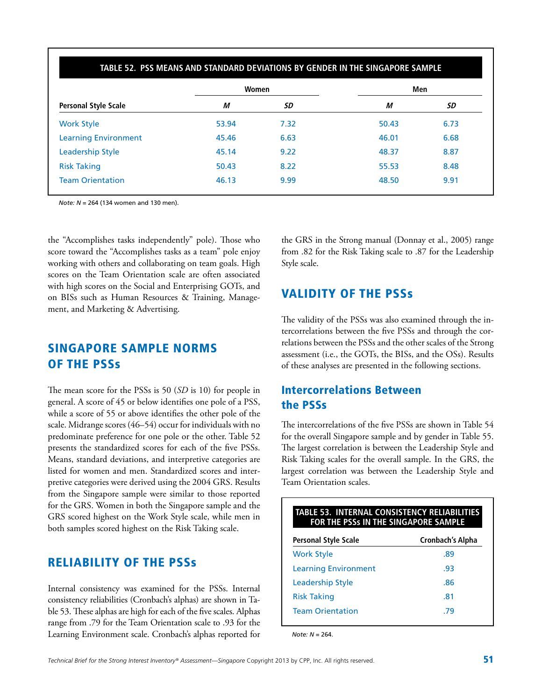|                             |       | Women | Men   |      |
|-----------------------------|-------|-------|-------|------|
| <b>Personal Style Scale</b> | М     | SD    | М     | SD   |
| <b>Work Style</b>           | 53.94 | 7.32  | 50.43 | 6.73 |
| <b>Learning Environment</b> | 45.46 | 6.63  | 46.01 | 6.68 |
| <b>Leadership Style</b>     | 45.14 | 9.22  | 48.37 | 8.87 |
| <b>Risk Taking</b>          | 50.43 | 8.22  | 55.53 | 8.48 |
| <b>Team Orientation</b>     | 46.13 | 9.99  | 48.50 | 9.91 |

*Note: N* = 264 (134 women and 130 men).

the "Accomplishes tasks independently" pole). Those who score toward the "Accomplishes tasks as a team" pole enjoy working with others and collaborating on team goals. High scores on the Team Orientation scale are often associated with high scores on the Social and Enterprising GOTs, and on BISs such as Human Resources & Training, Management, and Marketing & Advertising.

### Singapore Sample Norms of the PSSs

The mean score for the PSSs is 50 (*SD* is 10) for people in general. A score of 45 or below identifies one pole of a PSS, while a score of 55 or above identifies the other pole of the scale. Midrange scores (46–54) occur for individuals with no predominate preference for one pole or the other. Table 52 presents the standardized scores for each of the five PSSs. Means, standard deviations, and interpretive categories are listed for women and men. Standardized scores and interpretive categories were derived using the 2004 GRS. Results from the Singapore sample were similar to those reported for the GRS. Women in both the Singapore sample and the GRS scored highest on the Work Style scale, while men in both samples scored highest on the Risk Taking scale.

### Reliability of the PSSs

Internal consistency was examined for the PSSs. Internal consistency reliabilities (Cronbach's alphas) are shown in Table 53. These alphas are high for each of the five scales. Alphas range from .79 for the Team Orientation scale to .93 for the Learning Environment scale. Cronbach's alphas reported for

the GRS in the Strong manual (Donnay et al., 2005) range from .82 for the Risk Taking scale to .87 for the Leadership Style scale.

### Validity of the PSSs

The validity of the PSSs was also examined through the intercorrelations between the five PSSs and through the correlations between the PSSs and the other scales of the Strong assessment (i.e., the GOTs, the BISs, and the OSs). Results of these analyses are presented in the following sections.

### Intercorrelations Between the PSSs

The intercorrelations of the five PSSs are shown in Table 54 for the overall Singapore sample and by gender in Table 55. The largest correlation is between the Leadership Style and Risk Taking scales for the overall sample. In the GRS, the largest correlation was between the Leadership Style and Team Orientation scales.

| <b>TABLE 53. INTERNAL CONSISTENCY RELIABILITIES</b><br><b>FOR THE PSSS IN THE SINGAPORE SAMPLE</b> |                  |  |  |  |  |  |
|----------------------------------------------------------------------------------------------------|------------------|--|--|--|--|--|
| <b>Personal Style Scale</b>                                                                        | Cronbach's Alpha |  |  |  |  |  |
| <b>Work Style</b>                                                                                  | .89              |  |  |  |  |  |
| <b>Learning Environment</b>                                                                        | .93              |  |  |  |  |  |
| Leadership Style                                                                                   | .86              |  |  |  |  |  |
| <b>Risk Taking</b>                                                                                 | .81              |  |  |  |  |  |
| <b>Team Orientation</b>                                                                            | -79              |  |  |  |  |  |
|                                                                                                    |                  |  |  |  |  |  |

*Note: N* = 264.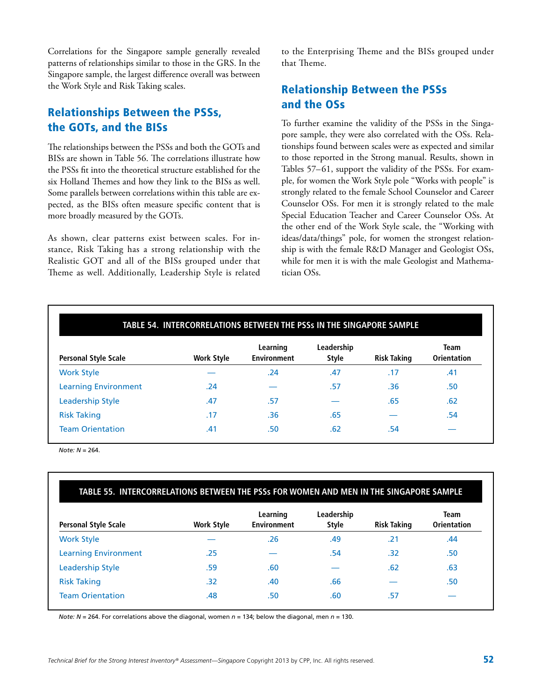Correlations for the Singapore sample generally revealed patterns of relationships similar to those in the GRS. In the Singapore sample, the largest difference overall was between the Work Style and Risk Taking scales.

### Relationships Between the PSSs, the GOTs, and the BISs

The relationships between the PSSs and both the GOTs and BISs are shown in Table 56. The correlations illustrate how the PSSs fit into the theoretical structure established for the six Holland Themes and how they link to the BISs as well. Some parallels between correlations within this table are expected, as the BISs often measure specific content that is more broadly measured by the GOTs.

As shown, clear patterns exist between scales. For instance, Risk Taking has a strong relationship with the Realistic GOT and all of the BISs grouped under that Theme as well. Additionally, Leadership Style is related

to the Enterprising Theme and the BISs grouped under that Theme.

### Relationship Between the PSSs and the OSs

To further examine the validity of the PSSs in the Singapore sample, they were also correlated with the OSs. Relationships found between scales were as expected and similar to those reported in the Strong manual. Results, shown in Tables 57–61, support the validity of the PSSs. For example, for women the Work Style pole "Works with people" is strongly related to the female School Counselor and Career Counselor OSs. For men it is strongly related to the male Special Education Teacher and Career Counselor OSs. At the other end of the Work Style scale, the "Working with ideas/data/things" pole, for women the strongest relationship is with the female R&D Manager and Geologist OSs, while for men it is with the male Geologist and Mathematician OSs.

|                             |                   |                                | <b>Team</b>                |                    |                    |
|-----------------------------|-------------------|--------------------------------|----------------------------|--------------------|--------------------|
| <b>Personal Style Scale</b> | <b>Work Style</b> | Learning<br><b>Environment</b> | Leadership<br><b>Style</b> | <b>Risk Taking</b> | <b>Orientation</b> |
| <b>Work Style</b>           |                   | .24                            | .47                        | .17                | .41                |
| <b>Learning Environment</b> | .24               |                                | .57                        | .36                | .50                |
| <b>Leadership Style</b>     | .47               | .57                            |                            | .65                | .62                |
| <b>Risk Taking</b>          | .17               | .36                            | .65                        |                    | .54                |
| <b>Team Orientation</b>     | .41               | .50                            | .62                        | .54                |                    |

*Note: N* = 264.

#### **Table 55. Intercorrelations Between the PSSs for Women and Men in the Singapore Sample**

| <b>Personal Style Scale</b> | <b>Work Style</b> | Learning<br><b>Environment</b> | Leadership<br><b>Style</b> | <b>Risk Taking</b> | Team<br><b>Orientation</b> |
|-----------------------------|-------------------|--------------------------------|----------------------------|--------------------|----------------------------|
| <b>Work Style</b>           |                   | .26                            | .49                        | .21                | .44                        |
| <b>Learning Environment</b> | .25               |                                | .54                        | .32                | .50                        |
| <b>Leadership Style</b>     | .59               | .60                            |                            | .62                | .63                        |
| <b>Risk Taking</b>          | .32               | .40                            | .66                        |                    | .50                        |
| <b>Team Orientation</b>     | .48               | .50                            | .60                        | .57                |                            |

*Note: N* = 264. For correlations above the diagonal, women *n* = 134; below the diagonal, men *n* = 130.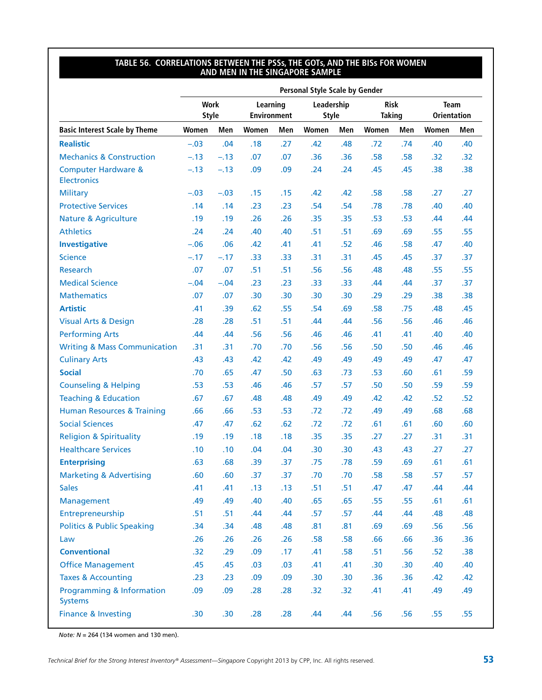#### **Table 56. Correlations Between the PSSs, the GOTs, and the BISs for Women and Men in the Singapore Sample**

|                                                      |                             | <b>Personal Style Scale by Gender</b> |                                |     |                            |     |                              |     |                                   |     |
|------------------------------------------------------|-----------------------------|---------------------------------------|--------------------------------|-----|----------------------------|-----|------------------------------|-----|-----------------------------------|-----|
|                                                      | <b>Work</b><br><b>Style</b> |                                       | Learning<br><b>Environment</b> |     | Leadership<br><b>Style</b> |     | <b>Risk</b><br><b>Taking</b> |     | <b>Team</b><br><b>Orientation</b> |     |
| <b>Basic Interest Scale by Theme</b>                 | Women                       | Men                                   | Women                          | Men | Women                      | Men | Women                        | Men | Women                             | Men |
| <b>Realistic</b>                                     | $-.03$                      | .04                                   | .18                            | .27 | .42                        | .48 | .72                          | .74 | .40                               | .40 |
| <b>Mechanics &amp; Construction</b>                  | $-.13$                      | $-.13$                                | .07                            | .07 | .36                        | .36 | .58                          | .58 | .32                               | .32 |
| <b>Computer Hardware &amp;</b><br><b>Electronics</b> | $-.13$                      | $-.13$                                | .09                            | .09 | .24                        | .24 | .45                          | .45 | .38                               | .38 |
| <b>Military</b>                                      | $-.03$                      | $-.03$                                | .15                            | .15 | .42                        | .42 | .58                          | .58 | .27                               | .27 |
| <b>Protective Services</b>                           | .14                         | .14                                   | .23                            | .23 | .54                        | .54 | .78                          | .78 | .40                               | .40 |
| <b>Nature &amp; Agriculture</b>                      | .19                         | .19                                   | .26                            | .26 | .35                        | .35 | .53                          | .53 | .44                               | .44 |
| <b>Athletics</b>                                     | .24                         | .24                                   | .40                            | .40 | .51                        | .51 | .69                          | .69 | .55                               | .55 |
| <b>Investigative</b>                                 | $-.06$                      | .06                                   | .42                            | .41 | .41                        | .52 | .46                          | .58 | .47                               | .40 |
| <b>Science</b>                                       | $-.17$                      | $-.17$                                | .33                            | .33 | .31                        | .31 | .45                          | .45 | .37                               | .37 |
| Research                                             | .07                         | .07                                   | .51                            | .51 | .56                        | .56 | .48                          | .48 | .55                               | .55 |
| <b>Medical Science</b>                               | $-.04$                      | $-.04$                                | .23                            | .23 | .33                        | .33 | .44                          | .44 | .37                               | .37 |
| <b>Mathematics</b>                                   | .07                         | .07                                   | .30                            | .30 | .30                        | .30 | .29                          | .29 | .38                               | .38 |
| <b>Artistic</b>                                      | .41                         | .39                                   | .62                            | .55 | .54                        | .69 | .58                          | .75 | .48                               | .45 |
| <b>Visual Arts &amp; Design</b>                      | .28                         | .28                                   | .51                            | .51 | .44                        | .44 | .56                          | .56 | .46                               | .46 |
| <b>Performing Arts</b>                               | .44                         | .44                                   | .56                            | .56 | .46                        | .46 | .41                          | .41 | .40                               | .40 |
| <b>Writing &amp; Mass Communication</b>              | .31                         | .31                                   | .70                            | .70 | .56                        | .56 | .50                          | .50 | .46                               | .46 |
| <b>Culinary Arts</b>                                 | .43                         | .43                                   | .42                            | .42 | .49                        | .49 | .49                          | .49 | .47                               | .47 |
| <b>Social</b>                                        | .70                         | .65                                   | .47                            | .50 | .63                        | .73 | .53                          | .60 | .61                               | .59 |
| <b>Counseling &amp; Helping</b>                      | .53                         | .53                                   | .46                            | .46 | .57                        | .57 | .50                          | .50 | .59                               | .59 |
| <b>Teaching &amp; Education</b>                      | .67                         | .67                                   | .48                            | .48 | .49                        | .49 | .42                          | .42 | .52                               | .52 |
| <b>Human Resources &amp; Training</b>                | .66                         | .66                                   | .53                            | .53 | .72                        | .72 | .49                          | .49 | .68                               | .68 |
| <b>Social Sciences</b>                               | .47                         | .47                                   | .62                            | .62 | .72                        | .72 | .61                          | .61 | .60                               | .60 |
| <b>Religion &amp; Spirituality</b>                   | .19                         | .19                                   | .18                            | .18 | .35                        | .35 | .27                          | .27 | .31                               | .31 |
| <b>Healthcare Services</b>                           | .10                         | .10                                   | .04                            | .04 | .30                        | .30 | .43                          | .43 | .27                               | .27 |
| <b>Enterprising</b>                                  | .63                         | .68                                   | .39                            | .37 | .75                        | .78 | .59                          | .69 | .61                               | .61 |
| <b>Marketing &amp; Advertising</b>                   | .60                         | .60                                   | .37                            | .37 | .70                        | .70 | .58                          | .58 | .57                               | .57 |
| <b>Sales</b>                                         | .41                         | .41                                   | .13                            | .13 | .51                        | .51 | .47                          | .47 | .44                               | .44 |
| Management                                           | .49                         | .49                                   | .40                            | .40 | .65                        | .65 | .55                          | .55 | .61                               | .61 |
| Entrepreneurship                                     | .51                         | .51                                   | .44                            | .44 | .57                        | .57 | .44                          | .44 | .48                               | .48 |
| <b>Politics &amp; Public Speaking</b>                | .34                         | .34                                   | .48                            | .48 | .81                        | .81 | .69                          | .69 | .56                               | .56 |
| Law                                                  | .26                         | .26                                   | .26                            | .26 | .58                        | .58 | .66                          | .66 | .36                               | .36 |
| <b>Conventional</b>                                  | .32                         | .29                                   | .09                            | .17 | .41                        | .58 | .51                          | .56 | .52                               | .38 |
| <b>Office Management</b>                             | .45                         | .45                                   | .03                            | .03 | .41                        | .41 | .30                          | .30 | .40                               | .40 |
| <b>Taxes &amp; Accounting</b>                        | .23                         | .23                                   | .09                            | .09 | .30                        | .30 | .36                          | .36 | .42                               | .42 |
| Programming & Information<br><b>Systems</b>          | .09                         | .09                                   | .28                            | .28 | .32                        | .32 | .41                          | .41 | .49                               | .49 |
| <b>Finance &amp; Investing</b>                       | .30                         | .30 <sub>2</sub>                      | .28                            | .28 | .44                        | .44 | .56                          | .56 | .55                               | .55 |

*Note: N* = 264 (134 women and 130 men).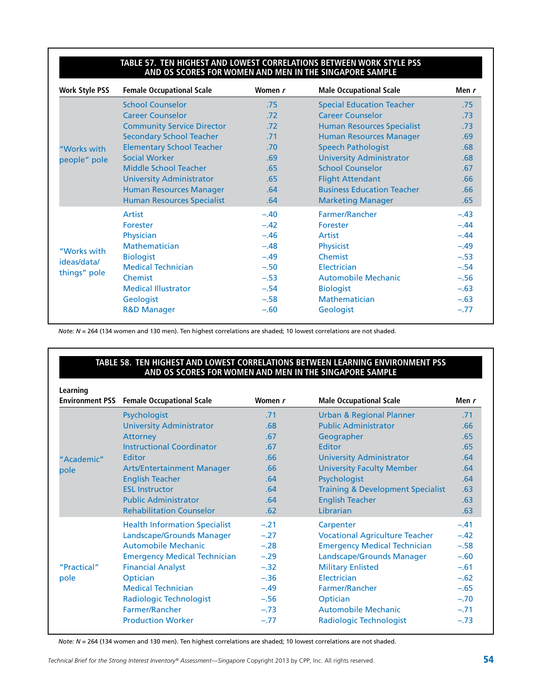#### TABLE 57. TEN HIGHEST AND LOWEST CORRELATIONS BETWEEN WORK STYLE P **and OS Scores for Women and Men in the Singapore Sample**

| <b>Work Style PSS</b> | <b>Female Occupational Scale</b>  | Women r | <b>Male Occupational Scale</b>    | Men r  |
|-----------------------|-----------------------------------|---------|-----------------------------------|--------|
|                       | <b>School Counselor</b>           | .75     | <b>Special Education Teacher</b>  | .75    |
|                       | <b>Career Counselor</b>           | .72     | <b>Career Counselor</b>           | .73    |
|                       | <b>Community Service Director</b> | .72     | <b>Human Resources Specialist</b> | .73    |
|                       | <b>Secondary School Teacher</b>   | .71     | <b>Human Resources Manager</b>    | .69    |
| "Works with           | <b>Elementary School Teacher</b>  | .70     | <b>Speech Pathologist</b>         | .68    |
| people" pole          | <b>Social Worker</b>              | .69     | <b>University Administrator</b>   | .68    |
|                       | <b>Middle School Teacher</b>      | .65     | <b>School Counselor</b>           | .67    |
|                       | <b>University Administrator</b>   | .65     | <b>Flight Attendant</b>           | .66    |
|                       | <b>Human Resources Manager</b>    | .64     | <b>Business Education Teacher</b> | .66    |
|                       | <b>Human Resources Specialist</b> | .64     | <b>Marketing Manager</b>          | .65    |
|                       | Artist                            | $-.40$  | Farmer/Rancher                    | $-.43$ |
|                       | Forester                          | $-.42$  | Forester                          | $-.44$ |
|                       | Physician                         | $-.46$  | Artist                            | $-.44$ |
|                       | <b>Mathematician</b>              | $-.48$  | <b>Physicist</b>                  | $-.49$ |
| "Works with           | <b>Biologist</b>                  | $-.49$  | Chemist                           | $-.53$ |
| ideas/data/           | <b>Medical Technician</b>         | $-.50$  | Electrician                       | $-.54$ |
| things" pole          | Chemist                           | $-.53$  | <b>Automobile Mechanic</b>        | $-.56$ |
|                       | <b>Medical Illustrator</b>        | $-.54$  | <b>Biologist</b>                  | $-.63$ |
|                       | Geologist                         | $-.58$  | <b>Mathematician</b>              | $-.63$ |
|                       | <b>R&amp;D Manager</b>            | $-.60$  | Geologist                         | $-.77$ |

*Note: N* = 264 (134 women and 130 men). Ten highest correlations are shaded; 10 lowest correlations are not shaded.

#### **Table 58. Ten Highest and Lowest Correlations Between Learning Environment PSS and OS Scores for Women and Men in the Singapore Sample**

| Learning    |                                                  |         |                                              |        |
|-------------|--------------------------------------------------|---------|----------------------------------------------|--------|
|             | <b>Environment PSS</b> Female Occupational Scale | Women r | <b>Male Occupational Scale</b>               | Men r  |
|             | Psychologist                                     | .71     | <b>Urban &amp; Regional Planner</b>          | .71    |
|             | <b>University Administrator</b>                  | .68     | <b>Public Administrator</b>                  | .66    |
|             | <b>Attorney</b>                                  | .67     | Geographer                                   | .65    |
|             | Instructional Coordinator                        | .67     | Editor                                       | .65    |
| "Academic"  | Editor                                           | .66     | <b>University Administrator</b>              | .64    |
| pole        | <b>Arts/Entertainment Manager</b>                | .66     | <b>University Faculty Member</b>             | .64    |
|             | <b>English Teacher</b>                           | .64     | Psychologist                                 | .64    |
|             | <b>ESL Instructor</b>                            | .64     | <b>Training &amp; Development Specialist</b> | .63    |
|             | <b>Public Administrator</b>                      | .64     | <b>English Teacher</b>                       | .63    |
|             | <b>Rehabilitation Counselor</b>                  | .62     | Librarian                                    | .63    |
|             | <b>Health Information Specialist</b>             | $-.21$  | Carpenter                                    | $-.41$ |
|             | Landscape/Grounds Manager                        | $-.27$  | <b>Vocational Agriculture Teacher</b>        | $-.42$ |
|             | Automobile Mechanic                              | $-.28$  | <b>Emergency Medical Technician</b>          | $-.58$ |
|             | <b>Emergency Medical Technician</b>              | $-.29$  | Landscape/Grounds Manager                    | $-.60$ |
| "Practical" | <b>Financial Analyst</b>                         | $-.32$  | <b>Military Enlisted</b>                     | $-.61$ |
| pole        | Optician                                         | $-.36$  | Electrician                                  | $-.62$ |
|             | <b>Medical Technician</b>                        | $-.49$  | Farmer/Rancher                               | $-.65$ |
|             | <b>Radiologic Technologist</b>                   | $-.56$  | Optician                                     | $-.70$ |
|             | <b>Farmer/Rancher</b>                            | $-.73$  | <b>Automobile Mechanic</b>                   | $-.71$ |
|             | <b>Production Worker</b>                         | $-.77$  | <b>Radiologic Technologist</b>               | $-.73$ |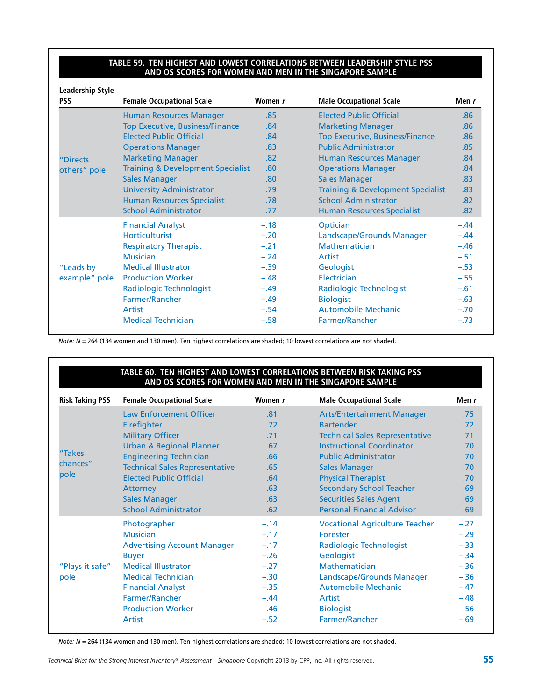#### TABLE 59. TEN HIGHEST AND LOWEST CORRELATIONS BETWEEN LEADERSHIP STYLE P **and OS Scores for Women and Men in the Singapore Sample**

| <b>Leadership Style</b><br><b>PSS</b> | <b>Female Occupational Scale</b>             | Women r | <b>Male Occupational Scale</b>               | Men r  |
|---------------------------------------|----------------------------------------------|---------|----------------------------------------------|--------|
|                                       | <b>Human Resources Manager</b>               | .85     | <b>Elected Public Official</b>               | .86    |
|                                       | <b>Top Executive, Business/Finance</b>       | .84     | <b>Marketing Manager</b>                     | .86    |
|                                       | <b>Elected Public Official</b>               | .84     | <b>Top Executive, Business/Finance</b>       | .86    |
|                                       | <b>Operations Manager</b>                    | .83     | <b>Public Administrator</b>                  | .85    |
| "Directs                              | <b>Marketing Manager</b>                     | .82     | <b>Human Resources Manager</b>               | .84    |
| others" pole                          | <b>Training &amp; Development Specialist</b> | .80     | <b>Operations Manager</b>                    | .84    |
|                                       | <b>Sales Manager</b>                         | .80     | <b>Sales Manager</b>                         | .83    |
|                                       | <b>University Administrator</b>              | .79     | <b>Training &amp; Development Specialist</b> | .83    |
|                                       | <b>Human Resources Specialist</b>            | .78     | <b>School Administrator</b>                  | .82    |
|                                       | <b>School Administrator</b>                  | .77     | <b>Human Resources Specialist</b>            | .82    |
|                                       | <b>Financial Analyst</b>                     | $-.18$  | Optician                                     | $-.44$ |
|                                       | Horticulturist                               | $-.20$  | Landscape/Grounds Manager                    | $-.44$ |
|                                       | <b>Respiratory Therapist</b>                 | $-.21$  | <b>Mathematician</b>                         | $-.46$ |
|                                       | <b>Musician</b>                              | $-.24$  | <b>Artist</b>                                | $-.51$ |
| "Leads by                             | <b>Medical Illustrator</b>                   | $-.39$  | Geologist                                    | $-.53$ |
| example" pole                         | <b>Production Worker</b>                     | $-.48$  | Electrician                                  | $-.55$ |
|                                       | Radiologic Technologist                      | $-.49$  | Radiologic Technologist                      | $-.61$ |
|                                       | <b>Farmer/Rancher</b>                        | $-.49$  | <b>Biologist</b>                             | $-.63$ |
|                                       | Artist                                       | $-.54$  | <b>Automobile Mechanic</b>                   | $-.70$ |
|                                       | <b>Medical Technician</b>                    | $-.58$  | Farmer/Rancher                               | $-.73$ |

*Note: N* = 264 (134 women and 130 men). Ten highest correlations are shaded; 10 lowest correlations are not shaded.

#### TABLE 60. TEN HIGHEST AND LOWEST CORRELATIONS BETWEEN RISK TAKING P **and OS Scores for Women and Men in the Singapore Sample**

| <b>Risk Taking PSS</b> | <b>Female Occupational Scale</b>      | Women r | <b>Male Occupational Scale</b>        | Men $r$ |
|------------------------|---------------------------------------|---------|---------------------------------------|---------|
|                        | <b>Law Enforcement Officer</b>        | .81     | <b>Arts/Entertainment Manager</b>     | .75     |
|                        | Firefighter                           | .72     | <b>Bartender</b>                      | .72     |
|                        | <b>Military Officer</b>               | .71     | <b>Technical Sales Representative</b> | .71     |
|                        | <b>Urban &amp; Regional Planner</b>   | .67     | <b>Instructional Coordinator</b>      | .70     |
| "Takes                 | <b>Engineering Technician</b>         | .66     | <b>Public Administrator</b>           | .70     |
| chances"               | <b>Technical Sales Representative</b> | .65     | <b>Sales Manager</b>                  | .70     |
| pole                   | <b>Elected Public Official</b>        | .64     | <b>Physical Therapist</b>             | .70     |
|                        | Attorney                              | .63     | <b>Secondary School Teacher</b>       | .69     |
|                        | <b>Sales Manager</b>                  | .63     | <b>Securities Sales Agent</b>         | .69     |
|                        | <b>School Administrator</b>           | .62     | <b>Personal Financial Advisor</b>     | .69     |
|                        | Photographer                          | $-.14$  | <b>Vocational Agriculture Teacher</b> | $-.27$  |
|                        | <b>Musician</b>                       | $-.17$  | Forester                              | $-.29$  |
|                        | <b>Advertising Account Manager</b>    | $-.17$  | <b>Radiologic Technologist</b>        | $-.33$  |
|                        | <b>Buyer</b>                          | $-.26$  | Geologist                             | $-.34$  |
| "Plays it safe"        | <b>Medical Illustrator</b>            | $-.27$  | <b>Mathematician</b>                  | $-.36$  |
| pole                   | <b>Medical Technician</b>             | $-.30$  | Landscape/Grounds Manager             | $-.36$  |
|                        | <b>Financial Analyst</b>              | $-.35$  | <b>Automobile Mechanic</b>            | $-.47$  |
|                        | Farmer/Rancher                        | $-.44$  | Artist                                | $-.48$  |
|                        | <b>Production Worker</b>              | $-.46$  | <b>Biologist</b>                      | $-.56$  |
|                        | Artist                                | $-.52$  | Farmer/Rancher                        | $-.69$  |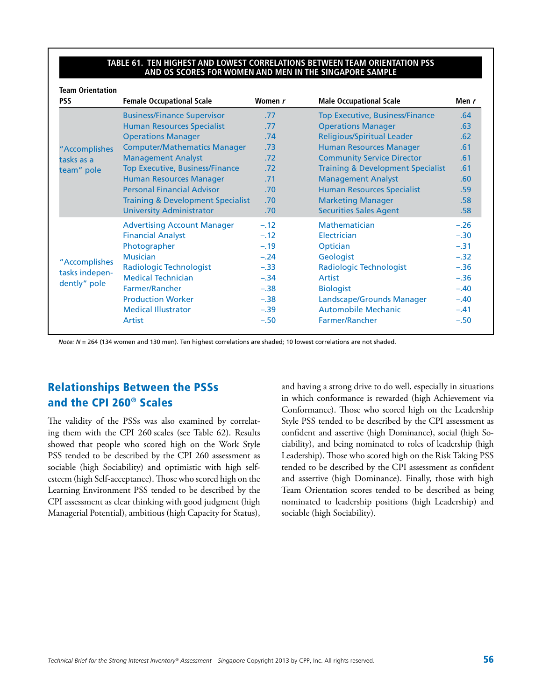#### **Table 61. Ten Highest and Lowest Correlations Between Team Orientation PSS and OS Scores for Women and Men in the Singapore Sample**

| <b>Team Orientation</b><br><b>PSS</b> | <b>Female Occupational Scale</b>             | Women r | <b>Male Occupational Scale</b>               | Men $r$          |
|---------------------------------------|----------------------------------------------|---------|----------------------------------------------|------------------|
|                                       | <b>Business/Finance Supervisor</b>           | .77     | <b>Top Executive, Business/Finance</b>       | .64              |
|                                       | <b>Human Resources Specialist</b>            | .77     | <b>Operations Manager</b>                    | .63              |
|                                       | <b>Operations Manager</b>                    | .74     | <b>Religious/Spiritual Leader</b>            | .62              |
| "Accomplishes                         | <b>Computer/Mathematics Manager</b>          | .73     | <b>Human Resources Manager</b>               | .61              |
| tasks as a                            | <b>Management Analyst</b>                    | .72     | <b>Community Service Director</b>            | .61              |
| team" pole                            | <b>Top Executive, Business/Finance</b>       | .72     | <b>Training &amp; Development Specialist</b> | .61              |
|                                       | <b>Human Resources Manager</b>               | .71     | <b>Management Analyst</b>                    | .60 <sub>1</sub> |
|                                       | <b>Personal Financial Advisor</b>            | .70     | <b>Human Resources Specialist</b>            | .59              |
|                                       | <b>Training &amp; Development Specialist</b> | .70     | <b>Marketing Manager</b>                     | .58              |
|                                       | <b>University Administrator</b>              | .70     | <b>Securities Sales Agent</b>                | .58              |
|                                       | <b>Advertising Account Manager</b>           | $-.12$  | <b>Mathematician</b>                         | $-.26$           |
|                                       | <b>Financial Analyst</b>                     | $-.12$  | Electrician                                  | $-.30$           |
|                                       | Photographer                                 | $-.19$  | Optician                                     | $-.31$           |
|                                       | <b>Musician</b>                              | $-.24$  | Geologist                                    | $-.32$           |
| "Accomplishes                         | <b>Radiologic Technologist</b>               | $-.33$  | <b>Radiologic Technologist</b>               | $-.36$           |
| tasks indepen-                        | <b>Medical Technician</b>                    | $-.34$  | Artist                                       | $-.36$           |
| dently" pole                          | <b>Farmer/Rancher</b>                        | $-.38$  | <b>Biologist</b>                             | $-.40$           |
|                                       | <b>Production Worker</b>                     | $-.38$  | Landscape/Grounds Manager                    | $-.40$           |
|                                       | <b>Medical Illustrator</b>                   | $-.39$  | <b>Automobile Mechanic</b>                   | $-.41$           |
|                                       | Artist                                       | $-.50$  | <b>Farmer/Rancher</b>                        | $-.50$           |

*Note: N* = 264 (134 women and 130 men). Ten highest correlations are shaded; 10 lowest correlations are not shaded.

### Relationships Between the PSSs and the CPI 260® Scales

The validity of the PSSs was also examined by correlating them with the CPI 260 scales (see Table 62). Results showed that people who scored high on the Work Style PSS tended to be described by the CPI 260 assessment as sociable (high Sociability) and optimistic with high selfesteem (high Self-acceptance). Those who scored high on the Learning Environment PSS tended to be described by the CPI assessment as clear thinking with good judgment (high Managerial Potential), ambitious (high Capacity for Status), and having a strong drive to do well, especially in situations in which conformance is rewarded (high Achievement via Conformance). Those who scored high on the Leadership Style PSS tended to be described by the CPI assessment as confident and assertive (high Dominance), social (high Sociability), and being nominated to roles of leadership (high Leadership). Those who scored high on the Risk Taking PSS tended to be described by the CPI assessment as confident and assertive (high Dominance). Finally, those with high Team Orientation scores tended to be described as being nominated to leadership positions (high Leadership) and sociable (high Sociability).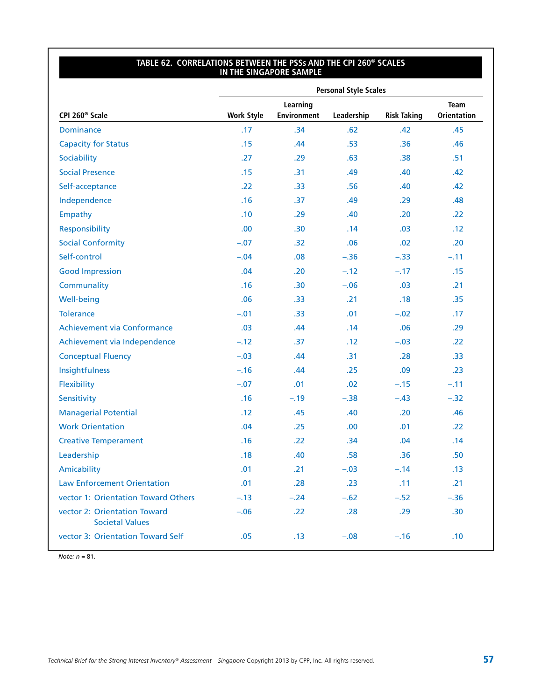#### **Table 62. Correlations Between the PSSs and the CPI 260® Scales in the Singapore Sample**

|                                                        |                   |                                | <b>Personal Style Scales</b> |                    |                                   |
|--------------------------------------------------------|-------------------|--------------------------------|------------------------------|--------------------|-----------------------------------|
| CPI 260 <sup>®</sup> Scale                             | <b>Work Style</b> | Learning<br><b>Environment</b> | Leadership                   | <b>Risk Taking</b> | <b>Team</b><br><b>Orientation</b> |
| <b>Dominance</b>                                       | .17               | .34                            | .62                          | .42                | .45                               |
| <b>Capacity for Status</b>                             | .15               | .44                            | .53                          | .36                | .46                               |
| Sociability                                            | .27               | .29                            | .63                          | .38                | .51                               |
| <b>Social Presence</b>                                 | .15               | .31                            | .49                          | .40                | .42                               |
| Self-acceptance                                        | .22               | .33                            | .56                          | .40                | .42                               |
| Independence                                           | .16               | .37                            | .49                          | .29                | .48                               |
| Empathy                                                | .10               | .29                            | .40                          | .20                | .22                               |
| Responsibility                                         | .00.              | .30                            | .14                          | .03                | .12                               |
| <b>Social Conformity</b>                               | $-.07$            | .32                            | .06                          | .02                | .20                               |
| Self-control                                           | $-.04$            | .08                            | $-.36$                       | $-.33$             | $-.11$                            |
| <b>Good Impression</b>                                 | .04               | .20                            | $-.12$                       | $-.17$             | .15                               |
| Communality                                            | .16               | .30                            | $-.06$                       | .03                | .21                               |
| <b>Well-being</b>                                      | .06               | .33 <sub>0</sub>               | .21                          | .18                | .35                               |
| <b>Tolerance</b>                                       | $-.01$            | .33                            | .01                          | $-.02$             | .17                               |
| Achievement via Conformance                            | .03               | .44                            | .14                          | .06                | .29                               |
| Achievement via Independence                           | $-.12$            | .37                            | .12                          | $-.03$             | .22                               |
| <b>Conceptual Fluency</b>                              | $-.03$            | .44                            | .31                          | .28                | .33                               |
| Insightfulness                                         | $-.16$            | .44                            | .25                          | .09                | .23                               |
| Flexibility                                            | $-.07$            | .01                            | .02                          | $-.15$             | $-.11$                            |
| Sensitivity                                            | .16               | $-.19$                         | $-.38$                       | $-.43$             | $-.32$                            |
| <b>Managerial Potential</b>                            | .12               | .45                            | .40                          | .20                | .46                               |
| <b>Work Orientation</b>                                | .04               | .25                            | .00.                         | .01                | .22                               |
| <b>Creative Temperament</b>                            | .16               | .22                            | .34                          | .04                | .14                               |
| Leadership                                             | .18               | .40                            | .58                          | .36                | .50                               |
| Amicability                                            | .01               | .21                            | $-.03$                       | $-.14$             | .13                               |
| <b>Law Enforcement Orientation</b>                     | .01               | .28                            | .23                          | .11                | .21                               |
| vector 1: Orientation Toward Others                    | $-.13$            | $-.24$                         | $-.62$                       | $-.52$             | $-.36$                            |
| vector 2: Orientation Toward<br><b>Societal Values</b> | $-.06$            | .22                            | .28                          | .29                | .30                               |
| vector 3: Orientation Toward Self                      | .05               | .13                            | $-.08$                       | $-.16$             | .10                               |

*Note: n* = 81.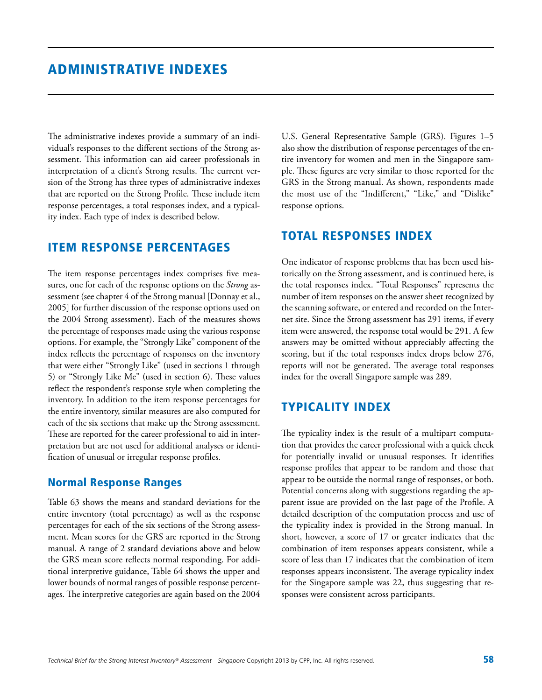The administrative indexes provide a summary of an individual's responses to the different sections of the Strong assessment. This information can aid career professionals in interpretation of a client's Strong results. The current version of the Strong has three types of administrative indexes that are reported on the Strong Profile. These include item response percentages, a total responses index, and a typicality index. Each type of index is described below.

### Item Response Percentages

The item response percentages index comprises five measures, one for each of the response options on the *Strong* assessment (see chapter 4 of the Strong manual [Donnay et al., 2005] for further discussion of the response options used on the 2004 Strong assessment). Each of the measures shows the percentage of responses made using the various response options. For example, the "Strongly Like" component of the index reflects the percentage of responses on the inventory that were either "Strongly Like" (used in sections 1 through 5) or "Strongly Like Me" (used in section 6). These values reflect the respondent's response style when completing the inventory. In addition to the item response percentages for the entire inventory, similar measures are also computed for each of the six sections that make up the Strong assessment. These are reported for the career professional to aid in interpretation but are not used for additional analyses or identification of unusual or irregular response profiles.

### Normal Response Ranges

Table 63 shows the means and standard deviations for the entire inventory (total percentage) as well as the response percentages for each of the six sections of the Strong assessment. Mean scores for the GRS are reported in the Strong manual. A range of 2 standard deviations above and below the GRS mean score reflects normal responding. For additional interpretive guidance, Table 64 shows the upper and lower bounds of normal ranges of possible response percentages. The interpretive categories are again based on the 2004

U.S. General Representative Sample (GRS). Figures 1–5 also show the distribution of response percentages of the entire inventory for women and men in the Singapore sample. These figures are very similar to those reported for the GRS in the Strong manual. As shown, respondents made the most use of the "Indifferent," "Like," and "Dislike" response options.

### Total Responses Index

One indicator of response problems that has been used historically on the Strong assessment, and is continued here, is the total responses index. "Total Responses" represents the number of item responses on the answer sheet recognized by the scanning software, or entered and recorded on the Internet site. Since the Strong assessment has 291 items, if every item were answered, the response total would be 291. A few answers may be omitted without appreciably affecting the scoring, but if the total responses index drops below 276, reports will not be generated. The average total responses index for the overall Singapore sample was 289.

### Typicality Index

The typicality index is the result of a multipart computation that provides the career professional with a quick check for potentially invalid or unusual responses. It identifies response profiles that appear to be random and those that appear to be outside the normal range of responses, or both. Potential concerns along with suggestions regarding the apparent issue are provided on the last page of the Profile. A detailed description of the computation process and use of the typicality index is provided in the Strong manual. In short, however, a score of 17 or greater indicates that the combination of item responses appears consistent, while a score of less than 17 indicates that the combination of item responses appears inconsistent. The average typicality index for the Singapore sample was 22, thus suggesting that responses were consistent across participants.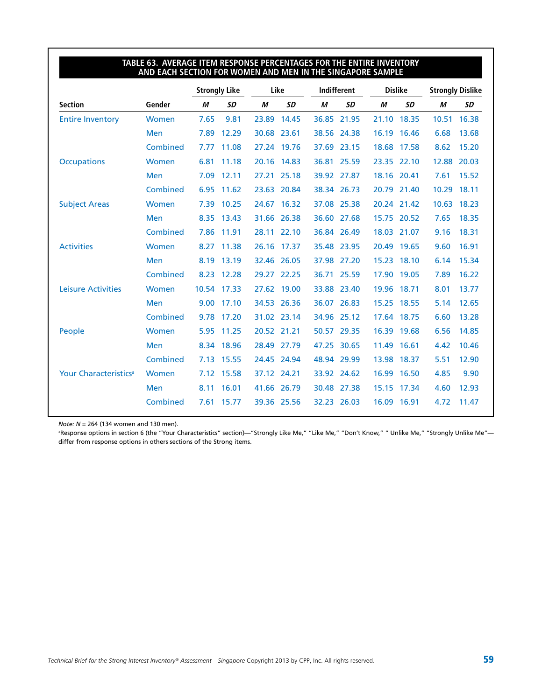#### **Table 63. Average Item Response Percentages for the Entire Inventory and Each Section for Women and Men in the Singapore Sample**

|                                   |              |       | <b>Strongly Like</b> |       | Like        | Indifferent |             | <b>Dislike</b> |             | <b>Strongly Dislike</b> |           |
|-----------------------------------|--------------|-------|----------------------|-------|-------------|-------------|-------------|----------------|-------------|-------------------------|-----------|
| <b>Section</b>                    | Gender       | M     | <b>SD</b>            | М     | <b>SD</b>   | М           | <b>SD</b>   | М              | <b>SD</b>   | M                       | <b>SD</b> |
| <b>Entire Inventory</b>           | <b>Women</b> | 7.65  | 9.81                 | 23.89 | 14.45       | 36.85       | 21.95       | 21.10          | 18.35       | 10.51                   | 16.38     |
|                                   | Men          | 7.89  | 12.29                |       | 30.68 23.61 |             | 38.56 24.38 | 16.19          | 16.46       | 6.68                    | 13.68     |
|                                   | Combined     | 7.77  | 11.08                | 27.24 | 19.76       | 37.69       | 23.15       | 18.68          | 17.58       | 8.62                    | 15.20     |
| Occupations                       | Women        | 6.81  | 11.18                | 20.16 | 14.83       |             | 36.81 25.59 |                | 23.35 22.10 | 12.88                   | 20.03     |
|                                   | Men          | 7.09  | 12.11                |       | 27.21 25.18 |             | 39.92 27.87 |                | 18.16 20.41 | 7.61                    | 15.52     |
|                                   | Combined     | 6.95  | 11.62                | 23.63 | 20.84       | 38.34       | 26.73       | 20.79          | 21.40       | 10.29                   | 18.11     |
| <b>Subject Areas</b>              | Women        | 7.39  | 10.25                | 24.67 | 16.32       |             | 37.08 25.38 |                | 20.24 21.42 | 10.63                   | 18.23     |
|                                   | Men          | 8.35  | 13.43                | 31.66 | 26.38       | 36.60       | 27.68       | 15.75          | 20.52       | 7.65                    | 18.35     |
|                                   | Combined     | 7.86  | 11.91                | 28.11 | 22.10       |             | 36.84 26.49 |                | 18.03 21.07 | 9.16                    | 18.31     |
| <b>Activities</b>                 | Women        | 8.27  | 11.38                |       | 26.16 17.37 |             | 35.48 23.95 |                | 20.49 19.65 | 9.60                    | 16.91     |
|                                   | Men          | 8.19  | 13.19                | 32.46 | 26.05       |             | 37.98 27.20 | 15.23          | 18.10       | 6.14                    | 15.34     |
|                                   | Combined     | 8.23  | 12.28                |       | 29.27 22.25 | 36.71       | 25.59       | 17.90          | 19.05       | 7.89                    | 16.22     |
| <b>Leisure Activities</b>         | <b>Women</b> | 10.54 | 17.33                | 27.62 | 19.00       | 33.88       | 23.40       | 19.96          | 18.71       | 8.01                    | 13.77     |
|                                   | Men          | 9.00  | 17.10                |       | 34.53 26.36 | 36.07       | 26.83       | 15.25          | 18.55       | 5.14                    | 12.65     |
|                                   | Combined     | 9.78  | 17.20                |       | 31.02 23.14 |             | 34.96 25.12 |                | 17.64 18.75 | 6.60                    | 13.28     |
| People                            | Women        | 5.95  | 11.25                |       | 20.52 21.21 |             | 50.57 29.35 | 16.39          | 19.68       | 6.56                    | 14.85     |
|                                   | Men          | 8.34  | 18.96                |       | 28.49 27.79 |             | 47.25 30.65 | 11.49          | 16.61       | 4.42                    | 10.46     |
|                                   | Combined     | 7.13  | 15.55                | 24.45 | 24.94       | 48.94       | 29.99       | 13.98          | 18.37       | 5.51                    | 12.90     |
| Your Characteristics <sup>a</sup> | Women        | 7.12  | 15.58                | 37.12 | 24.21       |             | 33.92 24.62 | 16.99          | 16.50       | 4.85                    | 9.90      |
|                                   | Men          | 8.11  | 16.01                |       | 41.66 26.79 |             | 30.48 27.38 | 15.15          | 17.34       | 4.60                    | 12.93     |
|                                   | Combined     | 7.61  | 15.77                | 39.36 | 25.56       | 32.23       | 26.03       | 16.09          | 16.91       | 4.72                    | 11.47     |

*Note: N* = 264 (134 women and 130 men).

a Response options in section 6 (the "Your Characteristics" section)—"Strongly Like Me," "Like Me," "Don't Know," " Unlike Me," "Strongly Unlike Me" differ from response options in others sections of the Strong items.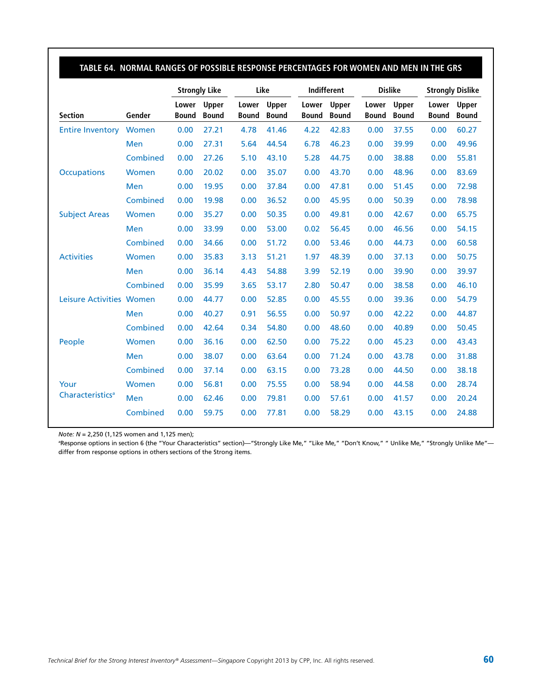|                              |            |                       | <b>Strongly Like</b>         |                       | Like                  |                       | <b>Indifferent</b>    |                       | <b>Dislike</b>        |                       | <b>Strongly Dislike</b> |  |
|------------------------------|------------|-----------------------|------------------------------|-----------------------|-----------------------|-----------------------|-----------------------|-----------------------|-----------------------|-----------------------|-------------------------|--|
| <b>Section</b>               | Gender     | Lower<br><b>Bound</b> | <b>Upper</b><br><b>Bound</b> | Lower<br><b>Bound</b> | Upper<br><b>Bound</b> | Lower<br><b>Bound</b> | Upper<br><b>Bound</b> | Lower<br><b>Bound</b> | Upper<br><b>Bound</b> | Lower<br><b>Bound</b> | Upper<br><b>Bound</b>   |  |
| <b>Entire Inventory</b>      | Women      | 0.00                  | 27.21                        | 4.78                  | 41.46                 | 4.22                  | 42.83                 | 0.00                  | 37.55                 | 0.00                  | 60.27                   |  |
|                              | <b>Men</b> | 0.00                  | 27.31                        | 5.64                  | 44.54                 | 6.78                  | 46.23                 | 0.00                  | 39.99                 | 0.00                  | 49.96                   |  |
|                              | Combined   | 0.00                  | 27.26                        | 5.10                  | 43.10                 | 5.28                  | 44.75                 | 0.00                  | 38.88                 | 0.00                  | 55.81                   |  |
| <b>Occupations</b>           | Women      | 0.00                  | 20.02                        | 0.00                  | 35.07                 | 0.00                  | 43.70                 | 0.00                  | 48.96                 | 0.00                  | 83.69                   |  |
|                              | <b>Men</b> | 0.00                  | 19.95                        | 0.00                  | 37.84                 | 0.00                  | 47.81                 | 0.00                  | 51.45                 | 0.00                  | 72.98                   |  |
|                              | Combined   | 0.00                  | 19.98                        | 0.00                  | 36.52                 | 0.00                  | 45.95                 | 0.00                  | 50.39                 | 0.00                  | 78.98                   |  |
| <b>Subject Areas</b>         | Women      | 0.00                  | 35.27                        | 0.00                  | 50.35                 | 0.00                  | 49.81                 | 0.00                  | 42.67                 | 0.00                  | 65.75                   |  |
|                              | Men        | 0.00                  | 33.99                        | 0.00                  | 53.00                 | 0.02                  | 56.45                 | 0.00                  | 46.56                 | 0.00                  | 54.15                   |  |
|                              | Combined   | 0.00                  | 34.66                        | 0.00                  | 51.72                 | 0.00                  | 53.46                 | 0.00                  | 44.73                 | 0.00                  | 60.58                   |  |
| <b>Activities</b>            | Women      | 0.00                  | 35.83                        | 3.13                  | 51.21                 | 1.97                  | 48.39                 | 0.00                  | 37.13                 | 0.00                  | 50.75                   |  |
|                              | Men        | 0.00                  | 36.14                        | 4.43                  | 54.88                 | 3.99                  | 52.19                 | 0.00                  | 39.90                 | 0.00                  | 39.97                   |  |
|                              | Combined   | 0.00                  | 35.99                        | 3.65                  | 53.17                 | 2.80                  | 50.47                 | 0.00                  | 38.58                 | 0.00                  | 46.10                   |  |
| Leisure Activities Women     |            | 0.00                  | 44.77                        | 0.00                  | 52.85                 | 0.00                  | 45.55                 | 0.00                  | 39.36                 | 0.00                  | 54.79                   |  |
|                              | Men        | 0.00                  | 40.27                        | 0.91                  | 56.55                 | 0.00                  | 50.97                 | 0.00                  | 42.22                 | 0.00                  | 44.87                   |  |
|                              | Combined   | 0.00                  | 42.64                        | 0.34                  | 54.80                 | 0.00                  | 48.60                 | 0.00                  | 40.89                 | 0.00                  | 50.45                   |  |
| People                       | Women      | 0.00                  | 36.16                        | 0.00                  | 62.50                 | 0.00                  | 75.22                 | 0.00                  | 45.23                 | 0.00                  | 43.43                   |  |
|                              | <b>Men</b> | 0.00                  | 38.07                        | 0.00                  | 63.64                 | 0.00                  | 71.24                 | 0.00                  | 43.78                 | 0.00                  | 31.88                   |  |
|                              | Combined   | 0.00                  | 37.14                        | 0.00                  | 63.15                 | 0.00                  | 73.28                 | 0.00                  | 44.50                 | 0.00                  | 38.18                   |  |
| Your                         | Women      | 0.00                  | 56.81                        | 0.00                  | 75.55                 | 0.00                  | 58.94                 | 0.00                  | 44.58                 | 0.00                  | 28.74                   |  |
| Characteristics <sup>a</sup> | Men        | 0.00                  | 62.46                        | 0.00                  | 79.81                 | 0.00                  | 57.61                 | 0.00                  | 41.57                 | 0.00                  | 20.24                   |  |
|                              | Combined   | 0.00                  | 59.75                        | 0.00                  | 77.81                 | 0.00                  | 58.29                 | 0.00                  | 43.15                 | 0.00                  | 24.88                   |  |

*Note: N* = 2,250 (1,125 women and 1,125 men);

a Response options in section 6 (the "Your Characteristics" section)—"Strongly Like Me," "Like Me," "Don't Know," " Unlike Me," "Strongly Unlike Me" differ from response options in others sections of the Strong items.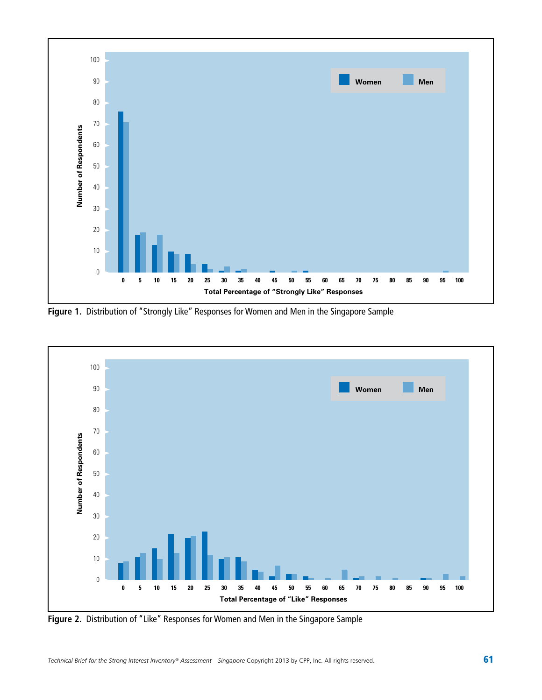

**Figure 1.** Distribution of "Strongly Like" Responses for Women and Men in the Singapore Sample



**Figure 2.** Distribution of "Like" Responses for Women and Men in the Singapore Sample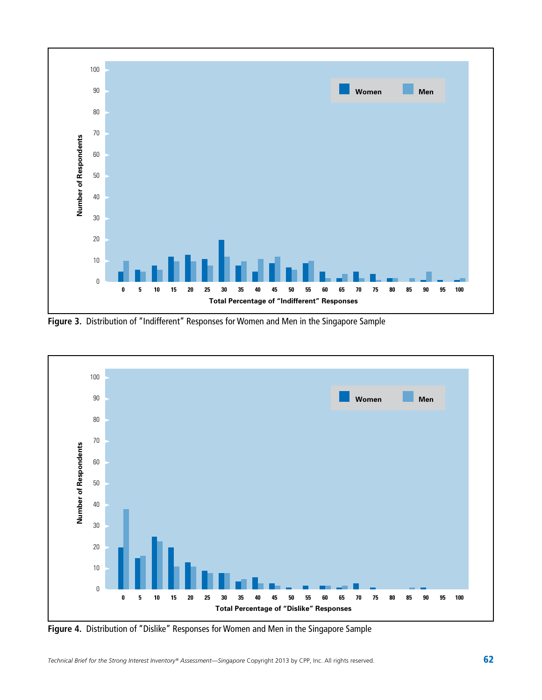

**Figure 3.** Distribution of "Indifferent" Responses for Women and Men in the Singapore Sample



**Figure 4.** Distribution of "Dislike" Responses for Women and Men in the Singapore Sample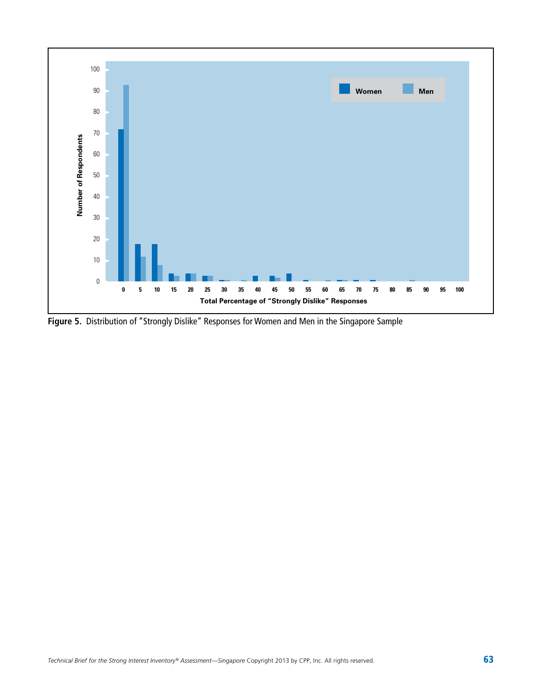

**Figure 5.** Distribution of "Strongly Dislike" Responses for Women and Men in the Singapore Sample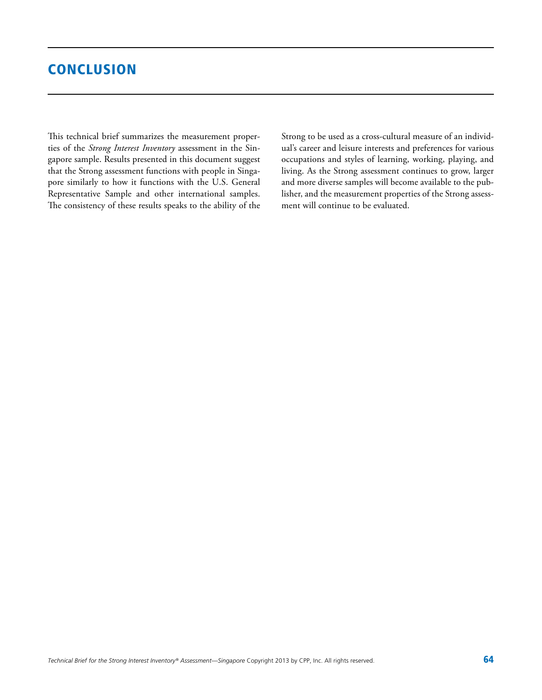### **CONCLUSION**

This technical brief summarizes the measurement properties of the *Strong Interest Inventory* assessment in the Singapore sample. Results presented in this document suggest that the Strong assessment functions with people in Singapore similarly to how it functions with the U.S. General Representative Sample and other international samples. The consistency of these results speaks to the ability of the Strong to be used as a cross-cultural measure of an individual's career and leisure interests and preferences for various occupations and styles of learning, working, playing, and living. As the Strong assessment continues to grow, larger and more diverse samples will become available to the publisher, and the measurement properties of the Strong assessment will continue to be evaluated.